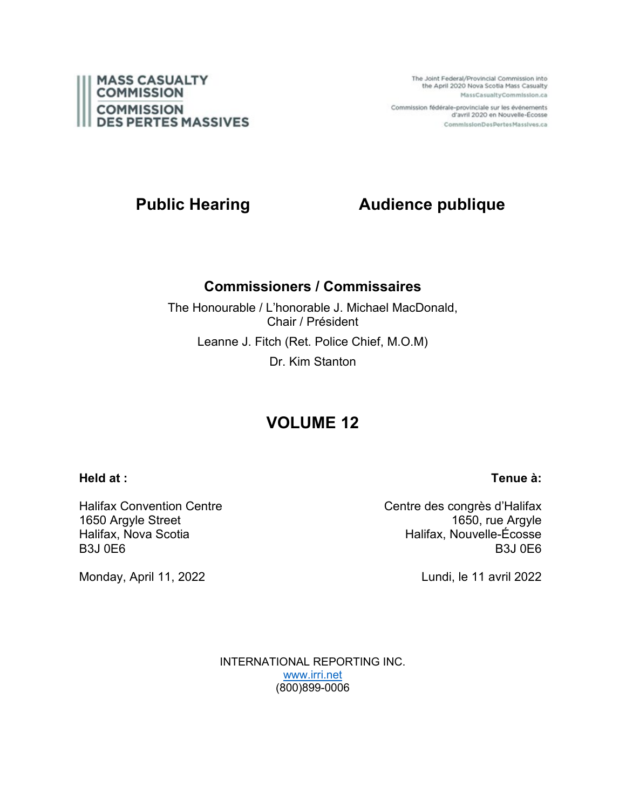

The Joint Federal/Provincial Commission into the April 2020 Nova Scotia Mass Casualty MassCasualtyCommission.ca

Commission fédérale-provinciale sur les événements d'avril 2020 en Nouvelle-Écosse CommissionDesPertesMassives.ca

# **Public Hearing Audience publique**

# **Commissioners / Commissaires**

The Honourable / L'honorable J. Michael MacDonald, Chair / Président Leanne J. Fitch (Ret. Police Chief, M.O.M) Dr. Kim Stanton

# **VOLUME 12**

# **Held at :**

**Tenue à:**

Halifax Convention Centre 1650 Argyle Street Halifax, Nova Scotia B3J 0E6

Centre des congrès d'Halifax 1650, rue Argyle Halifax, Nouvelle-Écosse B3J 0E6

Lundi, le 11 avril 2022

INTERNATIONAL REPORTING INC. [www.irri.net](http://www.irri.net/) (800)899-0006

Monday, April 11, 2022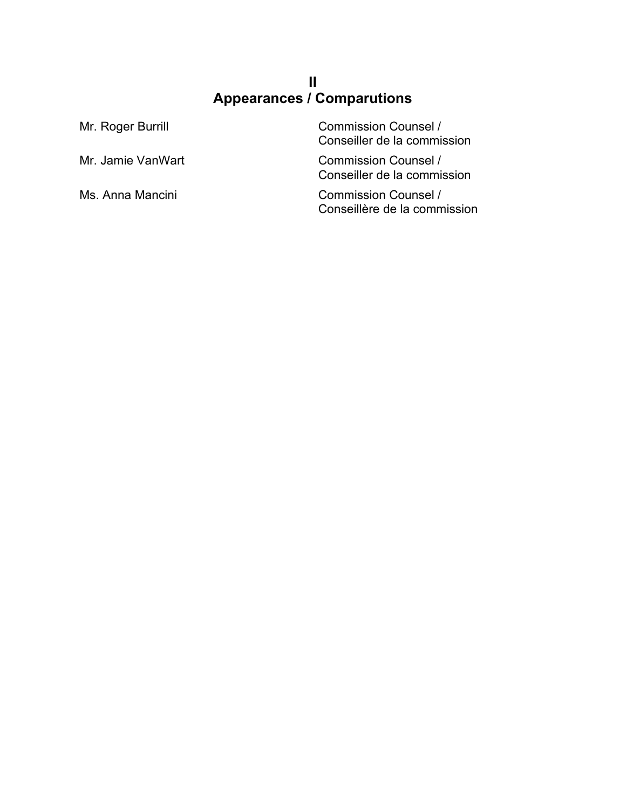# **II Appearances / Comparutions**

| Mr. Roger Burrill | <b>Commission Counsel /</b><br>Conseiller de la commission  |
|-------------------|-------------------------------------------------------------|
| Mr. Jamie VanWart | <b>Commission Counsel /</b><br>Conseiller de la commission  |
| Ms. Anna Mancini  | <b>Commission Counsel /</b><br>Conseillère de la commission |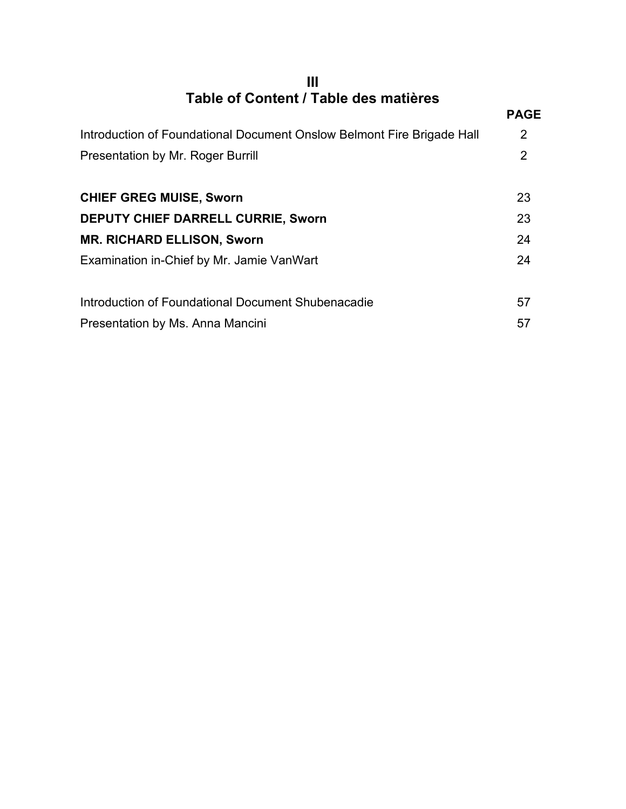# **III Table of Content / Table des matières**

| TADIG OF OUTIGHT / TADIG UGS HIALIGIGS                                 |                |
|------------------------------------------------------------------------|----------------|
|                                                                        | <b>PAGE</b>    |
| Introduction of Foundational Document Onslow Belmont Fire Brigade Hall | 2              |
| <b>Presentation by Mr. Roger Burrill</b>                               | $\overline{2}$ |
| <b>CHIEF GREG MUISE, Sworn</b>                                         | 23             |
| <b>DEPUTY CHIEF DARRELL CURRIE, Sworn</b>                              | 23             |
| <b>MR. RICHARD ELLISON, Sworn</b>                                      | 24             |
| Examination in-Chief by Mr. Jamie VanWart                              | 24             |
| Introduction of Foundational Document Shubenacadie                     | 57             |
| Presentation by Ms. Anna Mancini                                       | 57             |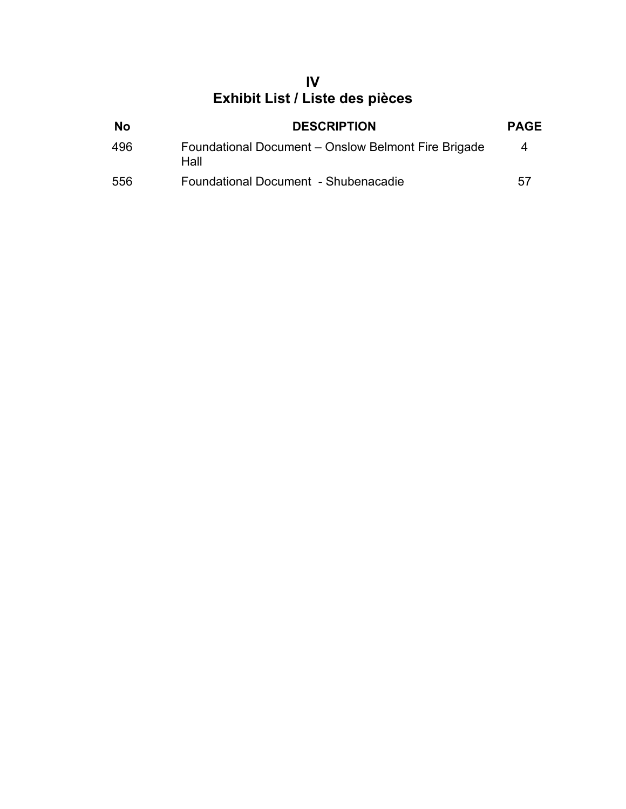# **IV Exhibit List / Liste des pièces**

| <b>No</b> | <b>DESCRIPTION</b>                                          | <b>PAGE</b> |
|-----------|-------------------------------------------------------------|-------------|
| 496       | Foundational Document – Onslow Belmont Fire Brigade<br>Hall | 4           |
| 556       | Foundational Document - Shubenacadie                        | 57          |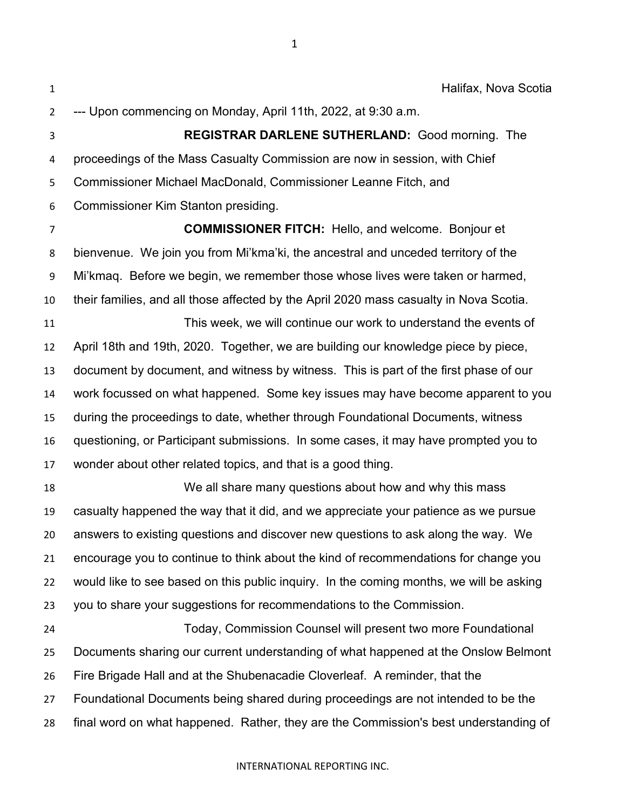Halifax, Nova Scotia --- Upon commencing on Monday, April 11th, 2022, at 9:30 a.m. **REGISTRAR DARLENE SUTHERLAND:** Good morning. The proceedings of the Mass Casualty Commission are now in session, with Chief Commissioner Michael MacDonald, Commissioner Leanne Fitch, and Commissioner Kim Stanton presiding. **COMMISSIONER FITCH:** Hello, and welcome. Bonjour et bienvenue. We join you from Mi'kma'ki, the ancestral and unceded territory of the Mi'kmaq. Before we begin, we remember those whose lives were taken or harmed, their families, and all those affected by the April 2020 mass casualty in Nova Scotia. This week, we will continue our work to understand the events of April 18th and 19th, 2020. Together, we are building our knowledge piece by piece, document by document, and witness by witness. This is part of the first phase of our work focussed on what happened. Some key issues may have become apparent to you during the proceedings to date, whether through Foundational Documents, witness questioning, or Participant submissions. In some cases, it may have prompted you to wonder about other related topics, and that is a good thing. We all share many questions about how and why this mass casualty happened the way that it did, and we appreciate your patience as we pursue answers to existing questions and discover new questions to ask along the way. We encourage you to continue to think about the kind of recommendations for change you would like to see based on this public inquiry. In the coming months, we will be asking you to share your suggestions for recommendations to the Commission. Today, Commission Counsel will present two more Foundational Documents sharing our current understanding of what happened at the Onslow Belmont Fire Brigade Hall and at the Shubenacadie Cloverleaf. A reminder, that the Foundational Documents being shared during proceedings are not intended to be the final word on what happened. Rather, they are the Commission's best understanding of

### INTERNATIONAL REPORTING INC.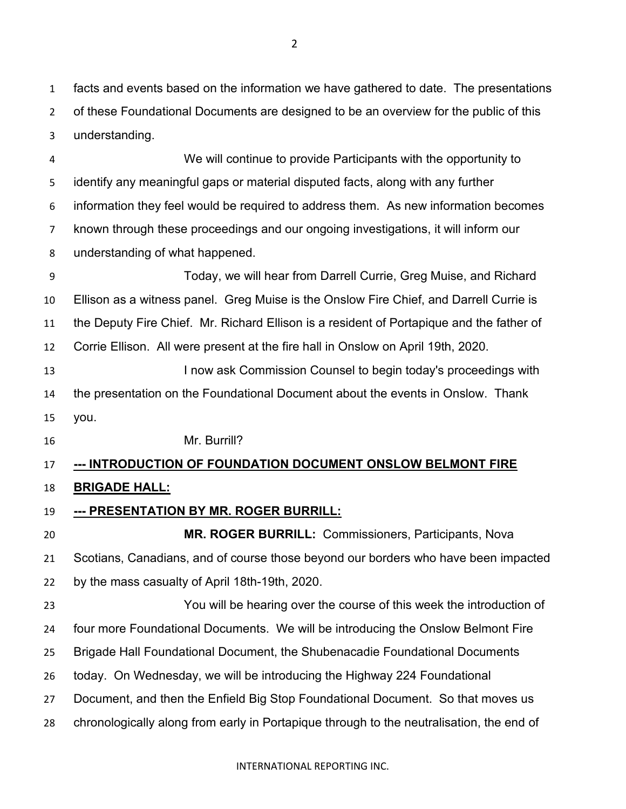facts and events based on the information we have gathered to date. The presentations of these Foundational Documents are designed to be an overview for the public of this understanding.

We will continue to provide Participants with the opportunity to identify any meaningful gaps or material disputed facts, along with any further information they feel would be required to address them. As new information becomes known through these proceedings and our ongoing investigations, it will inform our understanding of what happened.

Today, we will hear from Darrell Currie, Greg Muise, and Richard Ellison as a witness panel. Greg Muise is the Onslow Fire Chief, and Darrell Currie is the Deputy Fire Chief. Mr. Richard Ellison is a resident of Portapique and the father of Corrie Ellison. All were present at the fire hall in Onslow on April 19th, 2020. **I now ask Commission Counsel to begin today's proceedings with**  the presentation on the Foundational Document about the events in Onslow. Thank you. Mr. Burrill?

# **--- INTRODUCTION OF FOUNDATION DOCUMENT ONSLOW BELMONT FIRE**

# **BRIGADE HALL:**

**--- PRESENTATION BY MR. ROGER BURRILL:**

 **MR. ROGER BURRILL:** Commissioners, Participants, Nova Scotians, Canadians, and of course those beyond our borders who have been impacted by the mass casualty of April 18th-19th, 2020.

 You will be hearing over the course of this week the introduction of four more Foundational Documents. We will be introducing the Onslow Belmont Fire Brigade Hall Foundational Document, the Shubenacadie Foundational Documents today. On Wednesday, we will be introducing the Highway 224 Foundational Document, and then the Enfield Big Stop Foundational Document. So that moves us chronologically along from early in Portapique through to the neutralisation, the end of

INTERNATIONAL REPORTING INC.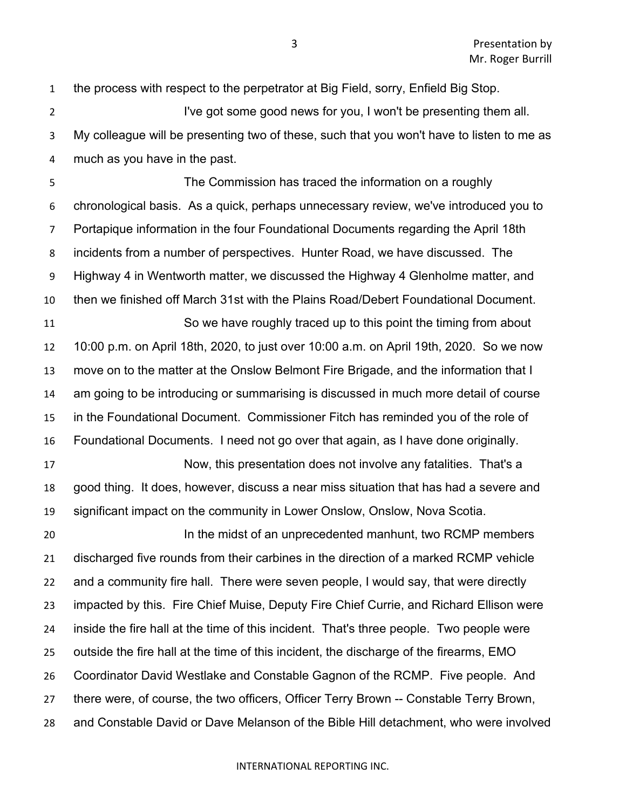the process with respect to the perpetrator at Big Field, sorry, Enfield Big Stop.

2 I've got some good news for you, I won't be presenting them all. My colleague will be presenting two of these, such that you won't have to listen to me as much as you have in the past.

 The Commission has traced the information on a roughly chronological basis. As a quick, perhaps unnecessary review, we've introduced you to Portapique information in the four Foundational Documents regarding the April 18th incidents from a number of perspectives. Hunter Road, we have discussed. The Highway 4 in Wentworth matter, we discussed the Highway 4 Glenholme matter, and then we finished off March 31st with the Plains Road/Debert Foundational Document. So we have roughly traced up to this point the timing from about 10:00 p.m. on April 18th, 2020, to just over 10:00 a.m. on April 19th, 2020. So we now move on to the matter at the Onslow Belmont Fire Brigade, and the information that I am going to be introducing or summarising is discussed in much more detail of course in the Foundational Document. Commissioner Fitch has reminded you of the role of Foundational Documents. I need not go over that again, as I have done originally.

 Now, this presentation does not involve any fatalities. That's a good thing. It does, however, discuss a near miss situation that has had a severe and significant impact on the community in Lower Onslow, Onslow, Nova Scotia.

 In the midst of an unprecedented manhunt, two RCMP members discharged five rounds from their carbines in the direction of a marked RCMP vehicle and a community fire hall. There were seven people, I would say, that were directly impacted by this. Fire Chief Muise, Deputy Fire Chief Currie, and Richard Ellison were inside the fire hall at the time of this incident. That's three people. Two people were outside the fire hall at the time of this incident, the discharge of the firearms, EMO Coordinator David Westlake and Constable Gagnon of the RCMP. Five people. And there were, of course, the two officers, Officer Terry Brown -- Constable Terry Brown, and Constable David or Dave Melanson of the Bible Hill detachment, who were involved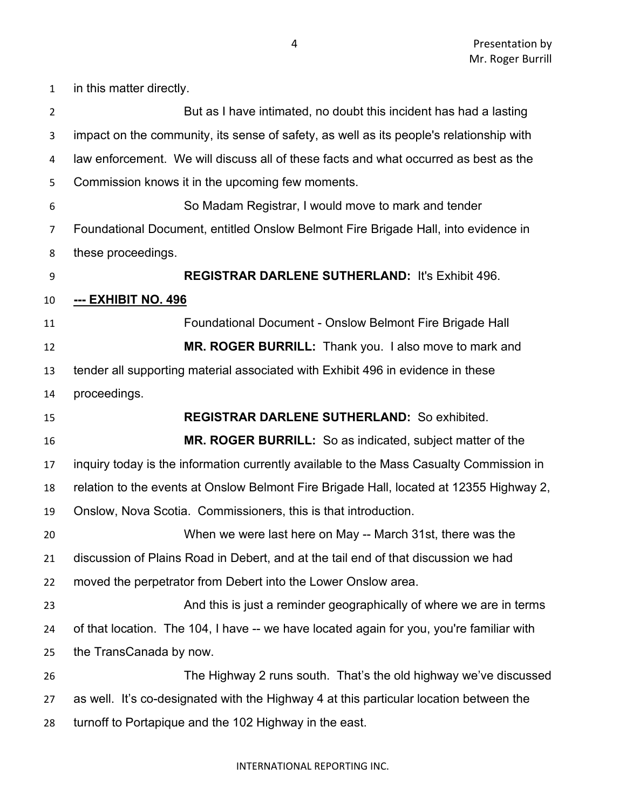in this matter directly. But as I have intimated, no doubt this incident has had a lasting impact on the community, its sense of safety, as well as its people's relationship with law enforcement. We will discuss all of these facts and what occurred as best as the Commission knows it in the upcoming few moments. So Madam Registrar, I would move to mark and tender Foundational Document, entitled Onslow Belmont Fire Brigade Hall, into evidence in these proceedings. **REGISTRAR DARLENE SUTHERLAND:** It's Exhibit 496. **--- EXHIBIT NO. 496** Foundational Document - Onslow Belmont Fire Brigade Hall **MR. ROGER BURRILL:** Thank you. I also move to mark and tender all supporting material associated with Exhibit 496 in evidence in these proceedings. **REGISTRAR DARLENE SUTHERLAND:** So exhibited. **MR. ROGER BURRILL:** So as indicated, subject matter of the inquiry today is the information currently available to the Mass Casualty Commission in relation to the events at Onslow Belmont Fire Brigade Hall, located at 12355 Highway 2, Onslow, Nova Scotia. Commissioners, this is that introduction. When we were last here on May -- March 31st, there was the discussion of Plains Road in Debert, and at the tail end of that discussion we had moved the perpetrator from Debert into the Lower Onslow area. And this is just a reminder geographically of where we are in terms of that location. The 104, I have -- we have located again for you, you're familiar with the TransCanada by now. The Highway 2 runs south. That's the old highway we've discussed as well. It's co-designated with the Highway 4 at this particular location between the turnoff to Portapique and the 102 Highway in the east.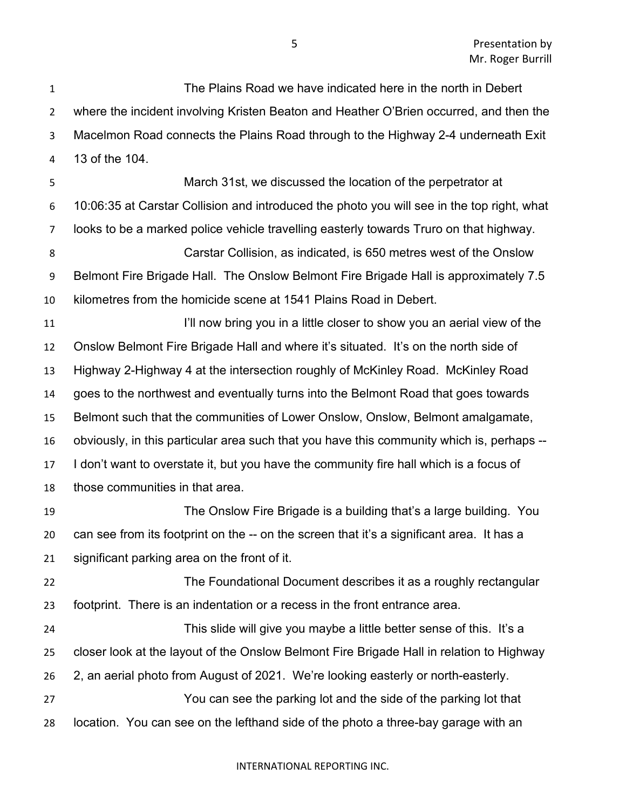The Plains Road we have indicated here in the north in Debert where the incident involving Kristen Beaton and Heather O'Brien occurred, and then the Macelmon Road connects the Plains Road through to the Highway 2-4 underneath Exit 13 of the 104. March 31st, we discussed the location of the perpetrator at 10:06:35 at Carstar Collision and introduced the photo you will see in the top right, what looks to be a marked police vehicle travelling easterly towards Truro on that highway. Carstar Collision, as indicated, is 650 metres west of the Onslow Belmont Fire Brigade Hall. The Onslow Belmont Fire Brigade Hall is approximately 7.5 kilometres from the homicide scene at 1541 Plains Road in Debert. **I'll now bring you in a little closer to show you an aerial view of the**  Onslow Belmont Fire Brigade Hall and where it's situated. It's on the north side of Highway 2-Highway 4 at the intersection roughly of McKinley Road. McKinley Road goes to the northwest and eventually turns into the Belmont Road that goes towards Belmont such that the communities of Lower Onslow, Onslow, Belmont amalgamate, obviously, in this particular area such that you have this community which is, perhaps -- I don't want to overstate it, but you have the community fire hall which is a focus of those communities in that area. The Onslow Fire Brigade is a building that's a large building. You can see from its footprint on the -- on the screen that it's a significant area. It has a significant parking area on the front of it. The Foundational Document describes it as a roughly rectangular footprint. There is an indentation or a recess in the front entrance area. This slide will give you maybe a little better sense of this. It's a closer look at the layout of the Onslow Belmont Fire Brigade Hall in relation to Highway 2, an aerial photo from August of 2021. We're looking easterly or north-easterly.

 You can see the parking lot and the side of the parking lot that location. You can see on the lefthand side of the photo a three-bay garage with an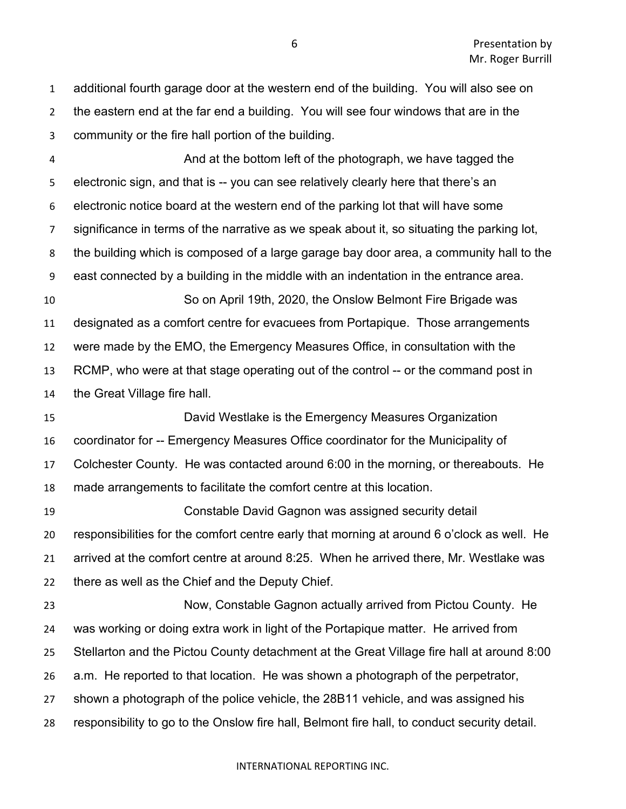additional fourth garage door at the western end of the building. You will also see on the eastern end at the far end a building. You will see four windows that are in the community or the fire hall portion of the building.

 And at the bottom left of the photograph, we have tagged the electronic sign, and that is -- you can see relatively clearly here that there's an electronic notice board at the western end of the parking lot that will have some significance in terms of the narrative as we speak about it, so situating the parking lot, the building which is composed of a large garage bay door area, a community hall to the east connected by a building in the middle with an indentation in the entrance area. So on April 19th, 2020, the Onslow Belmont Fire Brigade was designated as a comfort centre for evacuees from Portapique. Those arrangements were made by the EMO, the Emergency Measures Office, in consultation with the RCMP, who were at that stage operating out of the control -- or the command post in the Great Village fire hall. David Westlake is the Emergency Measures Organization coordinator for -- Emergency Measures Office coordinator for the Municipality of Colchester County. He was contacted around 6:00 in the morning, or thereabouts. He made arrangements to facilitate the comfort centre at this location. Constable David Gagnon was assigned security detail responsibilities for the comfort centre early that morning at around 6 o'clock as well. He arrived at the comfort centre at around 8:25. When he arrived there, Mr. Westlake was there as well as the Chief and the Deputy Chief. Now, Constable Gagnon actually arrived from Pictou County. He was working or doing extra work in light of the Portapique matter. He arrived from Stellarton and the Pictou County detachment at the Great Village fire hall at around 8:00 a.m. He reported to that location. He was shown a photograph of the perpetrator, shown a photograph of the police vehicle, the 28B11 vehicle, and was assigned his responsibility to go to the Onslow fire hall, Belmont fire hall, to conduct security detail.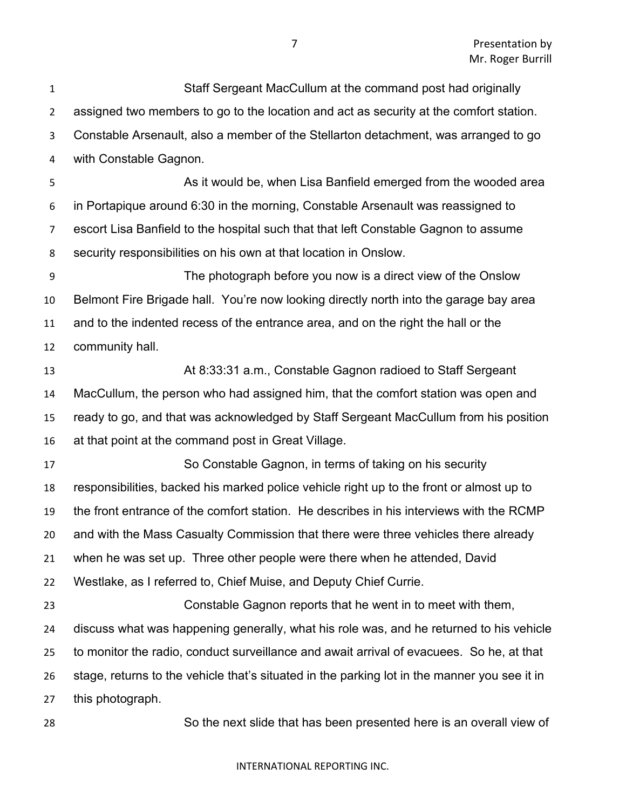Staff Sergeant MacCullum at the command post had originally assigned two members to go to the location and act as security at the comfort station. Constable Arsenault, also a member of the Stellarton detachment, was arranged to go with Constable Gagnon. **As it would be, when Lisa Banfield emerged from the wooded area**  in Portapique around 6:30 in the morning, Constable Arsenault was reassigned to escort Lisa Banfield to the hospital such that that left Constable Gagnon to assume security responsibilities on his own at that location in Onslow. The photograph before you now is a direct view of the Onslow Belmont Fire Brigade hall. You're now looking directly north into the garage bay area and to the indented recess of the entrance area, and on the right the hall or the community hall. At 8:33:31 a.m., Constable Gagnon radioed to Staff Sergeant MacCullum, the person who had assigned him, that the comfort station was open and ready to go, and that was acknowledged by Staff Sergeant MacCullum from his position at that point at the command post in Great Village. So Constable Gagnon, in terms of taking on his security responsibilities, backed his marked police vehicle right up to the front or almost up to the front entrance of the comfort station. He describes in his interviews with the RCMP and with the Mass Casualty Commission that there were three vehicles there already when he was set up. Three other people were there when he attended, David Westlake, as I referred to, Chief Muise, and Deputy Chief Currie. Constable Gagnon reports that he went in to meet with them, discuss what was happening generally, what his role was, and he returned to his vehicle to monitor the radio, conduct surveillance and await arrival of evacuees. So he, at that stage, returns to the vehicle that's situated in the parking lot in the manner you see it in this photograph. So the next slide that has been presented here is an overall view of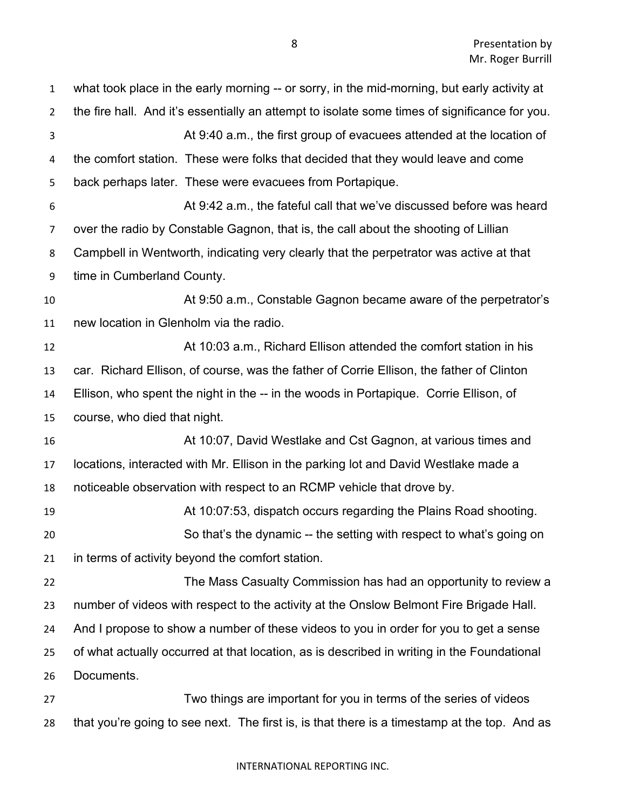| $\mathbf{1}$   | what took place in the early morning -- or sorry, in the mid-morning, but early activity at   |
|----------------|-----------------------------------------------------------------------------------------------|
| $\overline{2}$ | the fire hall. And it's essentially an attempt to isolate some times of significance for you. |
| 3              | At 9:40 a.m., the first group of evacuees attended at the location of                         |
| 4              | the comfort station. These were folks that decided that they would leave and come             |
| 5              | back perhaps later. These were evacuees from Portapique.                                      |
| 6              | At 9:42 a.m., the fateful call that we've discussed before was heard                          |
| $\overline{7}$ | over the radio by Constable Gagnon, that is, the call about the shooting of Lillian           |
| 8              | Campbell in Wentworth, indicating very clearly that the perpetrator was active at that        |
| 9              | time in Cumberland County.                                                                    |
| 10             | At 9:50 a.m., Constable Gagnon became aware of the perpetrator's                              |
| 11             | new location in Glenholm via the radio.                                                       |
| 12             | At 10:03 a.m., Richard Ellison attended the comfort station in his                            |
| 13             | car. Richard Ellison, of course, was the father of Corrie Ellison, the father of Clinton      |
| 14             | Ellison, who spent the night in the -- in the woods in Portapique. Corrie Ellison, of         |
| 15             | course, who died that night.                                                                  |
| 16             | At 10:07, David Westlake and Cst Gagnon, at various times and                                 |
| 17             | locations, interacted with Mr. Ellison in the parking lot and David Westlake made a           |
| 18             | noticeable observation with respect to an RCMP vehicle that drove by.                         |
| 19             | At 10:07:53, dispatch occurs regarding the Plains Road shooting.                              |
| 20             | So that's the dynamic -- the setting with respect to what's going on                          |
| 21             | in terms of activity beyond the comfort station.                                              |
| 22             | The Mass Casualty Commission has had an opportunity to review a                               |
| 23             | number of videos with respect to the activity at the Onslow Belmont Fire Brigade Hall.        |
| 24             | And I propose to show a number of these videos to you in order for you to get a sense         |
| 25             | of what actually occurred at that location, as is described in writing in the Foundational    |
| 26             | Documents.                                                                                    |
| 27             | Two things are important for you in terms of the series of videos                             |
| 28             | that you're going to see next. The first is, is that there is a timestamp at the top. And as  |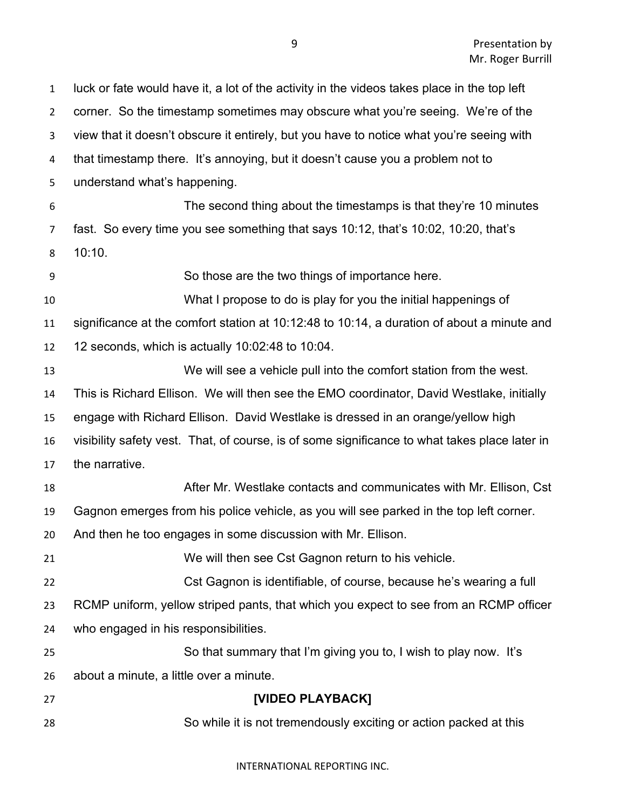| $\mathbf{1}$   | luck or fate would have it, a lot of the activity in the videos takes place in the top left   |
|----------------|-----------------------------------------------------------------------------------------------|
| $\overline{2}$ | corner. So the timestamp sometimes may obscure what you're seeing. We're of the               |
| 3              | view that it doesn't obscure it entirely, but you have to notice what you're seeing with      |
| 4              | that timestamp there. It's annoying, but it doesn't cause you a problem not to                |
| 5              | understand what's happening.                                                                  |
| 6              | The second thing about the timestamps is that they're 10 minutes                              |
| $\overline{7}$ | fast. So every time you see something that says 10:12, that's 10:02, 10:20, that's            |
| 8              | 10:10.                                                                                        |
| 9              | So those are the two things of importance here.                                               |
| 10             | What I propose to do is play for you the initial happenings of                                |
| 11             | significance at the comfort station at 10:12:48 to 10:14, a duration of about a minute and    |
| 12             | 12 seconds, which is actually 10:02:48 to 10:04.                                              |
| 13             | We will see a vehicle pull into the comfort station from the west.                            |
| 14             | This is Richard Ellison. We will then see the EMO coordinator, David Westlake, initially      |
| 15             | engage with Richard Ellison. David Westlake is dressed in an orange/yellow high               |
| 16             | visibility safety vest. That, of course, is of some significance to what takes place later in |
| 17             | the narrative.                                                                                |
| 18             | After Mr. Westlake contacts and communicates with Mr. Ellison, Cst                            |
| 19             | Gagnon emerges from his police vehicle, as you will see parked in the top left corner.        |
| 20             | And then he too engages in some discussion with Mr. Ellison.                                  |
| 21             | We will then see Cst Gagnon return to his vehicle.                                            |
| 22             | Cst Gagnon is identifiable, of course, because he's wearing a full                            |
| 23             | RCMP uniform, yellow striped pants, that which you expect to see from an RCMP officer         |
| 24             | who engaged in his responsibilities.                                                          |
| 25             | So that summary that I'm giving you to, I wish to play now. It's                              |
| 26             | about a minute, a little over a minute.                                                       |
| 27             | [VIDEO PLAYBACK]                                                                              |
| 28             | So while it is not tremendously exciting or action packed at this                             |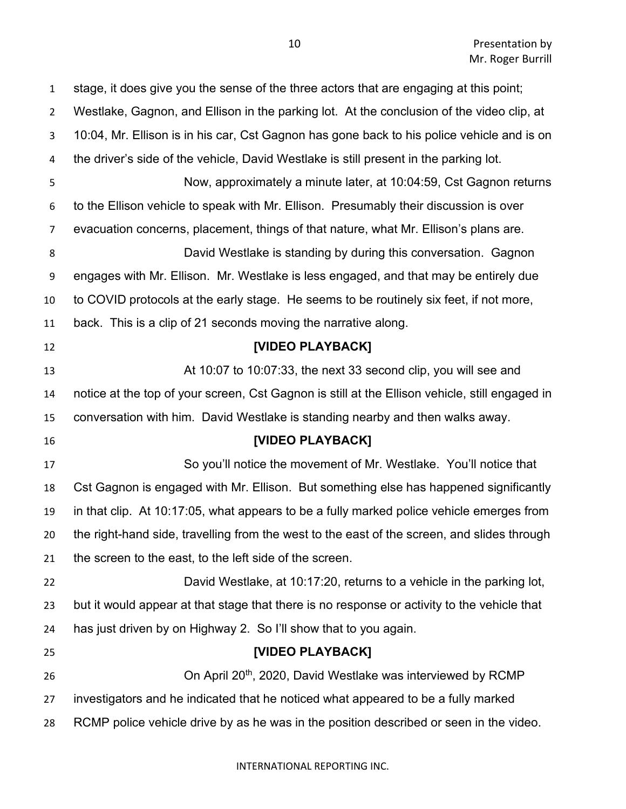| $\mathbf{1}$     | stage, it does give you the sense of the three actors that are engaging at this point;         |
|------------------|------------------------------------------------------------------------------------------------|
| $\overline{2}$   | Westlake, Gagnon, and Ellison in the parking lot. At the conclusion of the video clip, at      |
| 3                | 10:04, Mr. Ellison is in his car, Cst Gagnon has gone back to his police vehicle and is on     |
| 4                | the driver's side of the vehicle, David Westlake is still present in the parking lot.          |
| 5                | Now, approximately a minute later, at 10:04:59, Cst Gagnon returns                             |
| 6                | to the Ellison vehicle to speak with Mr. Ellison. Presumably their discussion is over          |
| 7                | evacuation concerns, placement, things of that nature, what Mr. Ellison's plans are.           |
| 8                | David Westlake is standing by during this conversation. Gagnon                                 |
| $\boldsymbol{9}$ | engages with Mr. Ellison. Mr. Westlake is less engaged, and that may be entirely due           |
| 10               | to COVID protocols at the early stage. He seems to be routinely six feet, if not more,         |
| 11               | back. This is a clip of 21 seconds moving the narrative along.                                 |
| 12               | [VIDEO PLAYBACK]                                                                               |
| 13               | At 10:07 to 10:07:33, the next 33 second clip, you will see and                                |
| 14               | notice at the top of your screen, Cst Gagnon is still at the Ellison vehicle, still engaged in |
| 15               | conversation with him. David Westlake is standing nearby and then walks away.                  |
| 16               | [VIDEO PLAYBACK]                                                                               |
| 17               | So you'll notice the movement of Mr. Westlake. You'll notice that                              |
| 18               | Cst Gagnon is engaged with Mr. Ellison. But something else has happened significantly          |
| 19               | in that clip. At 10:17:05, what appears to be a fully marked police vehicle emerges from       |
| 20               | the right-hand side, travelling from the west to the east of the screen, and slides through    |
| 21               | the screen to the east, to the left side of the screen.                                        |
| 22               | David Westlake, at 10:17:20, returns to a vehicle in the parking lot,                          |
| 23               | but it would appear at that stage that there is no response or activity to the vehicle that    |
| 24               | has just driven by on Highway 2. So I'll show that to you again.                               |
| 25               | [VIDEO PLAYBACK]                                                                               |
| 26               | On April 20 <sup>th</sup> , 2020, David Westlake was interviewed by RCMP                       |
| 27               | investigators and he indicated that he noticed what appeared to be a fully marked              |
| 28               | RCMP police vehicle drive by as he was in the position described or seen in the video.         |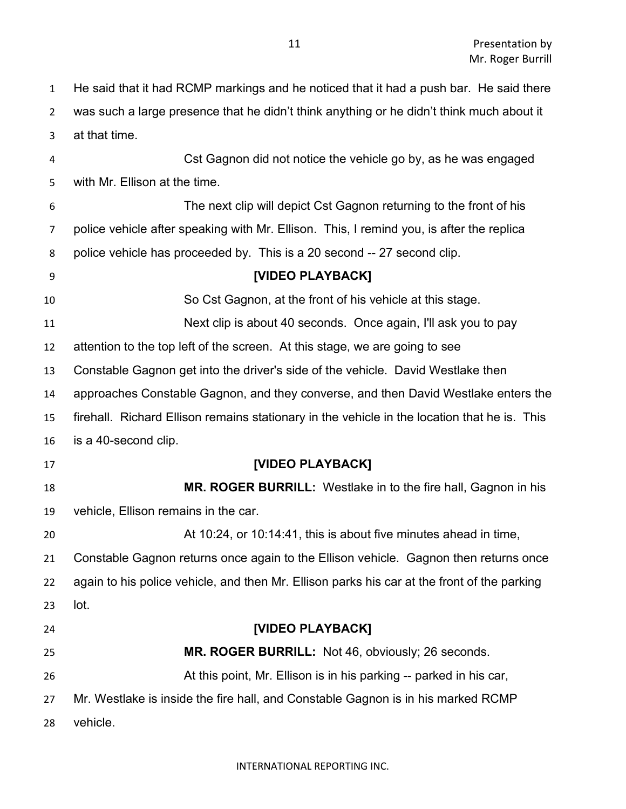He said that it had RCMP markings and he noticed that it had a push bar. He said there was such a large presence that he didn't think anything or he didn't think much about it at that time. Cst Gagnon did not notice the vehicle go by, as he was engaged with Mr. Ellison at the time. The next clip will depict Cst Gagnon returning to the front of his police vehicle after speaking with Mr. Ellison. This, I remind you, is after the replica police vehicle has proceeded by. This is a 20 second -- 27 second clip. **[VIDEO PLAYBACK]** So Cst Gagnon, at the front of his vehicle at this stage. Next clip is about 40 seconds. Once again, I'll ask you to pay attention to the top left of the screen. At this stage, we are going to see Constable Gagnon get into the driver's side of the vehicle. David Westlake then approaches Constable Gagnon, and they converse, and then David Westlake enters the firehall. Richard Ellison remains stationary in the vehicle in the location that he is. This is a 40-second clip. **[VIDEO PLAYBACK] MR. ROGER BURRILL:** Westlake in to the fire hall, Gagnon in his vehicle, Ellison remains in the car. At 10:24, or 10:14:41, this is about five minutes ahead in time, Constable Gagnon returns once again to the Ellison vehicle. Gagnon then returns once again to his police vehicle, and then Mr. Ellison parks his car at the front of the parking lot. **[VIDEO PLAYBACK] MR. ROGER BURRILL:** Not 46, obviously; 26 seconds. At this point, Mr. Ellison is in his parking -- parked in his car, Mr. Westlake is inside the fire hall, and Constable Gagnon is in his marked RCMP vehicle.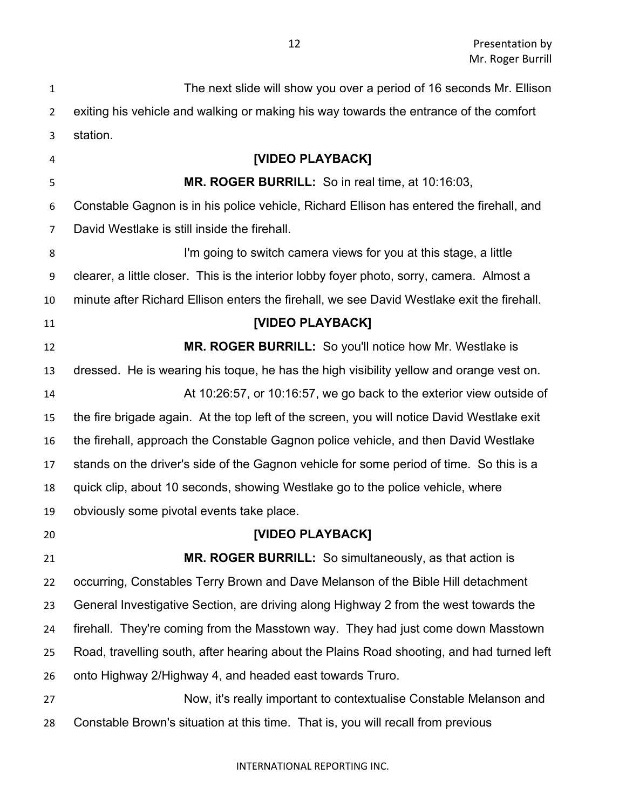| $\mathbf{1}$ | The next slide will show you over a period of 16 seconds Mr. Ellison                       |
|--------------|--------------------------------------------------------------------------------------------|
| 2            | exiting his vehicle and walking or making his way towards the entrance of the comfort      |
| 3            | station.                                                                                   |
| 4            | [VIDEO PLAYBACK]                                                                           |
| 5            | MR. ROGER BURRILL: So in real time, at 10:16:03,                                           |
| 6            | Constable Gagnon is in his police vehicle, Richard Ellison has entered the firehall, and   |
| 7            | David Westlake is still inside the firehall.                                               |
| 8            | I'm going to switch camera views for you at this stage, a little                           |
| 9            | clearer, a little closer. This is the interior lobby foyer photo, sorry, camera. Almost a  |
| 10           | minute after Richard Ellison enters the firehall, we see David Westlake exit the firehall. |
| 11           | [VIDEO PLAYBACK]                                                                           |
| 12           | MR. ROGER BURRILL: So you'll notice how Mr. Westlake is                                    |
| 13           | dressed. He is wearing his toque, he has the high visibility yellow and orange vest on.    |
| 14           | At 10:26:57, or 10:16:57, we go back to the exterior view outside of                       |
| 15           | the fire brigade again. At the top left of the screen, you will notice David Westlake exit |
| 16           | the firehall, approach the Constable Gagnon police vehicle, and then David Westlake        |
| 17           | stands on the driver's side of the Gagnon vehicle for some period of time. So this is a    |
| 18           | quick clip, about 10 seconds, showing Westlake go to the police vehicle, where             |
| 19           | obviously some pivotal events take place.                                                  |
| 20           | [VIDEO PLAYBACK]                                                                           |
| 21           | MR. ROGER BURRILL: So simultaneously, as that action is                                    |
| 22           | occurring, Constables Terry Brown and Dave Melanson of the Bible Hill detachment           |
| 23           | General Investigative Section, are driving along Highway 2 from the west towards the       |
| 24           | firehall. They're coming from the Masstown way. They had just come down Masstown           |
| 25           | Road, travelling south, after hearing about the Plains Road shooting, and had turned left  |
| 26           | onto Highway 2/Highway 4, and headed east towards Truro.                                   |
| 27           | Now, it's really important to contextualise Constable Melanson and                         |
| 28           | Constable Brown's situation at this time. That is, you will recall from previous           |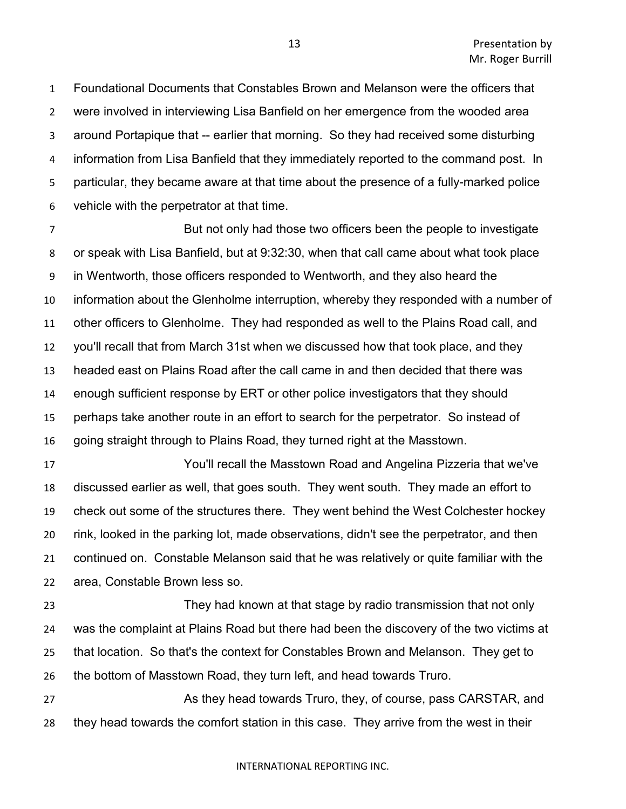Foundational Documents that Constables Brown and Melanson were the officers that were involved in interviewing Lisa Banfield on her emergence from the wooded area around Portapique that -- earlier that morning. So they had received some disturbing information from Lisa Banfield that they immediately reported to the command post. In particular, they became aware at that time about the presence of a fully-marked police vehicle with the perpetrator at that time.

 But not only had those two officers been the people to investigate or speak with Lisa Banfield, but at 9:32:30, when that call came about what took place in Wentworth, those officers responded to Wentworth, and they also heard the information about the Glenholme interruption, whereby they responded with a number of other officers to Glenholme. They had responded as well to the Plains Road call, and you'll recall that from March 31st when we discussed how that took place, and they headed east on Plains Road after the call came in and then decided that there was enough sufficient response by ERT or other police investigators that they should perhaps take another route in an effort to search for the perpetrator. So instead of going straight through to Plains Road, they turned right at the Masstown.

 You'll recall the Masstown Road and Angelina Pizzeria that we've discussed earlier as well, that goes south. They went south. They made an effort to check out some of the structures there. They went behind the West Colchester hockey rink, looked in the parking lot, made observations, didn't see the perpetrator, and then continued on. Constable Melanson said that he was relatively or quite familiar with the area, Constable Brown less so.

 They had known at that stage by radio transmission that not only was the complaint at Plains Road but there had been the discovery of the two victims at that location. So that's the context for Constables Brown and Melanson. They get to the bottom of Masstown Road, they turn left, and head towards Truro.

27 As they head towards Truro, they, of course, pass CARSTAR, and they head towards the comfort station in this case. They arrive from the west in their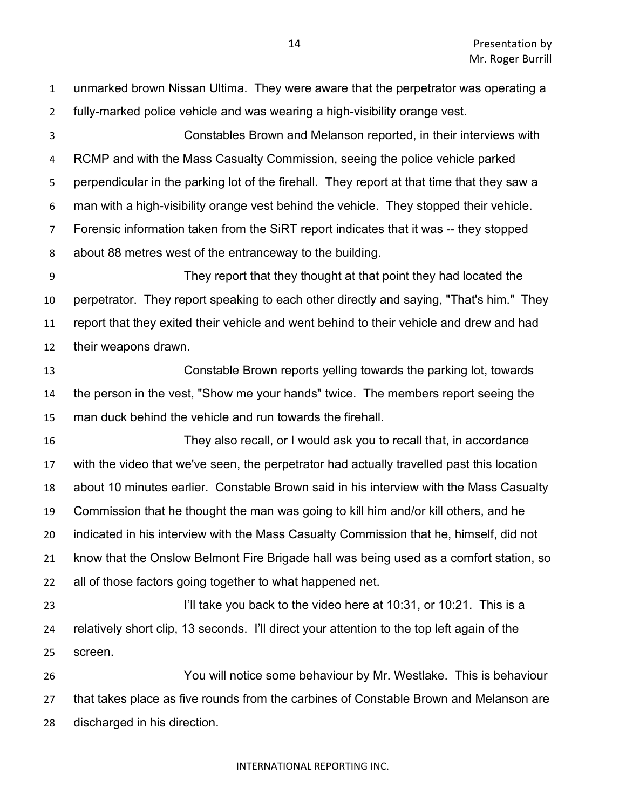unmarked brown Nissan Ultima. They were aware that the perpetrator was operating a fully-marked police vehicle and was wearing a high-visibility orange vest. Constables Brown and Melanson reported, in their interviews with RCMP and with the Mass Casualty Commission, seeing the police vehicle parked perpendicular in the parking lot of the firehall. They report at that time that they saw a man with a high-visibility orange vest behind the vehicle. They stopped their vehicle. Forensic information taken from the SiRT report indicates that it was -- they stopped about 88 metres west of the entranceway to the building. They report that they thought at that point they had located the perpetrator. They report speaking to each other directly and saying, "That's him." They report that they exited their vehicle and went behind to their vehicle and drew and had their weapons drawn. Constable Brown reports yelling towards the parking lot, towards the person in the vest, "Show me your hands" twice. The members report seeing the man duck behind the vehicle and run towards the firehall. They also recall, or I would ask you to recall that, in accordance with the video that we've seen, the perpetrator had actually travelled past this location about 10 minutes earlier. Constable Brown said in his interview with the Mass Casualty Commission that he thought the man was going to kill him and/or kill others, and he indicated in his interview with the Mass Casualty Commission that he, himself, did not know that the Onslow Belmont Fire Brigade hall was being used as a comfort station, so all of those factors going together to what happened net. 23 I'll take you back to the video here at 10:31, or 10:21. This is a relatively short clip, 13 seconds. I'll direct your attention to the top left again of the screen. You will notice some behaviour by Mr. Westlake. This is behaviour that takes place as five rounds from the carbines of Constable Brown and Melanson are discharged in his direction.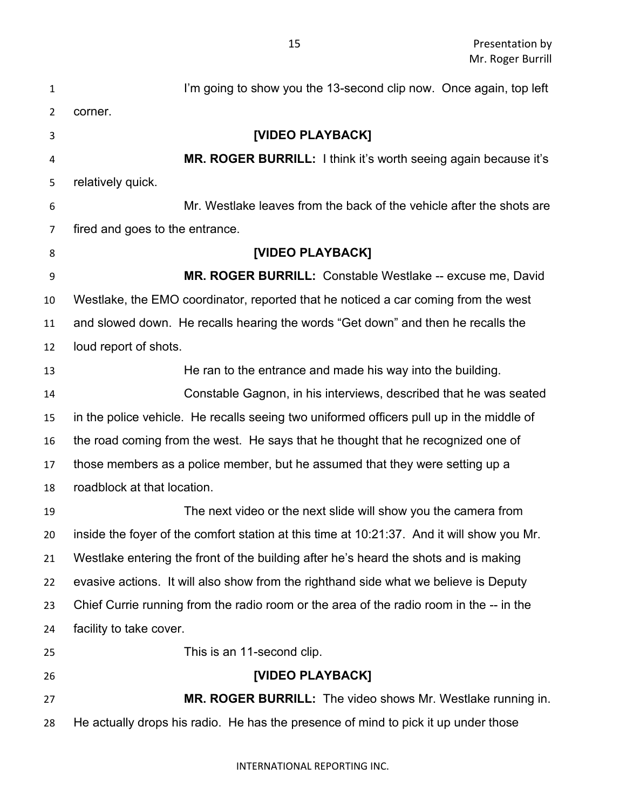| $\mathbf{1}$   | I'm going to show you the 13-second clip now. Once again, top left                         |
|----------------|--------------------------------------------------------------------------------------------|
| $\overline{2}$ | corner.                                                                                    |
| 3              | [VIDEO PLAYBACK]                                                                           |
| 4              | MR. ROGER BURRILL: I think it's worth seeing again because it's                            |
| 5              | relatively quick.                                                                          |
| 6              | Mr. Westlake leaves from the back of the vehicle after the shots are                       |
| $\overline{7}$ | fired and goes to the entrance.                                                            |
| 8              | [VIDEO PLAYBACK]                                                                           |
| 9              | MR. ROGER BURRILL: Constable Westlake -- excuse me, David                                  |
| 10             | Westlake, the EMO coordinator, reported that he noticed a car coming from the west         |
| 11             | and slowed down. He recalls hearing the words "Get down" and then he recalls the           |
| 12             | loud report of shots.                                                                      |
| 13             | He ran to the entrance and made his way into the building.                                 |
| 14             | Constable Gagnon, in his interviews, described that he was seated                          |
| 15             | in the police vehicle. He recalls seeing two uniformed officers pull up in the middle of   |
| 16             | the road coming from the west. He says that he thought that he recognized one of           |
| 17             | those members as a police member, but he assumed that they were setting up a               |
| 18             | roadblock at that location.                                                                |
| 19             | The next video or the next slide will show you the camera from                             |
| 20             | inside the foyer of the comfort station at this time at 10:21:37. And it will show you Mr. |
| 21             | Westlake entering the front of the building after he's heard the shots and is making       |
| 22             | evasive actions. It will also show from the righthand side what we believe is Deputy       |
| 23             | Chief Currie running from the radio room or the area of the radio room in the -- in the    |
| 24             | facility to take cover.                                                                    |
| 25             | This is an 11-second clip.                                                                 |
| 26             | [VIDEO PLAYBACK]                                                                           |
| 27             | <b>MR. ROGER BURRILL:</b> The video shows Mr. Westlake running in.                         |
| 28             | He actually drops his radio. He has the presence of mind to pick it up under those         |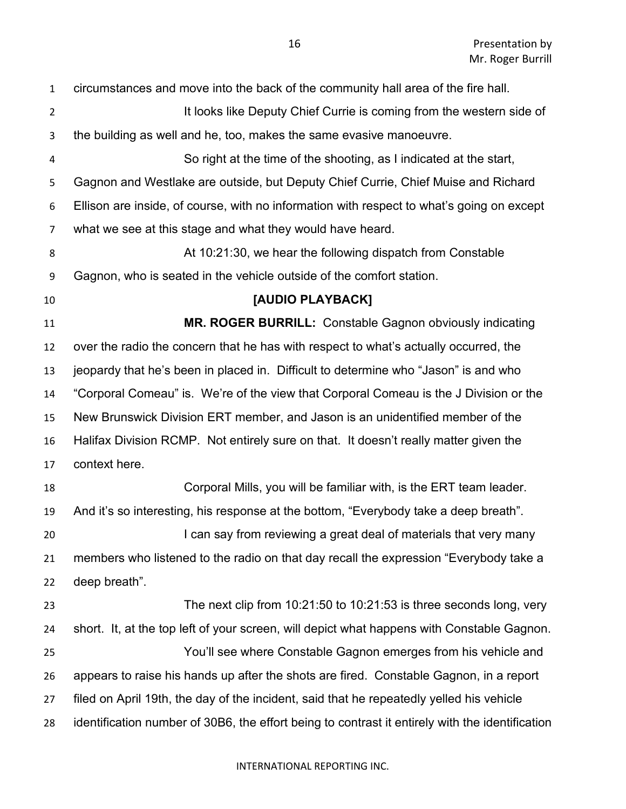| $\mathbf{1}$   | circumstances and move into the back of the community hall area of the fire hall.               |
|----------------|-------------------------------------------------------------------------------------------------|
| $\overline{2}$ | It looks like Deputy Chief Currie is coming from the western side of                            |
| 3              | the building as well and he, too, makes the same evasive manoeuvre.                             |
| 4              | So right at the time of the shooting, as I indicated at the start,                              |
| 5              | Gagnon and Westlake are outside, but Deputy Chief Currie, Chief Muise and Richard               |
| 6              | Ellison are inside, of course, with no information with respect to what's going on except       |
| $\overline{7}$ | what we see at this stage and what they would have heard.                                       |
| 8              | At 10:21:30, we hear the following dispatch from Constable                                      |
| 9              | Gagnon, who is seated in the vehicle outside of the comfort station.                            |
| 10             | [AUDIO PLAYBACK]                                                                                |
| 11             | <b>MR. ROGER BURRILL:</b> Constable Gagnon obviously indicating                                 |
| 12             | over the radio the concern that he has with respect to what's actually occurred, the            |
| 13             | jeopardy that he's been in placed in. Difficult to determine who "Jason" is and who             |
| 14             | "Corporal Comeau" is. We're of the view that Corporal Comeau is the J Division or the           |
| 15             | New Brunswick Division ERT member, and Jason is an unidentified member of the                   |
| 16             | Halifax Division RCMP. Not entirely sure on that. It doesn't really matter given the            |
| 17             | context here.                                                                                   |
| 18             | Corporal Mills, you will be familiar with, is the ERT team leader.                              |
| 19             | And it's so interesting, his response at the bottom, "Everybody take a deep breath".            |
| 20             | I can say from reviewing a great deal of materials that very many                               |
| 21             | members who listened to the radio on that day recall the expression "Everybody take a           |
| 22             | deep breath".                                                                                   |
| 23             | The next clip from $10:21:50$ to $10:21:53$ is three seconds long, very                         |
| 24             | short. It, at the top left of your screen, will depict what happens with Constable Gagnon.      |
| 25             | You'll see where Constable Gagnon emerges from his vehicle and                                  |
| 26             | appears to raise his hands up after the shots are fired. Constable Gagnon, in a report          |
| 27             | filed on April 19th, the day of the incident, said that he repeatedly yelled his vehicle        |
| 28             | identification number of 30B6, the effort being to contrast it entirely with the identification |
|                |                                                                                                 |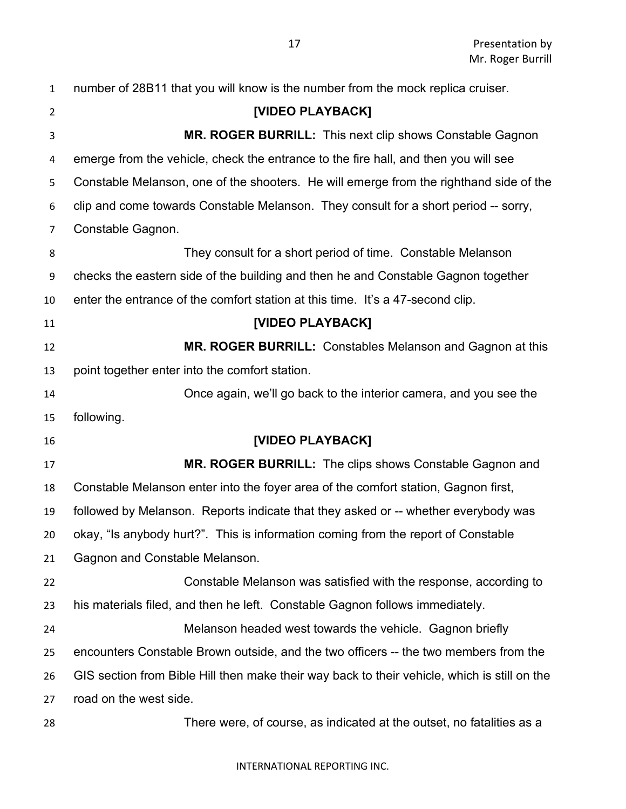| $\mathbf{1}$   | number of 28B11 that you will know is the number from the mock replica cruiser.              |
|----------------|----------------------------------------------------------------------------------------------|
| $\overline{2}$ | [VIDEO PLAYBACK]                                                                             |
| 3              | MR. ROGER BURRILL: This next clip shows Constable Gagnon                                     |
| 4              | emerge from the vehicle, check the entrance to the fire hall, and then you will see          |
| 5              | Constable Melanson, one of the shooters. He will emerge from the righthand side of the       |
| 6              | clip and come towards Constable Melanson. They consult for a short period -- sorry,          |
| 7              | Constable Gagnon.                                                                            |
| 8              | They consult for a short period of time. Constable Melanson                                  |
| 9              | checks the eastern side of the building and then he and Constable Gagnon together            |
| 10             | enter the entrance of the comfort station at this time. It's a 47-second clip.               |
| 11             | [VIDEO PLAYBACK]                                                                             |
| 12             | <b>MR. ROGER BURRILL:</b> Constables Melanson and Gagnon at this                             |
| 13             | point together enter into the comfort station.                                               |
| 14             | Once again, we'll go back to the interior camera, and you see the                            |
| 15             | following.                                                                                   |
| 16             | [VIDEO PLAYBACK]                                                                             |
| 17             | MR. ROGER BURRILL: The clips shows Constable Gagnon and                                      |
| 18             | Constable Melanson enter into the foyer area of the comfort station, Gagnon first,           |
| 19             | followed by Melanson. Reports indicate that they asked or -- whether everybody was           |
| 20             | okay, "Is anybody hurt?". This is information coming from the report of Constable            |
| 21             | Gagnon and Constable Melanson.                                                               |
| 22             | Constable Melanson was satisfied with the response, according to                             |
| 23             | his materials filed, and then he left. Constable Gagnon follows immediately.                 |
| 24             | Melanson headed west towards the vehicle. Gagnon briefly                                     |
| 25             | encounters Constable Brown outside, and the two officers -- the two members from the         |
| 26             | GIS section from Bible Hill then make their way back to their vehicle, which is still on the |
| 27             | road on the west side.                                                                       |
| 28             | There were, of course, as indicated at the outset, no fatalities as a                        |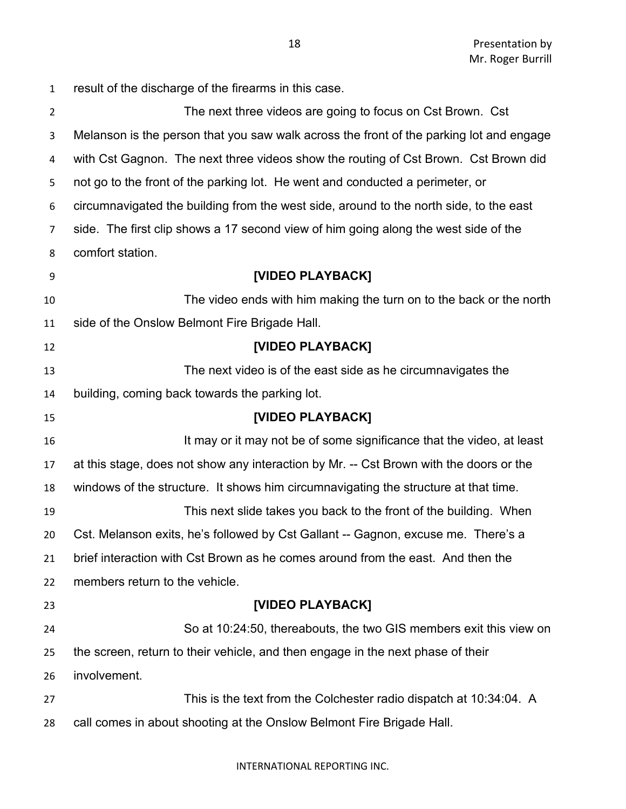result of the discharge of the firearms in this case. The next three videos are going to focus on Cst Brown. Cst Melanson is the person that you saw walk across the front of the parking lot and engage with Cst Gagnon. The next three videos show the routing of Cst Brown. Cst Brown did not go to the front of the parking lot. He went and conducted a perimeter, or circumnavigated the building from the west side, around to the north side, to the east side. The first clip shows a 17 second view of him going along the west side of the comfort station. **[VIDEO PLAYBACK]** The video ends with him making the turn on to the back or the north side of the Onslow Belmont Fire Brigade Hall. **[VIDEO PLAYBACK]** The next video is of the east side as he circumnavigates the building, coming back towards the parking lot. **[VIDEO PLAYBACK] If may or it may not be of some significance that the video, at least**  at this stage, does not show any interaction by Mr. -- Cst Brown with the doors or the windows of the structure. It shows him circumnavigating the structure at that time. This next slide takes you back to the front of the building. When Cst. Melanson exits, he's followed by Cst Gallant -- Gagnon, excuse me. There's a brief interaction with Cst Brown as he comes around from the east. And then the members return to the vehicle. **[VIDEO PLAYBACK]** So at 10:24:50, thereabouts, the two GIS members exit this view on the screen, return to their vehicle, and then engage in the next phase of their involvement. This is the text from the Colchester radio dispatch at 10:34:04. A call comes in about shooting at the Onslow Belmont Fire Brigade Hall.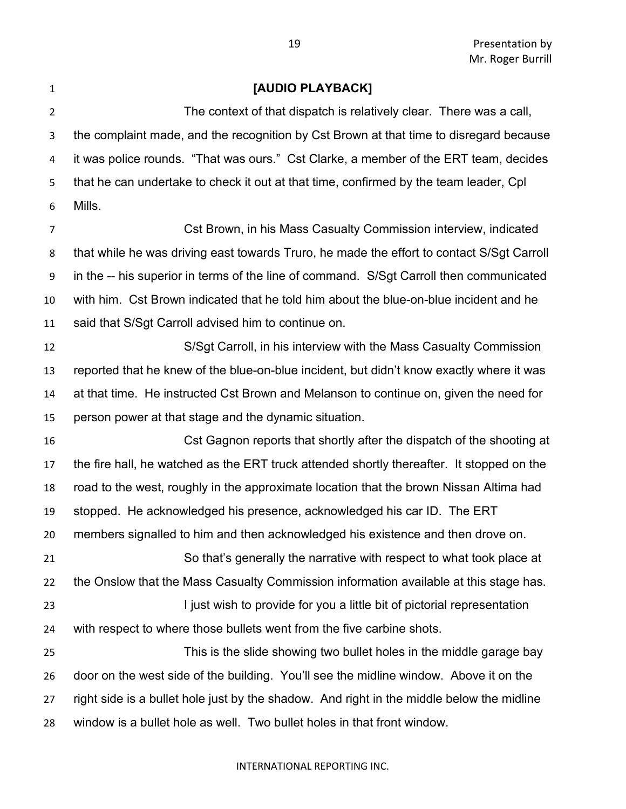### **[AUDIO PLAYBACK]**

 The context of that dispatch is relatively clear. There was a call, the complaint made, and the recognition by Cst Brown at that time to disregard because it was police rounds. "That was ours." Cst Clarke, a member of the ERT team, decides that he can undertake to check it out at that time, confirmed by the team leader, Cpl Mills.

 Cst Brown, in his Mass Casualty Commission interview, indicated that while he was driving east towards Truro, he made the effort to contact S/Sgt Carroll in the -- his superior in terms of the line of command. S/Sgt Carroll then communicated with him. Cst Brown indicated that he told him about the blue-on-blue incident and he said that S/Sgt Carroll advised him to continue on.

 S/Sgt Carroll, in his interview with the Mass Casualty Commission reported that he knew of the blue-on-blue incident, but didn't know exactly where it was at that time. He instructed Cst Brown and Melanson to continue on, given the need for person power at that stage and the dynamic situation.

 Cst Gagnon reports that shortly after the dispatch of the shooting at the fire hall, he watched as the ERT truck attended shortly thereafter. It stopped on the road to the west, roughly in the approximate location that the brown Nissan Altima had stopped. He acknowledged his presence, acknowledged his car ID. The ERT members signalled to him and then acknowledged his existence and then drove on. So that's generally the narrative with respect to what took place at the Onslow that the Mass Casualty Commission information available at this stage has.

23 I just wish to provide for you a little bit of pictorial representation with respect to where those bullets went from the five carbine shots.

 This is the slide showing two bullet holes in the middle garage bay door on the west side of the building. You'll see the midline window. Above it on the right side is a bullet hole just by the shadow. And right in the middle below the midline window is a bullet hole as well. Two bullet holes in that front window.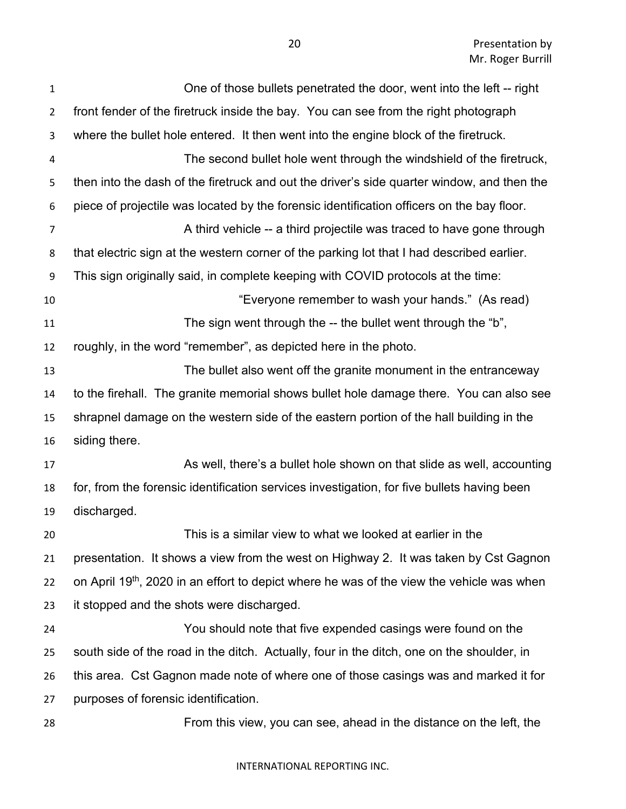| $\mathbf{1}$   | One of those bullets penetrated the door, went into the left -- right                                 |
|----------------|-------------------------------------------------------------------------------------------------------|
| $\overline{2}$ | front fender of the firetruck inside the bay. You can see from the right photograph                   |
| 3              | where the bullet hole entered. It then went into the engine block of the firetruck.                   |
| 4              | The second bullet hole went through the windshield of the firetruck,                                  |
| 5              | then into the dash of the firetruck and out the driver's side quarter window, and then the            |
| 6              | piece of projectile was located by the forensic identification officers on the bay floor.             |
| $\overline{7}$ | A third vehicle -- a third projectile was traced to have gone through                                 |
| 8              | that electric sign at the western corner of the parking lot that I had described earlier.             |
| 9              | This sign originally said, in complete keeping with COVID protocols at the time:                      |
| 10             | "Everyone remember to wash your hands." (As read)                                                     |
| 11             | The sign went through the -- the bullet went through the "b",                                         |
| 12             | roughly, in the word "remember", as depicted here in the photo.                                       |
| 13             | The bullet also went off the granite monument in the entranceway                                      |
| 14             | to the firehall. The granite memorial shows bullet hole damage there. You can also see                |
| 15             | shrapnel damage on the western side of the eastern portion of the hall building in the                |
| 16             | siding there.                                                                                         |
| 17             | As well, there's a bullet hole shown on that slide as well, accounting                                |
| 18             | for, from the forensic identification services investigation, for five bullets having been            |
| 19             | discharged.                                                                                           |
| 20             | This is a similar view to what we looked at earlier in the                                            |
| 21             | presentation. It shows a view from the west on Highway 2. It was taken by Cst Gagnon                  |
| 22             | on April 19 <sup>th</sup> , 2020 in an effort to depict where he was of the view the vehicle was when |
| 23             | it stopped and the shots were discharged.                                                             |
| 24             | You should note that five expended casings were found on the                                          |
| 25             | south side of the road in the ditch. Actually, four in the ditch, one on the shoulder, in             |
| 26             | this area. Cst Gagnon made note of where one of those casings was and marked it for                   |
| 27             | purposes of forensic identification.                                                                  |
| 28             | From this view, you can see, ahead in the distance on the left, the                                   |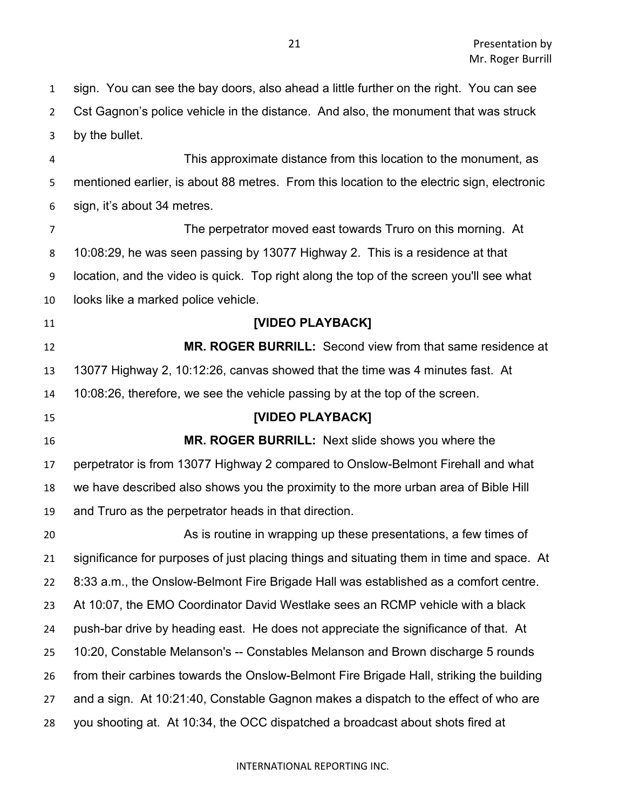sign. You can see the bay doors, also ahead a little further on the right. You can see Cst Gagnon's police vehicle in the distance. And also, the monument that was struck by the bullet.

 This approximate distance from this location to the monument, as mentioned earlier, is about 88 metres. From this location to the electric sign, electronic sign, it's about 34 metres.

 The perpetrator moved east towards Truro on this morning. At 10:08:29, he was seen passing by 13077 Highway 2. This is a residence at that location, and the video is quick. Top right along the top of the screen you'll see what looks like a marked police vehicle.

# **[VIDEO PLAYBACK]**

 **MR. ROGER BURRILL:** Second view from that same residence at 13077 Highway 2, 10:12:26, canvas showed that the time was 4 minutes fast. At 10:08:26, therefore, we see the vehicle passing by at the top of the screen.

# **[VIDEO PLAYBACK]**

 **MR. ROGER BURRILL:** Next slide shows you where the perpetrator is from 13077 Highway 2 compared to Onslow-Belmont Firehall and what we have described also shows you the proximity to the more urban area of Bible Hill and Truro as the perpetrator heads in that direction.

 As is routine in wrapping up these presentations, a few times of significance for purposes of just placing things and situating them in time and space. At 8:33 a.m., the Onslow-Belmont Fire Brigade Hall was established as a comfort centre. At 10:07, the EMO Coordinator David Westlake sees an RCMP vehicle with a black push-bar drive by heading east. He does not appreciate the significance of that. At 10:20, Constable Melanson's -- Constables Melanson and Brown discharge 5 rounds from their carbines towards the Onslow-Belmont Fire Brigade Hall, striking the building and a sign. At 10:21:40, Constable Gagnon makes a dispatch to the effect of who are you shooting at. At 10:34, the OCC dispatched a broadcast about shots fired at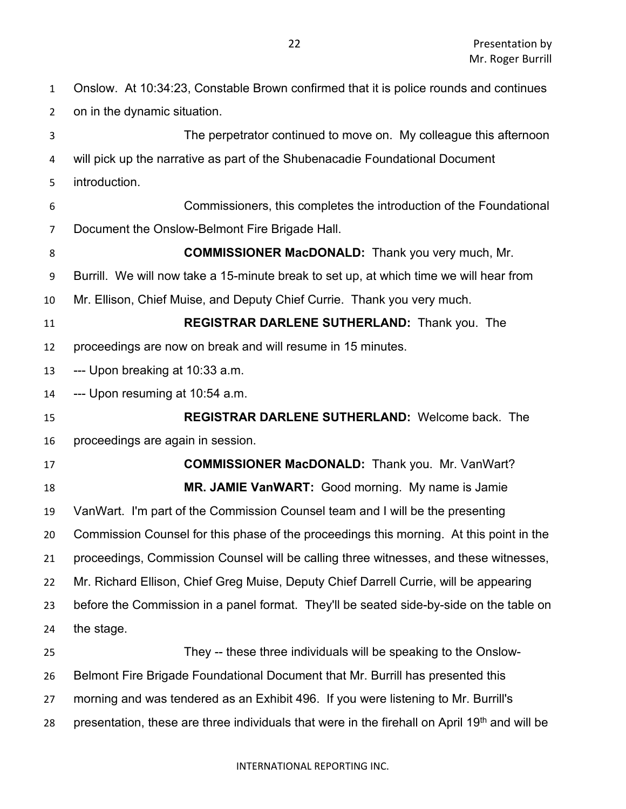Onslow. At 10:34:23, Constable Brown confirmed that it is police rounds and continues on in the dynamic situation. The perpetrator continued to move on. My colleague this afternoon will pick up the narrative as part of the Shubenacadie Foundational Document introduction. Commissioners, this completes the introduction of the Foundational Document the Onslow-Belmont Fire Brigade Hall. **COMMISSIONER MacDONALD:** Thank you very much, Mr. Burrill. We will now take a 15-minute break to set up, at which time we will hear from Mr. Ellison, Chief Muise, and Deputy Chief Currie. Thank you very much. **REGISTRAR DARLENE SUTHERLAND:** Thank you. The proceedings are now on break and will resume in 15 minutes. --- Upon breaking at 10:33 a.m. --- Upon resuming at 10:54 a.m. **REGISTRAR DARLENE SUTHERLAND:** Welcome back. The proceedings are again in session. **COMMISSIONER MacDONALD:** Thank you. Mr. VanWart? **MR. JAMIE VanWART:** Good morning. My name is Jamie VanWart. I'm part of the Commission Counsel team and I will be the presenting Commission Counsel for this phase of the proceedings this morning. At this point in the proceedings, Commission Counsel will be calling three witnesses, and these witnesses, Mr. Richard Ellison, Chief Greg Muise, Deputy Chief Darrell Currie, will be appearing before the Commission in a panel format. They'll be seated side-by-side on the table on the stage. They -- these three individuals will be speaking to the Onslow- Belmont Fire Brigade Foundational Document that Mr. Burrill has presented this morning and was tendered as an Exhibit 496. If you were listening to Mr. Burrill's 28 presentation, these are three individuals that were in the firehall on April 19<sup>th</sup> and will be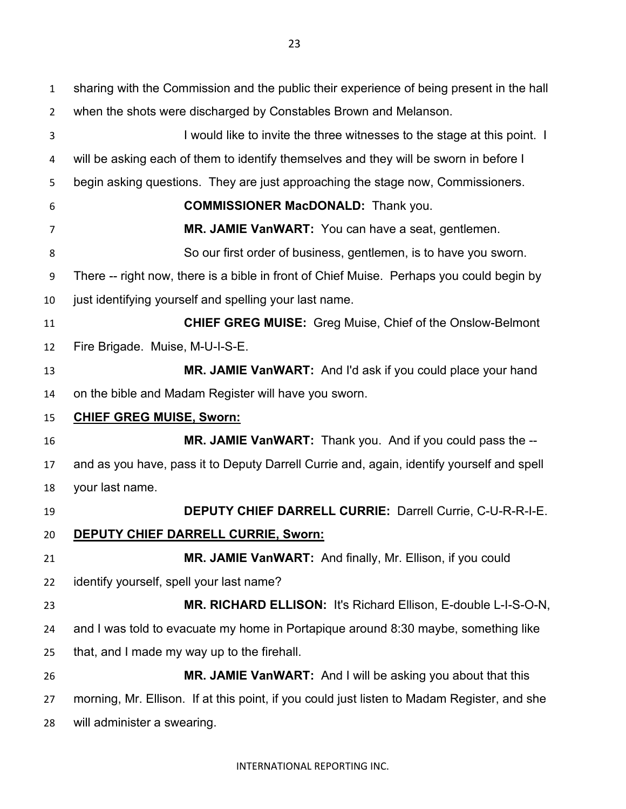sharing with the Commission and the public their experience of being present in the hall when the shots were discharged by Constables Brown and Melanson. I would like to invite the three witnesses to the stage at this point. I will be asking each of them to identify themselves and they will be sworn in before I begin asking questions. They are just approaching the stage now, Commissioners. **COMMISSIONER MacDONALD:** Thank you. **MR. JAMIE VanWART:** You can have a seat, gentlemen. So our first order of business, gentlemen, is to have you sworn. There -- right now, there is a bible in front of Chief Muise. Perhaps you could begin by just identifying yourself and spelling your last name. **CHIEF GREG MUISE:** Greg Muise, Chief of the Onslow-Belmont Fire Brigade. Muise, M-U-I-S-E. **MR. JAMIE VanWART:** And I'd ask if you could place your hand on the bible and Madam Register will have you sworn. **CHIEF GREG MUISE, Sworn: MR. JAMIE VanWART:** Thank you. And if you could pass the -- and as you have, pass it to Deputy Darrell Currie and, again, identify yourself and spell your last name. **DEPUTY CHIEF DARRELL CURRIE:** Darrell Currie, C-U-R-R-I-E. **DEPUTY CHIEF DARRELL CURRIE, Sworn: MR. JAMIE VanWART:** And finally, Mr. Ellison, if you could identify yourself, spell your last name? **MR. RICHARD ELLISON:** It's Richard Ellison, E-double L-I-S-O-N, and I was told to evacuate my home in Portapique around 8:30 maybe, something like that, and I made my way up to the firehall. **MR. JAMIE VanWART:** And I will be asking you about that this morning, Mr. Ellison. If at this point, if you could just listen to Madam Register, and she will administer a swearing.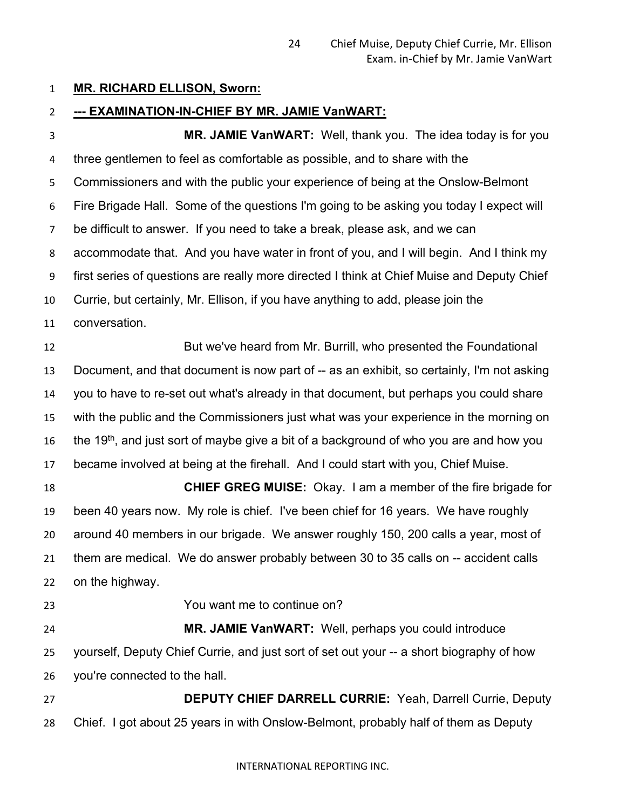### **MR. RICHARD ELLISON, Sworn:**

### **--- EXAMINATION-IN-CHIEF BY MR. JAMIE VanWART:**

**MR. JAMIE VanWART:** Well, thank you. The idea today is for you three gentlemen to feel as comfortable as possible, and to share with the Commissioners and with the public your experience of being at the Onslow-Belmont Fire Brigade Hall. Some of the questions I'm going to be asking you today I expect will be difficult to answer. If you need to take a break, please ask, and we can accommodate that. And you have water in front of you, and I will begin. And I think my first series of questions are really more directed I think at Chief Muise and Deputy Chief Currie, but certainly, Mr. Ellison, if you have anything to add, please join the conversation. But we've heard from Mr. Burrill, who presented the Foundational Document, and that document is now part of -- as an exhibit, so certainly, I'm not asking you to have to re-set out what's already in that document, but perhaps you could share with the public and the Commissioners just what was your experience in the morning on 16 the 19<sup>th</sup>, and just sort of maybe give a bit of a background of who you are and how you became involved at being at the firehall. And I could start with you, Chief Muise. **CHIEF GREG MUISE:** Okay. I am a member of the fire brigade for been 40 years now. My role is chief. I've been chief for 16 years. We have roughly around 40 members in our brigade. We answer roughly 150, 200 calls a year, most of them are medical. We do answer probably between 30 to 35 calls on -- accident calls on the highway. You want me to continue on? **MR. JAMIE VanWART:** Well, perhaps you could introduce yourself, Deputy Chief Currie, and just sort of set out your -- a short biography of how you're connected to the hall. **DEPUTY CHIEF DARRELL CURRIE:** Yeah, Darrell Currie, Deputy Chief. I got about 25 years in with Onslow-Belmont, probably half of them as Deputy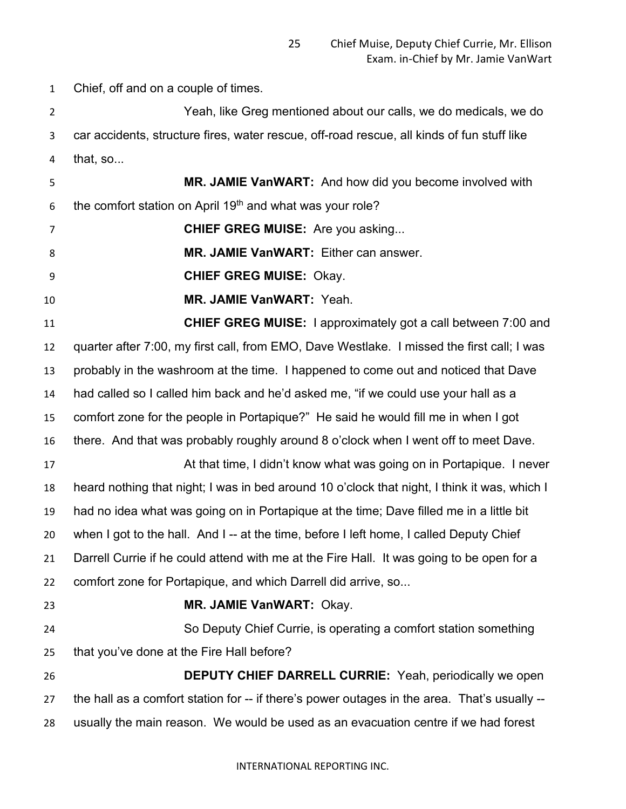Chief, off and on a couple of times.

 Yeah, like Greg mentioned about our calls, we do medicals, we do car accidents, structure fires, water rescue, off-road rescue, all kinds of fun stuff like that, so...

 **MR. JAMIE VanWART:** And how did you become involved with 6 the comfort station on April 19<sup>th</sup> and what was your role?

**CHIEF GREG MUISE:** Are you asking...

**MR. JAMIE VanWART:** Either can answer.

**CHIEF GREG MUISE:** Okay.

**MR. JAMIE VanWART:** Yeah.

 **CHIEF GREG MUISE:** I approximately got a call between 7:00 and quarter after 7:00, my first call, from EMO, Dave Westlake. I missed the first call; I was probably in the washroom at the time. I happened to come out and noticed that Dave had called so I called him back and he'd asked me, "if we could use your hall as a comfort zone for the people in Portapique?" He said he would fill me in when I got there. And that was probably roughly around 8 o'clock when I went off to meet Dave. At that time, I didn't know what was going on in Portapique. I never heard nothing that night; I was in bed around 10 o'clock that night, I think it was, which I had no idea what was going on in Portapique at the time; Dave filled me in a little bit when I got to the hall. And I -- at the time, before I left home, I called Deputy Chief Darrell Currie if he could attend with me at the Fire Hall. It was going to be open for a comfort zone for Portapique, and which Darrell did arrive, so... **MR. JAMIE VanWART:** Okay.

 So Deputy Chief Currie, is operating a comfort station something that you've done at the Fire Hall before?

 **DEPUTY CHIEF DARRELL CURRIE:** Yeah, periodically we open 27 the hall as a comfort station for -- if there's power outages in the area. That's usually --usually the main reason. We would be used as an evacuation centre if we had forest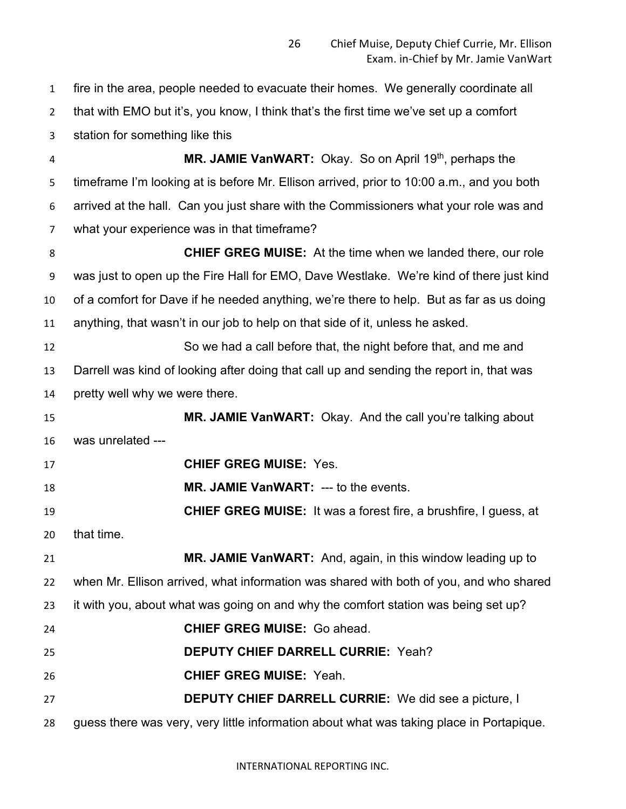fire in the area, people needed to evacuate their homes. We generally coordinate all that with EMO but it's, you know, I think that's the first time we've set up a comfort station for something like this **MR. JAMIE VanWART:** Okay. So on April 19<sup>th</sup>, perhaps the timeframe I'm looking at is before Mr. Ellison arrived, prior to 10:00 a.m., and you both arrived at the hall. Can you just share with the Commissioners what your role was and what your experience was in that timeframe? **CHIEF GREG MUISE:** At the time when we landed there, our role was just to open up the Fire Hall for EMO, Dave Westlake. We're kind of there just kind of a comfort for Dave if he needed anything, we're there to help. But as far as us doing anything, that wasn't in our job to help on that side of it, unless he asked. So we had a call before that, the night before that, and me and Darrell was kind of looking after doing that call up and sending the report in, that was pretty well why we were there. **MR. JAMIE VanWART:** Okay. And the call you're talking about was unrelated --- **CHIEF GREG MUISE:** Yes. **MR. JAMIE VanWART:** --- to the events. **CHIEF GREG MUISE:** It was a forest fire, a brushfire, I guess, at that time. **MR. JAMIE VanWART:** And, again, in this window leading up to when Mr. Ellison arrived, what information was shared with both of you, and who shared it with you, about what was going on and why the comfort station was being set up? **CHIEF GREG MUISE:** Go ahead. **DEPUTY CHIEF DARRELL CURRIE:** Yeah? **CHIEF GREG MUISE:** Yeah. **DEPUTY CHIEF DARRELL CURRIE:** We did see a picture, I guess there was very, very little information about what was taking place in Portapique.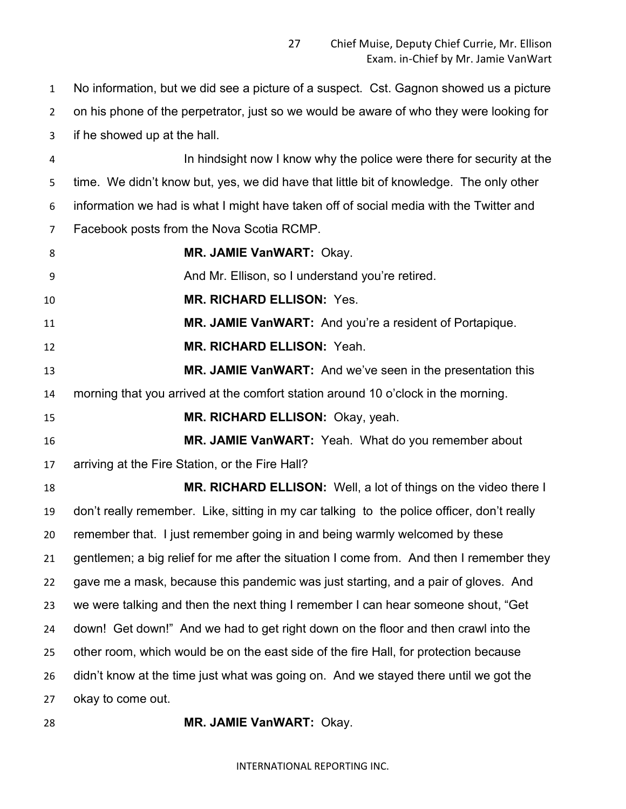No information, but we did see a picture of a suspect. Cst. Gagnon showed us a picture on his phone of the perpetrator, just so we would be aware of who they were looking for if he showed up at the hall. In hindsight now I know why the police were there for security at the

 time. We didn't know but, yes, we did have that little bit of knowledge. The only other information we had is what I might have taken off of social media with the Twitter and Facebook posts from the Nova Scotia RCMP.

**MR. JAMIE VanWART:** Okay.

And Mr. Ellison, so I understand you're retired.

**MR. RICHARD ELLISON:** Yes.

**MR. JAMIE VanWART:** And you're a resident of Portapique.

**MR. RICHARD ELLISON:** Yeah.

 **MR. JAMIE VanWART:** And we've seen in the presentation this morning that you arrived at the comfort station around 10 o'clock in the morning.

**MR. RICHARD ELLISON:** Okay, yeah.

 **MR. JAMIE VanWART:** Yeah. What do you remember about arriving at the Fire Station, or the Fire Hall?

 **MR. RICHARD ELLISON:** Well, a lot of things on the video there I don't really remember. Like, sitting in my car talking to the police officer, don't really remember that. I just remember going in and being warmly welcomed by these gentlemen; a big relief for me after the situation I come from. And then I remember they gave me a mask, because this pandemic was just starting, and a pair of gloves. And we were talking and then the next thing I remember I can hear someone shout, "Get down! Get down!" And we had to get right down on the floor and then crawl into the other room, which would be on the east side of the fire Hall, for protection because didn't know at the time just what was going on. And we stayed there until we got the okay to come out.

**MR. JAMIE VanWART:** Okay.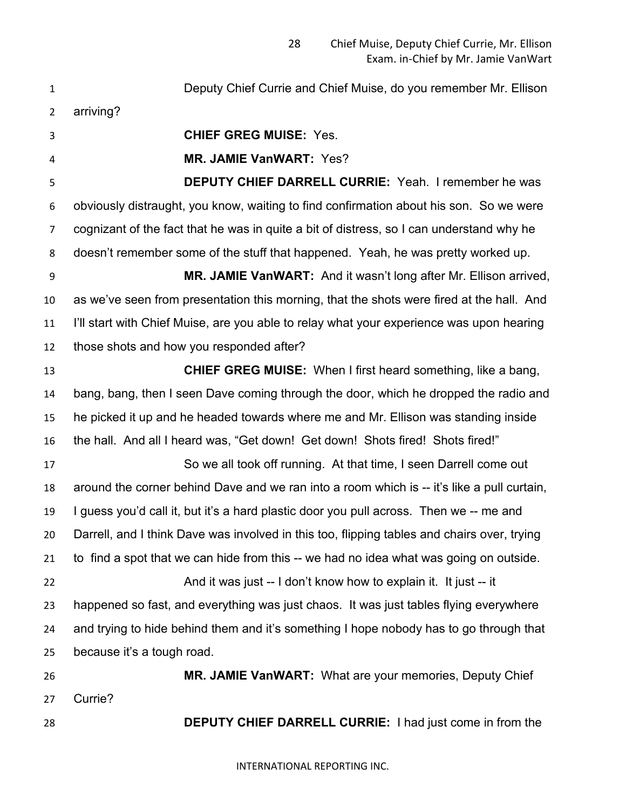Deputy Chief Currie and Chief Muise, do you remember Mr. Ellison arriving? **CHIEF GREG MUISE:** Yes. **MR. JAMIE VanWART:** Yes? **DEPUTY CHIEF DARRELL CURRIE:** Yeah. I remember he was obviously distraught, you know, waiting to find confirmation about his son. So we were cognizant of the fact that he was in quite a bit of distress, so I can understand why he doesn't remember some of the stuff that happened. Yeah, he was pretty worked up. **MR. JAMIE VanWART:** And it wasn't long after Mr. Ellison arrived, as we've seen from presentation this morning, that the shots were fired at the hall. And I'll start with Chief Muise, are you able to relay what your experience was upon hearing those shots and how you responded after? **CHIEF GREG MUISE:** When I first heard something, like a bang, bang, bang, then I seen Dave coming through the door, which he dropped the radio and he picked it up and he headed towards where me and Mr. Ellison was standing inside the hall. And all I heard was, "Get down! Get down! Shots fired! Shots fired!" So we all took off running. At that time, I seen Darrell come out around the corner behind Dave and we ran into a room which is -- it's like a pull curtain, I guess you'd call it, but it's a hard plastic door you pull across. Then we -- me and Darrell, and I think Dave was involved in this too, flipping tables and chairs over, trying to find a spot that we can hide from this -- we had no idea what was going on outside. And it was just -- I don't know how to explain it. It just -- it happened so fast, and everything was just chaos. It was just tables flying everywhere and trying to hide behind them and it's something I hope nobody has to go through that because it's a tough road. **MR. JAMIE VanWART:** What are your memories, Deputy Chief Currie? **DEPUTY CHIEF DARRELL CURRIE:** I had just come in from the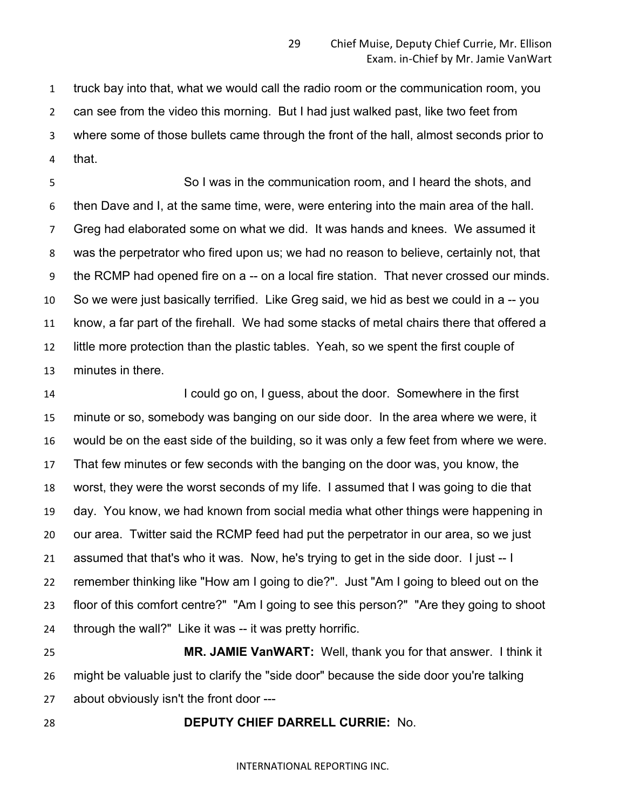truck bay into that, what we would call the radio room or the communication room, you can see from the video this morning. But I had just walked past, like two feet from where some of those bullets came through the front of the hall, almost seconds prior to that.

 So I was in the communication room, and I heard the shots, and then Dave and I, at the same time, were, were entering into the main area of the hall. Greg had elaborated some on what we did. It was hands and knees. We assumed it was the perpetrator who fired upon us; we had no reason to believe, certainly not, that the RCMP had opened fire on a -- on a local fire station. That never crossed our minds. So we were just basically terrified. Like Greg said, we hid as best we could in a -- you know, a far part of the firehall. We had some stacks of metal chairs there that offered a little more protection than the plastic tables. Yeah, so we spent the first couple of minutes in there.

 I could go on, I guess, about the door. Somewhere in the first minute or so, somebody was banging on our side door. In the area where we were, it would be on the east side of the building, so it was only a few feet from where we were. That few minutes or few seconds with the banging on the door was, you know, the worst, they were the worst seconds of my life. I assumed that I was going to die that day. You know, we had known from social media what other things were happening in our area. Twitter said the RCMP feed had put the perpetrator in our area, so we just assumed that that's who it was. Now, he's trying to get in the side door. I just -- I remember thinking like "How am I going to die?". Just "Am I going to bleed out on the floor of this comfort centre?" "Am I going to see this person?" "Are they going to shoot 24 through the wall?" Like it was -- it was pretty horrific.

 **MR. JAMIE VanWART:** Well, thank you for that answer. I think it might be valuable just to clarify the "side door" because the side door you're talking about obviously isn't the front door ---

### **DEPUTY CHIEF DARRELL CURRIE:** No.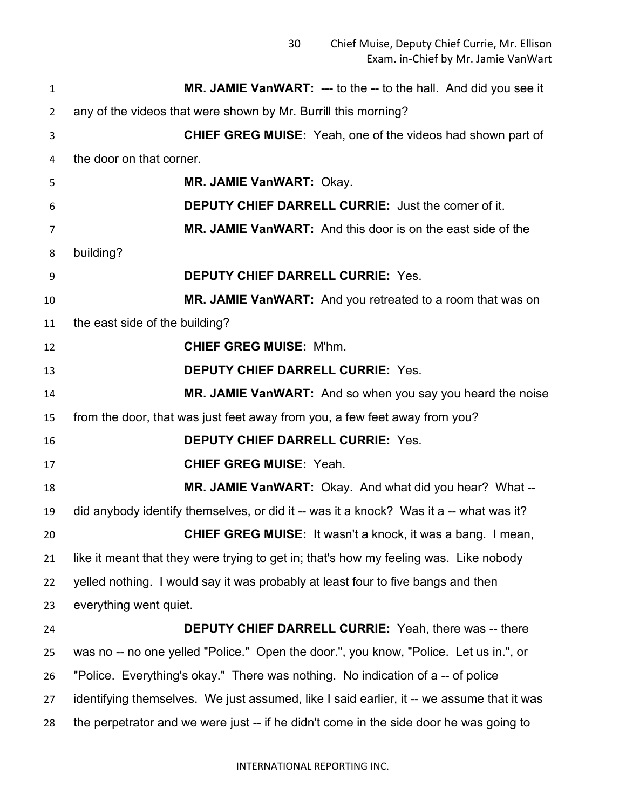| $\mathbf{1}$ | <b>MR. JAMIE VanWART:</b> --- to the -- to the hall. And did you see it                   |
|--------------|-------------------------------------------------------------------------------------------|
| 2            | any of the videos that were shown by Mr. Burrill this morning?                            |
| 3            | <b>CHIEF GREG MUISE:</b> Yeah, one of the videos had shown part of                        |
| 4            | the door on that corner.                                                                  |
| 5            | MR. JAMIE VanWART: Okay.                                                                  |
| 6            | <b>DEPUTY CHIEF DARRELL CURRIE: Just the corner of it.</b>                                |
| 7            | MR. JAMIE VanWART: And this door is on the east side of the                               |
| 8            | building?                                                                                 |
| 9            | <b>DEPUTY CHIEF DARRELL CURRIE: Yes.</b>                                                  |
| 10           | MR. JAMIE VanWART: And you retreated to a room that was on                                |
| 11           | the east side of the building?                                                            |
| 12           | <b>CHIEF GREG MUISE: M'hm.</b>                                                            |
| 13           | <b>DEPUTY CHIEF DARRELL CURRIE: Yes.</b>                                                  |
| 14           | MR. JAMIE VanWART: And so when you say you heard the noise                                |
| 15           | from the door, that was just feet away from you, a few feet away from you?                |
| 16           | <b>DEPUTY CHIEF DARRELL CURRIE: Yes.</b>                                                  |
| 17           | <b>CHIEF GREG MUISE: Yeah.</b>                                                            |
| 18           | MR. JAMIE VanWART: Okay. And what did you hear? What --                                   |
| 19           | did anybody identify themselves, or did it -- was it a knock? Was it a -- what was it?    |
| 20           | CHIEF GREG MUISE: It wasn't a knock, it was a bang. I mean,                               |
| 21           | like it meant that they were trying to get in; that's how my feeling was. Like nobody     |
| 22           | yelled nothing. I would say it was probably at least four to five bangs and then          |
| 23           | everything went quiet.                                                                    |
| 24           | <b>DEPUTY CHIEF DARRELL CURRIE:</b> Yeah, there was -- there                              |
| 25           | was no -- no one yelled "Police." Open the door.", you know, "Police. Let us in.", or     |
| 26           | "Police. Everything's okay." There was nothing. No indication of a -- of police           |
| 27           | identifying themselves. We just assumed, like I said earlier, it -- we assume that it was |
| 28           | the perpetrator and we were just -- if he didn't come in the side door he was going to    |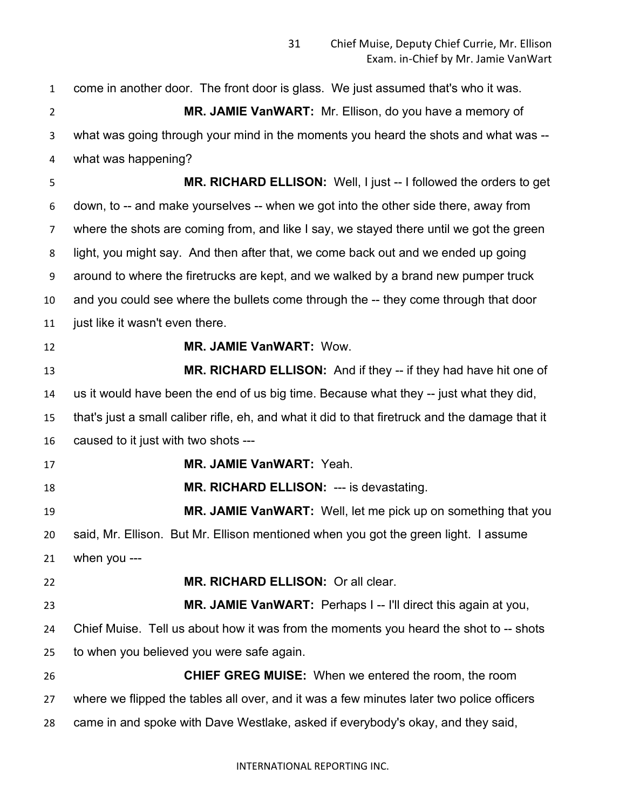come in another door. The front door is glass. We just assumed that's who it was. **MR. JAMIE VanWART:** Mr. Ellison, do you have a memory of what was going through your mind in the moments you heard the shots and what was -- what was happening? **MR. RICHARD ELLISON:** Well, I just -- I followed the orders to get down, to -- and make yourselves -- when we got into the other side there, away from where the shots are coming from, and like I say, we stayed there until we got the green light, you might say. And then after that, we come back out and we ended up going around to where the firetrucks are kept, and we walked by a brand new pumper truck and you could see where the bullets come through the -- they come through that door just like it wasn't even there. **MR. JAMIE VanWART:** Wow. **MR. RICHARD ELLISON:** And if they -- if they had have hit one of us it would have been the end of us big time. Because what they -- just what they did, that's just a small caliber rifle, eh, and what it did to that firetruck and the damage that it caused to it just with two shots --- **MR. JAMIE VanWART:** Yeah. **MR. RICHARD ELLISON:** --- is devastating. **MR. JAMIE VanWART:** Well, let me pick up on something that you said, Mr. Ellison. But Mr. Ellison mentioned when you got the green light. I assume when you --- **MR. RICHARD ELLISON:** Or all clear. **MR. JAMIE VanWART:** Perhaps I -- I'll direct this again at you, Chief Muise. Tell us about how it was from the moments you heard the shot to -- shots to when you believed you were safe again. **CHIEF GREG MUISE:** When we entered the room, the room where we flipped the tables all over, and it was a few minutes later two police officers came in and spoke with Dave Westlake, asked if everybody's okay, and they said,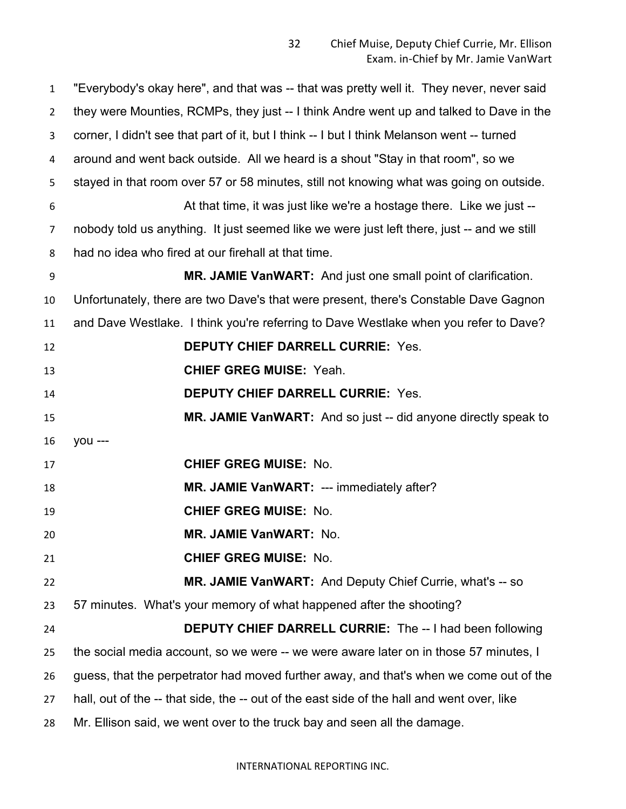| 1              | "Everybody's okay here", and that was -- that was pretty well it. They never, never said   |
|----------------|--------------------------------------------------------------------------------------------|
| $\overline{2}$ | they were Mounties, RCMPs, they just -- I think Andre went up and talked to Dave in the    |
| 3              | corner, I didn't see that part of it, but I think -- I but I think Melanson went -- turned |
| 4              | around and went back outside. All we heard is a shout "Stay in that room", so we           |
| 5              | stayed in that room over 57 or 58 minutes, still not knowing what was going on outside.    |
| 6              | At that time, it was just like we're a hostage there. Like we just --                      |
| 7              | nobody told us anything. It just seemed like we were just left there, just -- and we still |
| 8              | had no idea who fired at our firehall at that time.                                        |
| 9              | MR. JAMIE VanWART: And just one small point of clarification.                              |
| 10             | Unfortunately, there are two Dave's that were present, there's Constable Dave Gagnon       |
| 11             | and Dave Westlake. I think you're referring to Dave Westlake when you refer to Dave?       |
| 12             | <b>DEPUTY CHIEF DARRELL CURRIE: Yes.</b>                                                   |
| 13             | <b>CHIEF GREG MUISE: Yeah.</b>                                                             |
| 14             | <b>DEPUTY CHIEF DARRELL CURRIE: Yes.</b>                                                   |
| 15             | MR. JAMIE VanWART: And so just -- did anyone directly speak to                             |
| 16             | you ---                                                                                    |
| 17             | <b>CHIEF GREG MUISE: No.</b>                                                               |
| 18             | MR. JAMIE VanWART: --- immediately after?                                                  |
| 19             | <b>CHIEF GREG MUISE: No.</b>                                                               |
| 20             | <b>MR. JAMIE VanWART: No.</b>                                                              |
| 21             | <b>CHIEF GREG MUISE: No.</b>                                                               |
| 22             | <b>MR. JAMIE VanWART:</b> And Deputy Chief Currie, what's -- so                            |
| 23             | 57 minutes. What's your memory of what happened after the shooting?                        |
| 24             | <b>DEPUTY CHIEF DARRELL CURRIE:</b> The -- I had been following                            |
| 25             | the social media account, so we were -- we were aware later on in those 57 minutes, I      |
| 26             | guess, that the perpetrator had moved further away, and that's when we come out of the     |
| 27             | hall, out of the -- that side, the -- out of the east side of the hall and went over, like |
| 28             | Mr. Ellison said, we went over to the truck bay and seen all the damage.                   |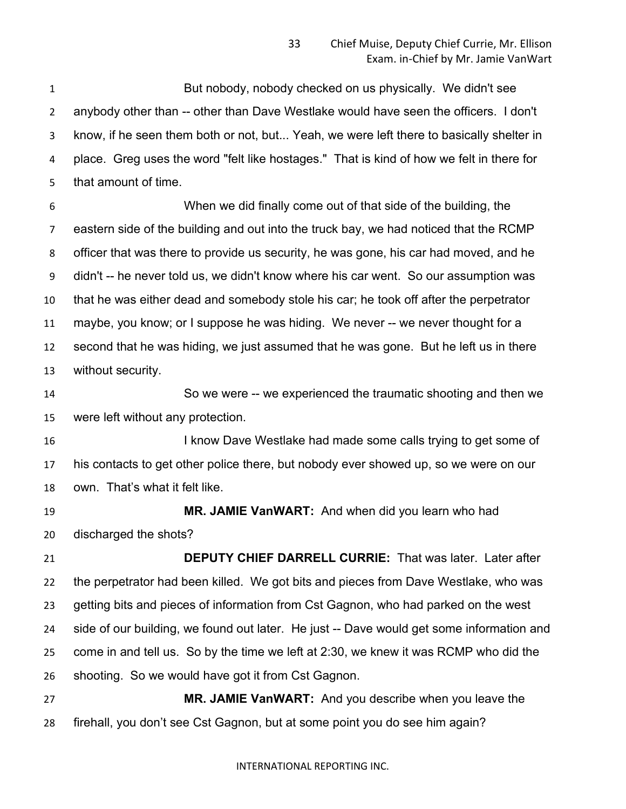But nobody, nobody checked on us physically. We didn't see anybody other than -- other than Dave Westlake would have seen the officers. I don't know, if he seen them both or not, but... Yeah, we were left there to basically shelter in place. Greg uses the word "felt like hostages." That is kind of how we felt in there for that amount of time.

 When we did finally come out of that side of the building, the eastern side of the building and out into the truck bay, we had noticed that the RCMP officer that was there to provide us security, he was gone, his car had moved, and he didn't -- he never told us, we didn't know where his car went. So our assumption was that he was either dead and somebody stole his car; he took off after the perpetrator maybe, you know; or I suppose he was hiding. We never -- we never thought for a second that he was hiding, we just assumed that he was gone. But he left us in there without security.

 So we were -- we experienced the traumatic shooting and then we were left without any protection.

16 I know Dave Westlake had made some calls trying to get some of his contacts to get other police there, but nobody ever showed up, so we were on our own. That's what it felt like.

 **MR. JAMIE VanWART:** And when did you learn who had discharged the shots?

 **DEPUTY CHIEF DARRELL CURRIE:** That was later. Later after the perpetrator had been killed. We got bits and pieces from Dave Westlake, who was getting bits and pieces of information from Cst Gagnon, who had parked on the west side of our building, we found out later. He just -- Dave would get some information and come in and tell us. So by the time we left at 2:30, we knew it was RCMP who did the shooting. So we would have got it from Cst Gagnon.

 **MR. JAMIE VanWART:** And you describe when you leave the firehall, you don't see Cst Gagnon, but at some point you do see him again?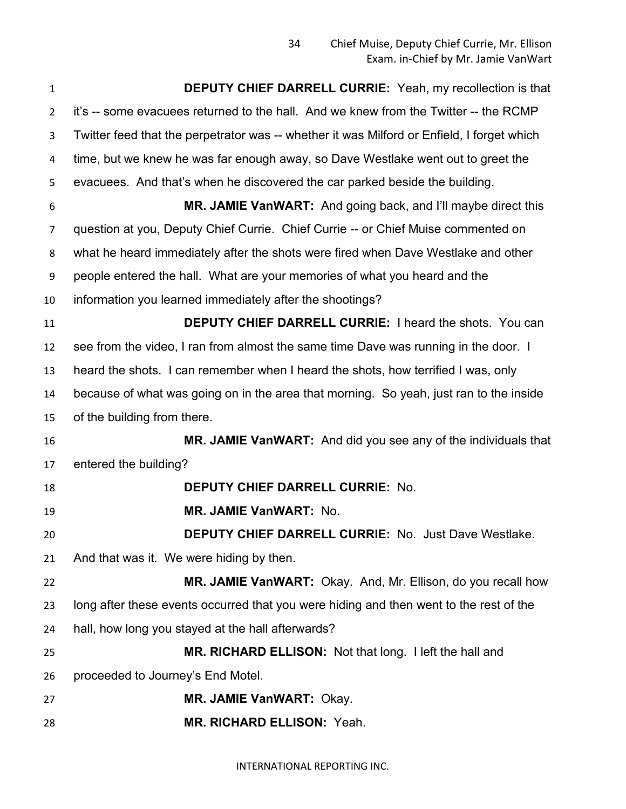| $\mathbf{1}$   | <b>DEPUTY CHIEF DARRELL CURRIE:</b> Yeah, my recollection is that                          |
|----------------|--------------------------------------------------------------------------------------------|
| $\overline{2}$ | it's -- some evacuees returned to the hall. And we knew from the Twitter -- the RCMP       |
| 3              | Twitter feed that the perpetrator was -- whether it was Milford or Enfield, I forget which |
| 4              | time, but we knew he was far enough away, so Dave Westlake went out to greet the           |
| 5              | evacuees. And that's when he discovered the car parked beside the building.                |
| 6              | MR. JAMIE VanWART: And going back, and I'll maybe direct this                              |
| $\overline{7}$ | question at you, Deputy Chief Currie. Chief Currie -- or Chief Muise commented on          |
| 8              | what he heard immediately after the shots were fired when Dave Westlake and other          |
| 9              | people entered the hall. What are your memories of what you heard and the                  |
| 10             | information you learned immediately after the shootings?                                   |
| 11             | <b>DEPUTY CHIEF DARRELL CURRIE: I heard the shots. You can</b>                             |
| 12             | see from the video, I ran from almost the same time Dave was running in the door. I        |
| 13             | heard the shots. I can remember when I heard the shots, how terrified I was, only          |
| 14             | because of what was going on in the area that morning. So yeah, just ran to the inside     |
| 15             | of the building from there.                                                                |
| 16             | MR. JAMIE VanWART: And did you see any of the individuals that                             |
| 17             | entered the building?                                                                      |
| 18             | <b>DEPUTY CHIEF DARRELL CURRIE: No.</b>                                                    |
| 19             | MR. JAMIE VanWART: No.                                                                     |
| 20             | <b>DEPUTY CHIEF DARRELL CURRIE: No. Just Dave Westlake.</b>                                |
| 21             | And that was it. We were hiding by then.                                                   |
| 22             | MR. JAMIE VanWART: Okay. And, Mr. Ellison, do you recall how                               |
| 23             | long after these events occurred that you were hiding and then went to the rest of the     |
| 24             | hall, how long you stayed at the hall afterwards?                                          |
| 25             | MR. RICHARD ELLISON: Not that long. I left the hall and                                    |
| 26             | proceeded to Journey's End Motel.                                                          |
| 27             | MR. JAMIE VanWART: Okay.                                                                   |
| 28             | MR. RICHARD ELLISON: Yeah.                                                                 |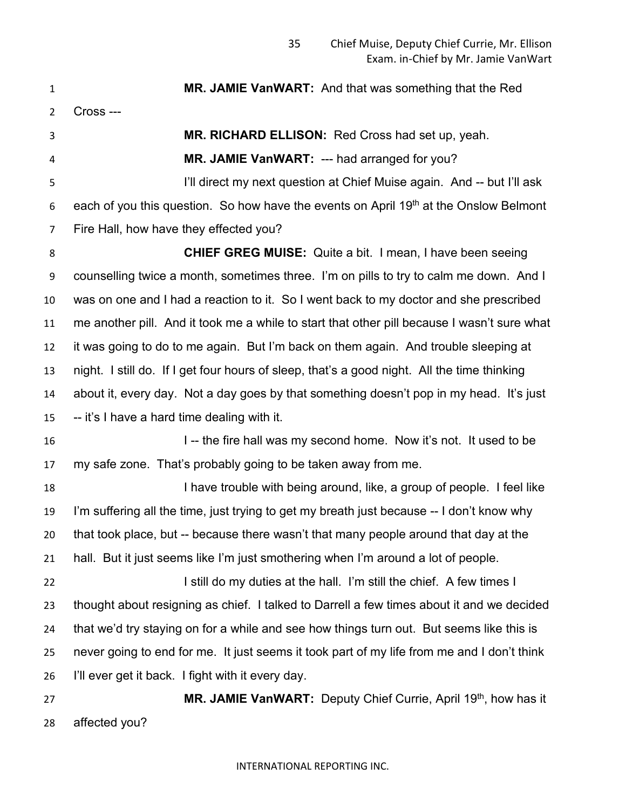**MR. JAMIE VanWART:** And that was something that the Red Cross --- **MR. RICHARD ELLISON:** Red Cross had set up, yeah. **MR. JAMIE VanWART:** --- had arranged for you? I'll direct my next question at Chief Muise again. And -- but I'll ask 6 each of you this question. So how have the events on April 19<sup>th</sup> at the Onslow Belmont Fire Hall, how have they effected you? **CHIEF GREG MUISE:** Quite a bit. I mean, I have been seeing counselling twice a month, sometimes three. I'm on pills to try to calm me down. And I was on one and I had a reaction to it. So I went back to my doctor and she prescribed me another pill. And it took me a while to start that other pill because I wasn't sure what it was going to do to me again. But I'm back on them again. And trouble sleeping at night. I still do. If I get four hours of sleep, that's a good night. All the time thinking about it, every day. Not a day goes by that something doesn't pop in my head. It's just -- it's I have a hard time dealing with it. 16 I -- the fire hall was my second home. Now it's not. It used to be my safe zone. That's probably going to be taken away from me. **I have trouble with being around, like, a group of people.** I feel like I'm suffering all the time, just trying to get my breath just because -- I don't know why that took place, but -- because there wasn't that many people around that day at the hall. But it just seems like I'm just smothering when I'm around a lot of people. **I still do my duties at the hall.** I'm still the chief. A few times I thought about resigning as chief. I talked to Darrell a few times about it and we decided that we'd try staying on for a while and see how things turn out. But seems like this is never going to end for me. It just seems it took part of my life from me and I don't think I'll ever get it back. I fight with it every day. **MR. JAMIE VanWART:** Deputy Chief Currie, April 19<sup>th</sup>, how has it

affected you?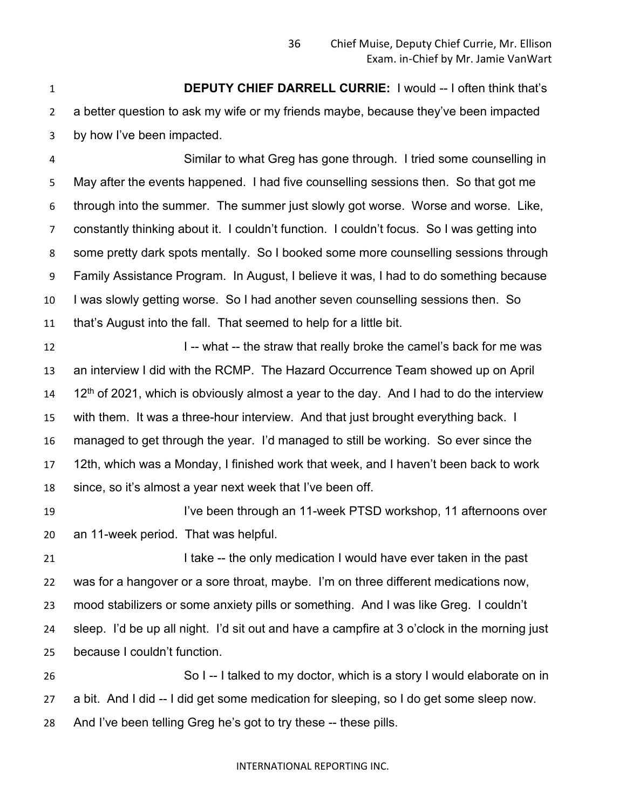**DEPUTY CHIEF DARRELL CURRIE:** I would -- I often think that's a better question to ask my wife or my friends maybe, because they've been impacted by how I've been impacted.

 Similar to what Greg has gone through. I tried some counselling in May after the events happened. I had five counselling sessions then. So that got me through into the summer. The summer just slowly got worse. Worse and worse. Like, constantly thinking about it. I couldn't function. I couldn't focus. So I was getting into some pretty dark spots mentally. So I booked some more counselling sessions through Family Assistance Program. In August, I believe it was, I had to do something because I was slowly getting worse. So I had another seven counselling sessions then. So that's August into the fall. That seemed to help for a little bit.

**I** -- what -- the straw that really broke the camel's back for me was an interview I did with the RCMP. The Hazard Occurrence Team showed up on April 12<sup>th</sup> of 2021, which is obviously almost a year to the day. And I had to do the interview with them. It was a three-hour interview. And that just brought everything back. I managed to get through the year. I'd managed to still be working. So ever since the 12th, which was a Monday, I finished work that week, and I haven't been back to work since, so it's almost a year next week that I've been off.

19 I've been through an 11-week PTSD workshop, 11 afternoons over an 11-week period. That was helpful.

**I take -- the only medication I would have ever taken in the past**  was for a hangover or a sore throat, maybe. I'm on three different medications now, mood stabilizers or some anxiety pills or something. And I was like Greg. I couldn't sleep. I'd be up all night. I'd sit out and have a campfire at 3 o'clock in the morning just because I couldn't function.

 So I -- I talked to my doctor, which is a story I would elaborate on in a bit. And I did -- I did get some medication for sleeping, so I do get some sleep now. And I've been telling Greg he's got to try these -- these pills.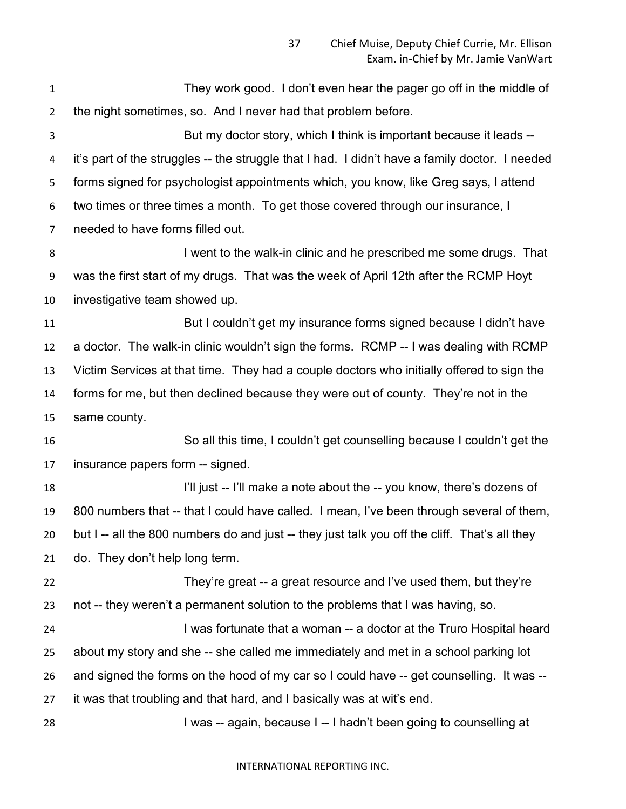| $\mathbf{1}$   | They work good. I don't even hear the pager go off in the middle of                            |
|----------------|------------------------------------------------------------------------------------------------|
| $\overline{2}$ | the night sometimes, so. And I never had that problem before.                                  |
| 3              | But my doctor story, which I think is important because it leads --                            |
| 4              | it's part of the struggles -- the struggle that I had. I didn't have a family doctor. I needed |
| 5              | forms signed for psychologist appointments which, you know, like Greg says, I attend           |
| 6              | two times or three times a month. To get those covered through our insurance, I                |
| 7              | needed to have forms filled out.                                                               |
| 8              | I went to the walk-in clinic and he prescribed me some drugs. That                             |
| 9              | was the first start of my drugs. That was the week of April 12th after the RCMP Hoyt           |
| 10             | investigative team showed up.                                                                  |
| 11             | But I couldn't get my insurance forms signed because I didn't have                             |
| 12             | a doctor. The walk-in clinic wouldn't sign the forms. RCMP -- I was dealing with RCMP          |
| 13             | Victim Services at that time. They had a couple doctors who initially offered to sign the      |
| 14             | forms for me, but then declined because they were out of county. They're not in the            |
| 15             | same county.                                                                                   |
| 16             | So all this time, I couldn't get counselling because I couldn't get the                        |
| 17             | insurance papers form -- signed.                                                               |
| 18             | I'll just -- I'll make a note about the -- you know, there's dozens of                         |
| 19             | 800 numbers that -- that I could have called. I mean, I've been through several of them,       |
| 20             | but I -- all the 800 numbers do and just -- they just talk you off the cliff. That's all they  |
| 21             | do. They don't help long term.                                                                 |
| 22             | They're great -- a great resource and I've used them, but they're                              |
| 23             | not -- they weren't a permanent solution to the problems that I was having, so.                |
| 24             | I was fortunate that a woman -- a doctor at the Truro Hospital heard                           |
| 25             | about my story and she -- she called me immediately and met in a school parking lot            |
| 26             | and signed the forms on the hood of my car so I could have -- get counselling. It was --       |
| 27             | it was that troubling and that hard, and I basically was at wit's end.                         |
| 28             | I was -- again, because I -- I hadn't been going to counselling at                             |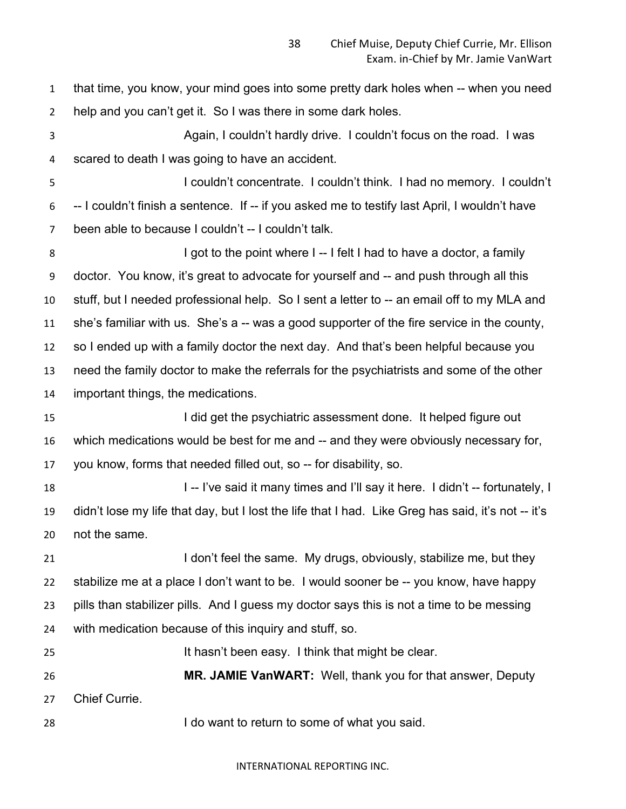that time, you know, your mind goes into some pretty dark holes when -- when you need help and you can't get it. So I was there in some dark holes. Again, I couldn't hardly drive. I couldn't focus on the road. I was scared to death I was going to have an accident. I couldn't concentrate. I couldn't think. I had no memory. I couldn't -- I couldn't finish a sentence. If -- if you asked me to testify last April, I wouldn't have been able to because I couldn't -- I couldn't talk. 8 I got to the point where I -- I felt I had to have a doctor, a family doctor. You know, it's great to advocate for yourself and -- and push through all this stuff, but I needed professional help. So I sent a letter to -- an email off to my MLA and she's familiar with us. She's a -- was a good supporter of the fire service in the county, so I ended up with a family doctor the next day. And that's been helpful because you need the family doctor to make the referrals for the psychiatrists and some of the other important things, the medications. **I did get the psychiatric assessment done.** It helped figure out which medications would be best for me and -- and they were obviously necessary for, you know, forms that needed filled out, so -- for disability, so. 18 I -- I've said it many times and I'll say it here. I didn't -- fortunately, I didn't lose my life that day, but I lost the life that I had. Like Greg has said, it's not -- it's not the same. 21 I don't feel the same. My drugs, obviously, stabilize me, but they stabilize me at a place I don't want to be. I would sooner be -- you know, have happy pills than stabilizer pills. And I guess my doctor says this is not a time to be messing with medication because of this inquiry and stuff, so. It hasn't been easy. I think that might be clear. **MR. JAMIE VanWART:** Well, thank you for that answer, Deputy Chief Currie. I do want to return to some of what you said.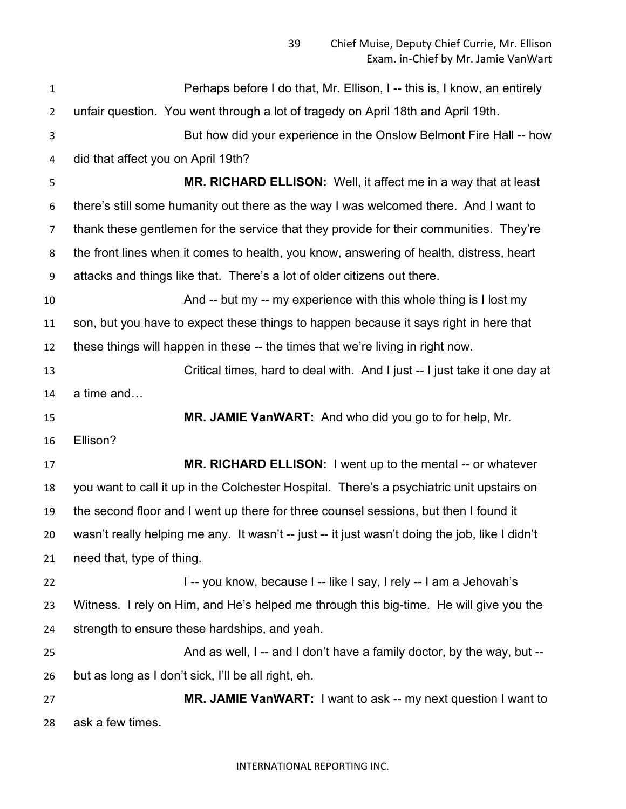| $\mathbf{1}$   | Perhaps before I do that, Mr. Ellison, I -- this is, I know, an entirely                       |
|----------------|------------------------------------------------------------------------------------------------|
| $\overline{2}$ | unfair question. You went through a lot of tragedy on April 18th and April 19th.               |
| 3              | But how did your experience in the Onslow Belmont Fire Hall -- how                             |
| 4              | did that affect you on April 19th?                                                             |
| 5              | MR. RICHARD ELLISON: Well, it affect me in a way that at least                                 |
| 6              | there's still some humanity out there as the way I was welcomed there. And I want to           |
| $\overline{7}$ | thank these gentlemen for the service that they provide for their communities. They're         |
| 8              | the front lines when it comes to health, you know, answering of health, distress, heart        |
| 9              | attacks and things like that. There's a lot of older citizens out there.                       |
| 10             | And -- but my -- my experience with this whole thing is I lost my                              |
| 11             | son, but you have to expect these things to happen because it says right in here that          |
| 12             | these things will happen in these -- the times that we're living in right now.                 |
| 13             | Critical times, hard to deal with. And I just -- I just take it one day at                     |
| 14             | a time and                                                                                     |
| 15             | MR. JAMIE VanWART: And who did you go to for help, Mr.                                         |
| 16             | Ellison?                                                                                       |
| 17             | MR. RICHARD ELLISON: I went up to the mental -- or whatever                                    |
| 18             | you want to call it up in the Colchester Hospital. There's a psychiatric unit upstairs on      |
| 19             | the second floor and I went up there for three counsel sessions, but then I found it           |
| 20             | wasn't really helping me any. It wasn't -- just -- it just wasn't doing the job, like I didn't |
| 21             | need that, type of thing.                                                                      |
| 22             | I -- you know, because I -- like I say, I rely -- I am a Jehovah's                             |
| 23             | Witness. I rely on Him, and He's helped me through this big-time. He will give you the         |
| 24             | strength to ensure these hardships, and yeah.                                                  |
| 25             | And as well, I -- and I don't have a family doctor, by the way, but --                         |
| 26             | but as long as I don't sick, I'll be all right, eh.                                            |
| 27             | MR. JAMIE VanWART: I want to ask -- my next question I want to                                 |
| 28             | ask a few times.                                                                               |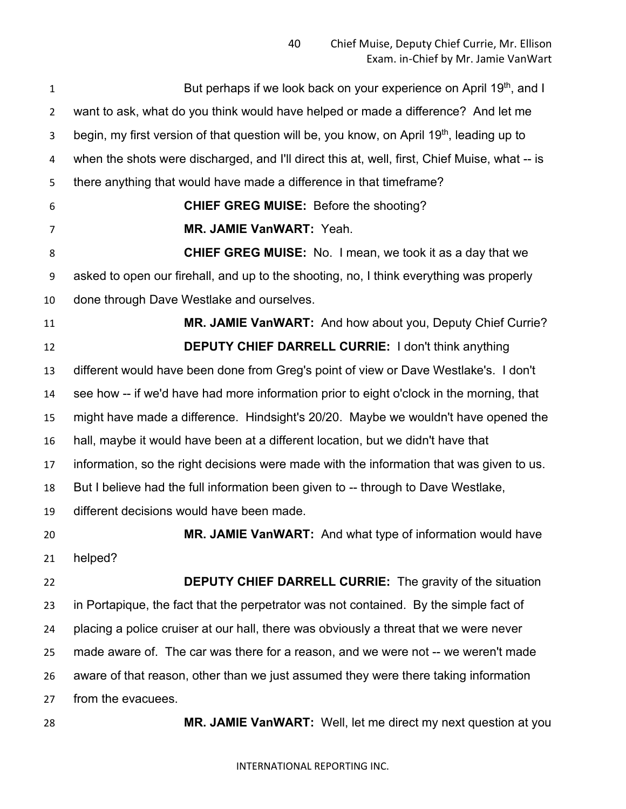**But perhaps if we look back on your experience on April 19th, and I**  want to ask, what do you think would have helped or made a difference? And let me 3 begin, my first version of that question will be, you know, on April 19<sup>th</sup>, leading up to when the shots were discharged, and I'll direct this at, well, first, Chief Muise, what -- is there anything that would have made a difference in that timeframe? **CHIEF GREG MUISE:** Before the shooting? **MR. JAMIE VanWART:** Yeah. **CHIEF GREG MUISE:** No. I mean, we took it as a day that we asked to open our firehall, and up to the shooting, no, I think everything was properly done through Dave Westlake and ourselves. **MR. JAMIE VanWART:** And how about you, Deputy Chief Currie? **DEPUTY CHIEF DARRELL CURRIE:** I don't think anything different would have been done from Greg's point of view or Dave Westlake's. I don't see how -- if we'd have had more information prior to eight o'clock in the morning, that might have made a difference. Hindsight's 20/20. Maybe we wouldn't have opened the hall, maybe it would have been at a different location, but we didn't have that information, so the right decisions were made with the information that was given to us. But I believe had the full information been given to -- through to Dave Westlake, different decisions would have been made. **MR. JAMIE VanWART:** And what type of information would have helped? **DEPUTY CHIEF DARRELL CURRIE:** The gravity of the situation in Portapique, the fact that the perpetrator was not contained. By the simple fact of placing a police cruiser at our hall, there was obviously a threat that we were never made aware of. The car was there for a reason, and we were not -- we weren't made aware of that reason, other than we just assumed they were there taking information from the evacuees. **MR. JAMIE VanWART:** Well, let me direct my next question at you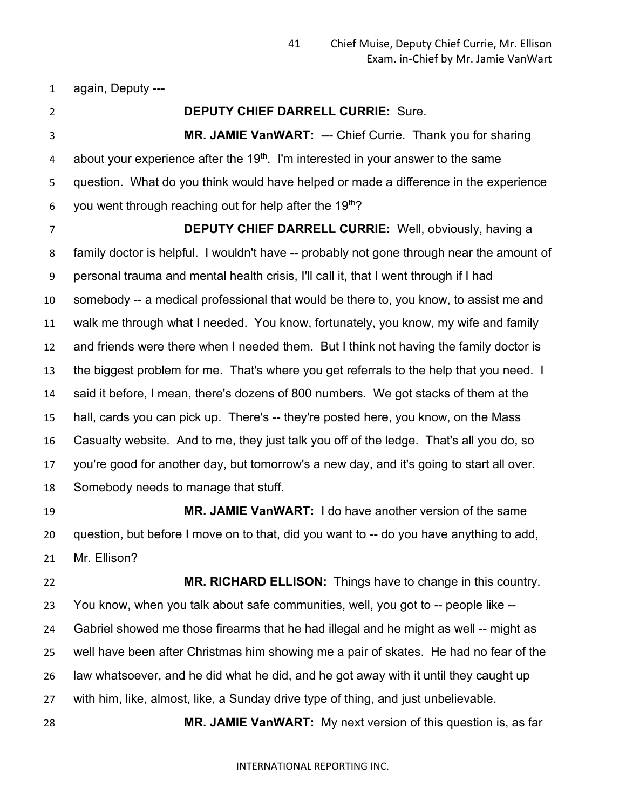again, Deputy ---

# **DEPUTY CHIEF DARRELL CURRIE:** Sure.

 **MR. JAMIE VanWART:** --- Chief Currie. Thank you for sharing 4 about your experience after the  $19<sup>th</sup>$ . I'm interested in your answer to the same question. What do you think would have helped or made a difference in the experience 6 you went through reaching out for help after the 19<sup>th</sup>?

 **DEPUTY CHIEF DARRELL CURRIE:** Well, obviously, having a family doctor is helpful. I wouldn't have -- probably not gone through near the amount of personal trauma and mental health crisis, I'll call it, that I went through if I had somebody -- a medical professional that would be there to, you know, to assist me and walk me through what I needed. You know, fortunately, you know, my wife and family and friends were there when I needed them. But I think not having the family doctor is the biggest problem for me. That's where you get referrals to the help that you need. I said it before, I mean, there's dozens of 800 numbers. We got stacks of them at the hall, cards you can pick up. There's -- they're posted here, you know, on the Mass Casualty website. And to me, they just talk you off of the ledge. That's all you do, so you're good for another day, but tomorrow's a new day, and it's going to start all over. Somebody needs to manage that stuff.

 **MR. JAMIE VanWART:** I do have another version of the same question, but before I move on to that, did you want to -- do you have anything to add, Mr. Ellison?

 **MR. RICHARD ELLISON:** Things have to change in this country. You know, when you talk about safe communities, well, you got to -- people like -- Gabriel showed me those firearms that he had illegal and he might as well -- might as well have been after Christmas him showing me a pair of skates. He had no fear of the law whatsoever, and he did what he did, and he got away with it until they caught up with him, like, almost, like, a Sunday drive type of thing, and just unbelievable.

**MR. JAMIE VanWART:** My next version of this question is, as far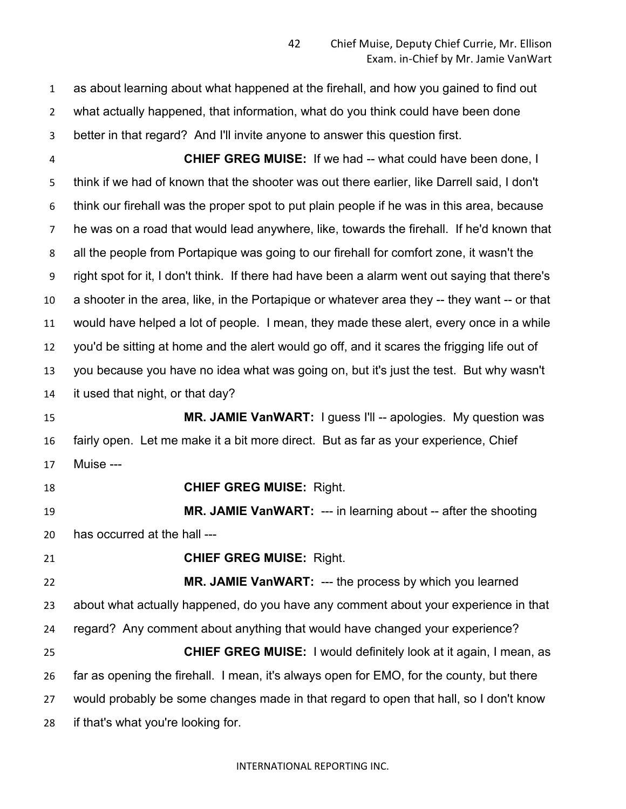as about learning about what happened at the firehall, and how you gained to find out what actually happened, that information, what do you think could have been done better in that regard? And I'll invite anyone to answer this question first.

 **CHIEF GREG MUISE:** If we had -- what could have been done, I think if we had of known that the shooter was out there earlier, like Darrell said, I don't think our firehall was the proper spot to put plain people if he was in this area, because he was on a road that would lead anywhere, like, towards the firehall. If he'd known that all the people from Portapique was going to our firehall for comfort zone, it wasn't the right spot for it, I don't think. If there had have been a alarm went out saying that there's a shooter in the area, like, in the Portapique or whatever area they -- they want -- or that would have helped a lot of people. I mean, they made these alert, every once in a while you'd be sitting at home and the alert would go off, and it scares the frigging life out of you because you have no idea what was going on, but it's just the test. But why wasn't it used that night, or that day?

 **MR. JAMIE VanWART:** I guess I'll -- apologies. My question was fairly open. Let me make it a bit more direct. But as far as your experience, Chief Muise ---

**CHIEF GREG MUISE:** Right.

**MR. JAMIE VanWART:** --- in learning about -- after the shooting has occurred at the hall ---

**CHIEF GREG MUISE:** Right.

 **MR. JAMIE VanWART:** --- the process by which you learned about what actually happened, do you have any comment about your experience in that regard? Any comment about anything that would have changed your experience? **CHIEF GREG MUISE:** I would definitely look at it again, I mean, as far as opening the firehall. I mean, it's always open for EMO, for the county, but there would probably be some changes made in that regard to open that hall, so I don't know if that's what you're looking for.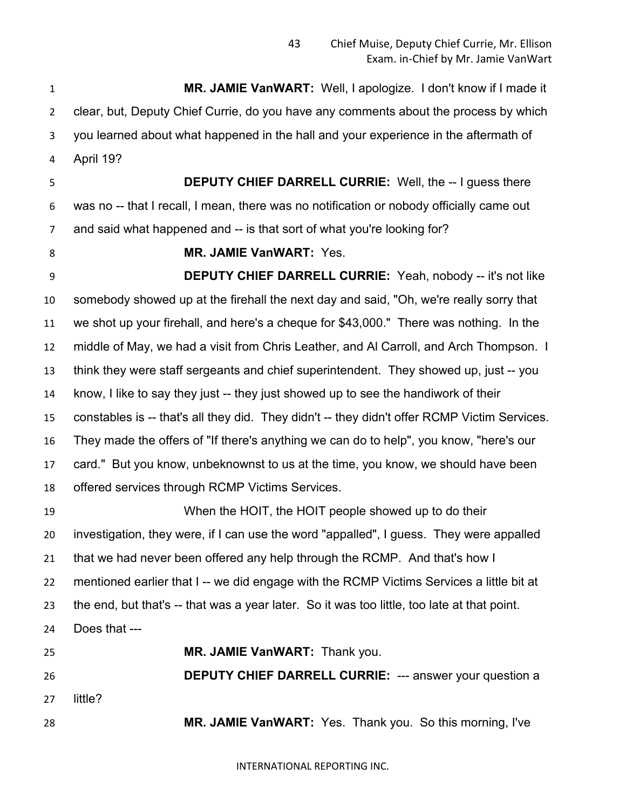**MR. JAMIE VanWART:** Well, I apologize. I don't know if I made it clear, but, Deputy Chief Currie, do you have any comments about the process by which you learned about what happened in the hall and your experience in the aftermath of April 19?

 **DEPUTY CHIEF DARRELL CURRIE:** Well, the -- I guess there was no -- that I recall, I mean, there was no notification or nobody officially came out and said what happened and -- is that sort of what you're looking for?

**MR. JAMIE VanWART:** Yes.

 **DEPUTY CHIEF DARRELL CURRIE:** Yeah, nobody -- it's not like somebody showed up at the firehall the next day and said, "Oh, we're really sorry that we shot up your firehall, and here's a cheque for \$43,000." There was nothing. In the middle of May, we had a visit from Chris Leather, and Al Carroll, and Arch Thompson. I think they were staff sergeants and chief superintendent. They showed up, just -- you know, I like to say they just -- they just showed up to see the handiwork of their constables is -- that's all they did. They didn't -- they didn't offer RCMP Victim Services. They made the offers of "If there's anything we can do to help", you know, "here's our card." But you know, unbeknownst to us at the time, you know, we should have been offered services through RCMP Victims Services.

 When the HOIT, the HOIT people showed up to do their investigation, they were, if I can use the word "appalled", I guess. They were appalled that we had never been offered any help through the RCMP. And that's how I mentioned earlier that I -- we did engage with the RCMP Victims Services a little bit at the end, but that's -- that was a year later. So it was too little, too late at that point. Does that --- **MR. JAMIE VanWART:** Thank you. **DEPUTY CHIEF DARRELL CURRIE:** --- answer your question a

little?

**MR. JAMIE VanWART:** Yes. Thank you. So this morning, I've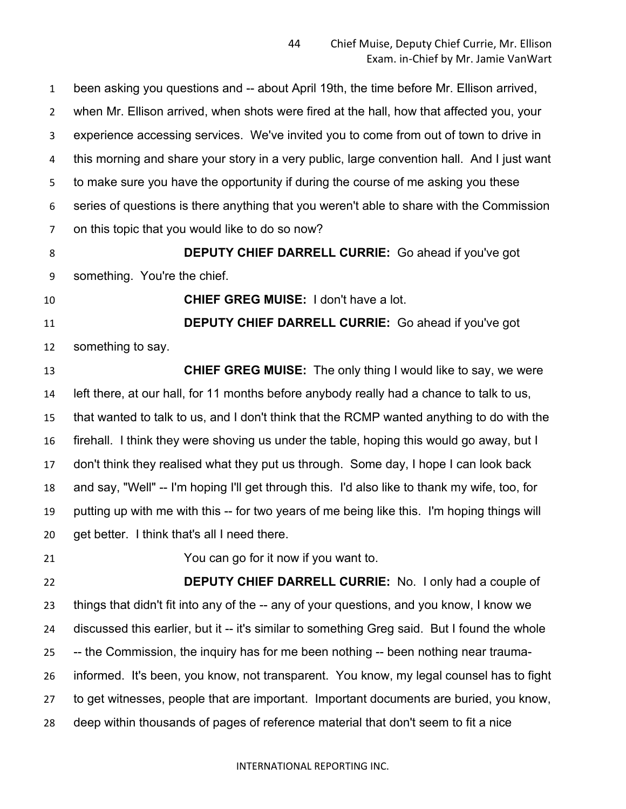been asking you questions and -- about April 19th, the time before Mr. Ellison arrived, when Mr. Ellison arrived, when shots were fired at the hall, how that affected you, your experience accessing services. We've invited you to come from out of town to drive in this morning and share your story in a very public, large convention hall. And I just want to make sure you have the opportunity if during the course of me asking you these series of questions is there anything that you weren't able to share with the Commission on this topic that you would like to do so now?

 **DEPUTY CHIEF DARRELL CURRIE:** Go ahead if you've got something. You're the chief.

**CHIEF GREG MUISE:** I don't have a lot.

 **DEPUTY CHIEF DARRELL CURRIE:** Go ahead if you've got something to say.

 **CHIEF GREG MUISE:** The only thing I would like to say, we were left there, at our hall, for 11 months before anybody really had a chance to talk to us, that wanted to talk to us, and I don't think that the RCMP wanted anything to do with the firehall. I think they were shoving us under the table, hoping this would go away, but I don't think they realised what they put us through. Some day, I hope I can look back and say, "Well" -- I'm hoping I'll get through this. I'd also like to thank my wife, too, for putting up with me with this -- for two years of me being like this. I'm hoping things will get better. I think that's all I need there.

You can go for it now if you want to.

 **DEPUTY CHIEF DARRELL CURRIE:** No. I only had a couple of things that didn't fit into any of the -- any of your questions, and you know, I know we discussed this earlier, but it -- it's similar to something Greg said. But I found the whole -- the Commission, the inquiry has for me been nothing -- been nothing near trauma- informed. It's been, you know, not transparent. You know, my legal counsel has to fight to get witnesses, people that are important. Important documents are buried, you know, deep within thousands of pages of reference material that don't seem to fit a nice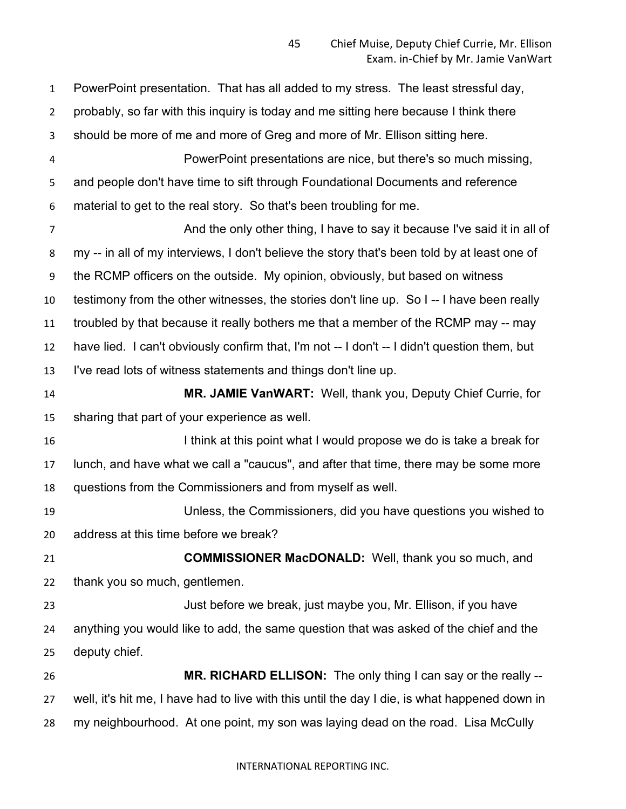PowerPoint presentation. That has all added to my stress. The least stressful day, probably, so far with this inquiry is today and me sitting here because I think there should be more of me and more of Greg and more of Mr. Ellison sitting here. PowerPoint presentations are nice, but there's so much missing, and people don't have time to sift through Foundational Documents and reference material to get to the real story. So that's been troubling for me. And the only other thing, I have to say it because I've said it in all of my -- in all of my interviews, I don't believe the story that's been told by at least one of the RCMP officers on the outside. My opinion, obviously, but based on witness testimony from the other witnesses, the stories don't line up. So I -- I have been really troubled by that because it really bothers me that a member of the RCMP may -- may have lied. I can't obviously confirm that, I'm not -- I don't -- I didn't question them, but I've read lots of witness statements and things don't line up. **MR. JAMIE VanWART:** Well, thank you, Deputy Chief Currie, for sharing that part of your experience as well. 16 16 I think at this point what I would propose we do is take a break for lunch, and have what we call a "caucus", and after that time, there may be some more questions from the Commissioners and from myself as well. Unless, the Commissioners, did you have questions you wished to address at this time before we break? **COMMISSIONER MacDONALD:** Well, thank you so much, and thank you so much, gentlemen. Just before we break, just maybe you, Mr. Ellison, if you have anything you would like to add, the same question that was asked of the chief and the deputy chief. **MR. RICHARD ELLISON:** The only thing I can say or the really -- well, it's hit me, I have had to live with this until the day I die, is what happened down in my neighbourhood. At one point, my son was laying dead on the road. Lisa McCully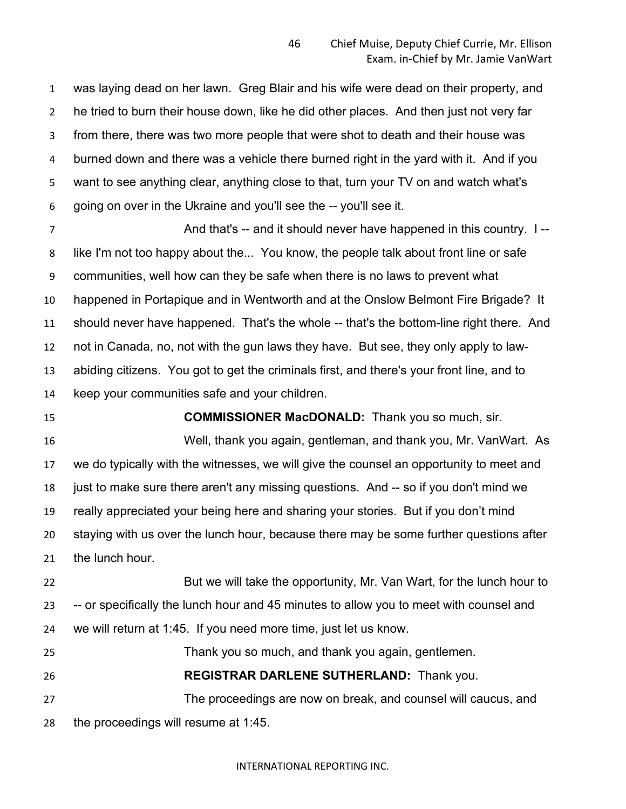was laying dead on her lawn. Greg Blair and his wife were dead on their property, and he tried to burn their house down, like he did other places. And then just not very far from there, there was two more people that were shot to death and their house was burned down and there was a vehicle there burned right in the yard with it. And if you want to see anything clear, anything close to that, turn your TV on and watch what's going on over in the Ukraine and you'll see the -- you'll see it.

 And that's -- and it should never have happened in this country. I -- like I'm not too happy about the... You know, the people talk about front line or safe communities, well how can they be safe when there is no laws to prevent what happened in Portapique and in Wentworth and at the Onslow Belmont Fire Brigade? It should never have happened. That's the whole -- that's the bottom-line right there. And not in Canada, no, not with the gun laws they have. But see, they only apply to law- abiding citizens. You got to get the criminals first, and there's your front line, and to keep your communities safe and your children.

**COMMISSIONER MacDONALD:** Thank you so much, sir.

 Well, thank you again, gentleman, and thank you, Mr. VanWart. As we do typically with the witnesses, we will give the counsel an opportunity to meet and just to make sure there aren't any missing questions. And -- so if you don't mind we really appreciated your being here and sharing your stories. But if you don't mind staying with us over the lunch hour, because there may be some further questions after the lunch hour.

 But we will take the opportunity, Mr. Van Wart, for the lunch hour to -- or specifically the lunch hour and 45 minutes to allow you to meet with counsel and we will return at 1:45. If you need more time, just let us know.

Thank you so much, and thank you again, gentlemen.

**REGISTRAR DARLENE SUTHERLAND:** Thank you.

 The proceedings are now on break, and counsel will caucus, and the proceedings will resume at 1:45.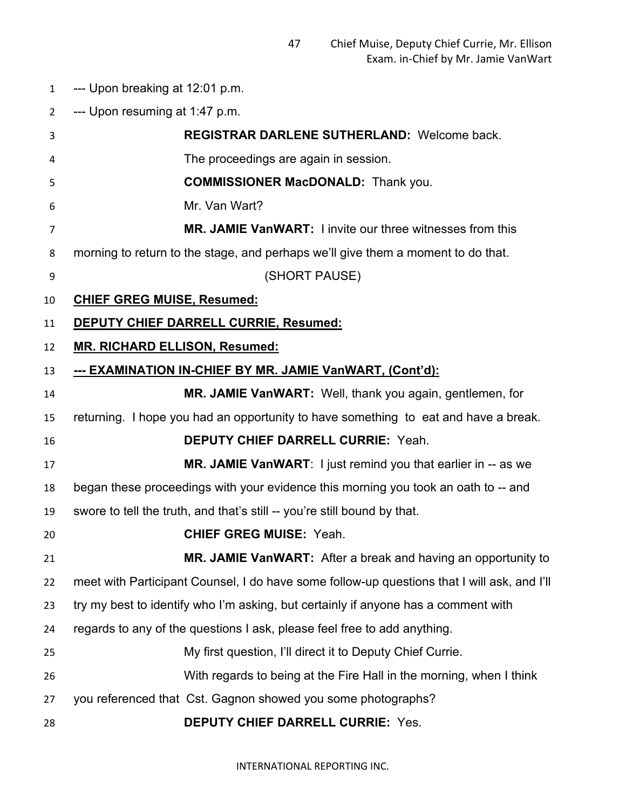- --- Upon breaking at 12:01 p.m.
- --- Upon resuming at 1:47 p.m.

| 3  | <b>REGISTRAR DARLENE SUTHERLAND: Welcome back.</b>                                          |
|----|---------------------------------------------------------------------------------------------|
| 4  | The proceedings are again in session.                                                       |
| 5  | <b>COMMISSIONER MacDONALD:</b> Thank you.                                                   |
| 6  | Mr. Van Wart?                                                                               |
| 7  | <b>MR. JAMIE VanWART:</b> I invite our three witnesses from this                            |
| 8  | morning to return to the stage, and perhaps we'll give them a moment to do that.            |
| 9  | (SHORT PAUSE)                                                                               |
| 10 | <b>CHIEF GREG MUISE, Resumed:</b>                                                           |
| 11 | <b>DEPUTY CHIEF DARRELL CURRIE, Resumed:</b>                                                |
| 12 | <b>MR. RICHARD ELLISON, Resumed:</b>                                                        |
| 13 | --- EXAMINATION IN-CHIEF BY MR. JAMIE VanWART, (Cont'd):                                    |
| 14 | MR. JAMIE VanWART: Well, thank you again, gentlemen, for                                    |
| 15 | returning. I hope you had an opportunity to have something to eat and have a break.         |
| 16 | <b>DEPUTY CHIEF DARRELL CURRIE: Yeah.</b>                                                   |
| 17 | <b>MR. JAMIE VanWART:</b> I just remind you that earlier in -- as we                        |
| 18 | began these proceedings with your evidence this morning you took an oath to -- and          |
| 19 | swore to tell the truth, and that's still -- you're still bound by that.                    |
| 20 | <b>CHIEF GREG MUISE: Yeah.</b>                                                              |
| 21 | MR. JAMIE VanWART: After a break and having an opportunity to                               |
| 22 | meet with Participant Counsel, I do have some follow-up questions that I will ask, and I'll |
| 23 | try my best to identify who I'm asking, but certainly if anyone has a comment with          |
| 24 | regards to any of the questions I ask, please feel free to add anything.                    |
| 25 | My first question, I'll direct it to Deputy Chief Currie.                                   |
| 26 | With regards to being at the Fire Hall in the morning, when I think                         |
| 27 | you referenced that Cst. Gagnon showed you some photographs?                                |
| 28 | <b>DEPUTY CHIEF DARRELL CURRIE: Yes.</b>                                                    |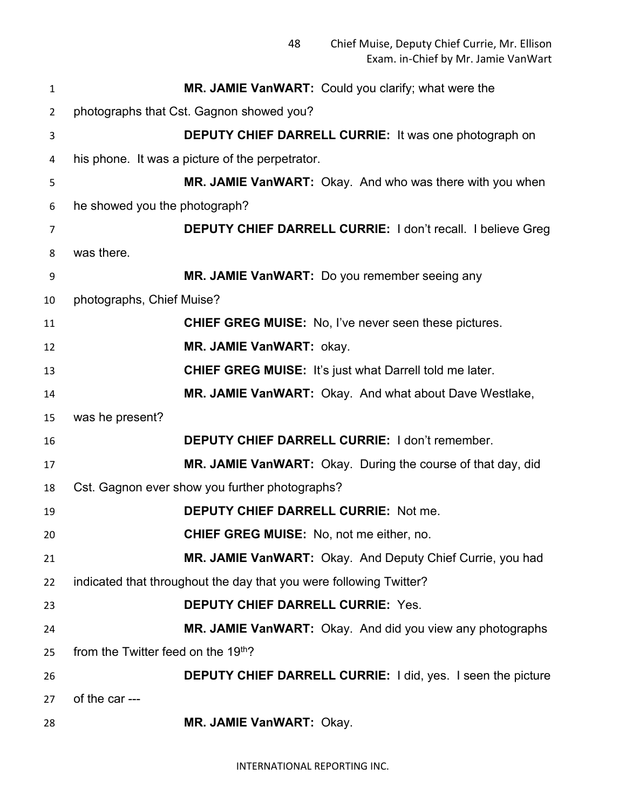| $\mathbf{1}$   | MR. JAMIE VanWART: Could you clarify; what were the                |
|----------------|--------------------------------------------------------------------|
| $\overline{2}$ | photographs that Cst. Gagnon showed you?                           |
| 3              | <b>DEPUTY CHIEF DARRELL CURRIE:</b> It was one photograph on       |
| 4              | his phone. It was a picture of the perpetrator.                    |
| 5              | MR. JAMIE VanWART: Okay. And who was there with you when           |
| 6              | he showed you the photograph?                                      |
| 7              | <b>DEPUTY CHIEF DARRELL CURRIE: I don't recall. I believe Greg</b> |
| 8              | was there.                                                         |
| 9              | MR. JAMIE VanWART: Do you remember seeing any                      |
| 10             | photographs, Chief Muise?                                          |
| 11             | <b>CHIEF GREG MUISE:</b> No, I've never seen these pictures.       |
| 12             | MR. JAMIE VanWART: okay.                                           |
| 13             | <b>CHIEF GREG MUISE:</b> It's just what Darrell told me later.     |
| 14             | MR. JAMIE VanWART: Okay. And what about Dave Westlake,             |
| 15             | was he present?                                                    |
| 16             | <b>DEPUTY CHIEF DARRELL CURRIE: I don't remember.</b>              |
| 17             | MR. JAMIE VanWART: Okay. During the course of that day, did        |
| 18             | Cst. Gagnon ever show you further photographs?                     |
| 19             | <b>DEPUTY CHIEF DARRELL CURRIE: Not me.</b>                        |
| 20             | <b>CHIEF GREG MUISE:</b> No, not me either, no.                    |
| 21             | MR. JAMIE VanWART: Okay. And Deputy Chief Currie, you had          |
| 22             | indicated that throughout the day that you were following Twitter? |
| 23             | <b>DEPUTY CHIEF DARRELL CURRIE: Yes.</b>                           |
| 24             | MR. JAMIE VanWART: Okay. And did you view any photographs          |
| 25             | from the Twitter feed on the 19 <sup>th</sup> ?                    |
| 26             | <b>DEPUTY CHIEF DARRELL CURRIE:</b> I did, yes. I seen the picture |
| 27             | of the car ---                                                     |
| 28             | MR. JAMIE VanWART: Okay.                                           |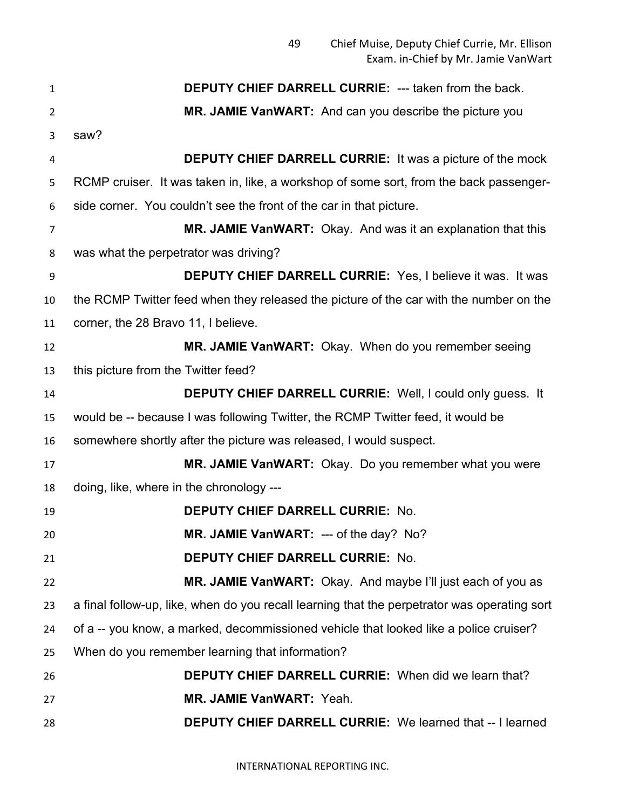| $\mathbf{1}$   | <b>DEPUTY CHIEF DARRELL CURRIE: --- taken from the back.</b>                                 |
|----------------|----------------------------------------------------------------------------------------------|
| $\overline{2}$ | MR. JAMIE VanWART: And can you describe the picture you                                      |
| 3              | saw?                                                                                         |
| 4              | <b>DEPUTY CHIEF DARRELL CURRIE:</b> It was a picture of the mock                             |
| 5              | RCMP cruiser. It was taken in, like, a workshop of some sort, from the back passenger-       |
| 6              | side corner. You couldn't see the front of the car in that picture.                          |
| 7              | MR. JAMIE VanWART: Okay. And was it an explanation that this                                 |
| 8              | was what the perpetrator was driving?                                                        |
| 9              | <b>DEPUTY CHIEF DARRELL CURRIE:</b> Yes, I believe it was. It was                            |
| 10             | the RCMP Twitter feed when they released the picture of the car with the number on the       |
| 11             | corner, the 28 Bravo 11, I believe.                                                          |
| 12             | MR. JAMIE VanWART: Okay. When do you remember seeing                                         |
| 13             | this picture from the Twitter feed?                                                          |
| 14             | <b>DEPUTY CHIEF DARRELL CURRIE:</b> Well, I could only guess. It                             |
| 15             | would be -- because I was following Twitter, the RCMP Twitter feed, it would be              |
| 16             | somewhere shortly after the picture was released, I would suspect.                           |
| 17             | MR. JAMIE VanWART: Okay. Do you remember what you were                                       |
| 18             | doing, like, where in the chronology ---                                                     |
| 19             | <b>DEPUTY CHIEF DARRELL CURRIE: No.</b>                                                      |
| 20             | MR. JAMIE VanWART: --- of the day? No?                                                       |
| 21             | <b>DEPUTY CHIEF DARRELL CURRIE: No.</b>                                                      |
| 22             | MR. JAMIE VanWART: Okay. And maybe I'll just each of you as                                  |
| 23             | a final follow-up, like, when do you recall learning that the perpetrator was operating sort |
| 24             | of a -- you know, a marked, decommissioned vehicle that looked like a police cruiser?        |
| 25             | When do you remember learning that information?                                              |
| 26             | <b>DEPUTY CHIEF DARRELL CURRIE:</b> When did we learn that?                                  |
| 27             | MR. JAMIE VanWART: Yeah.                                                                     |
| 28             | <b>DEPUTY CHIEF DARRELL CURRIE:</b> We learned that -- I learned                             |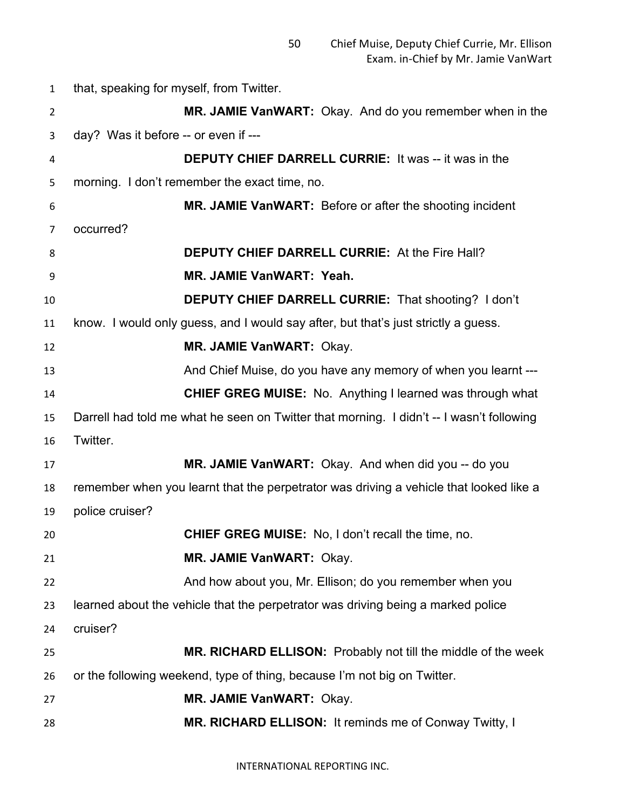that, speaking for myself, from Twitter. **MR. JAMIE VanWART:** Okay. And do you remember when in the day? Was it before -- or even if --- **DEPUTY CHIEF DARRELL CURRIE:** It was -- it was in the morning. I don't remember the exact time, no. **MR. JAMIE VanWART:** Before or after the shooting incident occurred? **DEPUTY CHIEF DARRELL CURRIE:** At the Fire Hall? **MR. JAMIE VanWART: Yeah. DEPUTY CHIEF DARRELL CURRIE:** That shooting? I don't know. I would only guess, and I would say after, but that's just strictly a guess. **MR. JAMIE VanWART:** Okay. 13 And Chief Muise, do you have any memory of when you learnt --- **CHIEF GREG MUISE:** No. Anything I learned was through what Darrell had told me what he seen on Twitter that morning. I didn't -- I wasn't following Twitter. **MR. JAMIE VanWART:** Okay. And when did you -- do you remember when you learnt that the perpetrator was driving a vehicle that looked like a police cruiser? **CHIEF GREG MUISE:** No, I don't recall the time, no. **MR. JAMIE VanWART:** Okay. And how about you, Mr. Ellison; do you remember when you learned about the vehicle that the perpetrator was driving being a marked police cruiser? **MR. RICHARD ELLISON:** Probably not till the middle of the week or the following weekend, type of thing, because I'm not big on Twitter. **MR. JAMIE VanWART:** Okay. **MR. RICHARD ELLISON:** It reminds me of Conway Twitty, I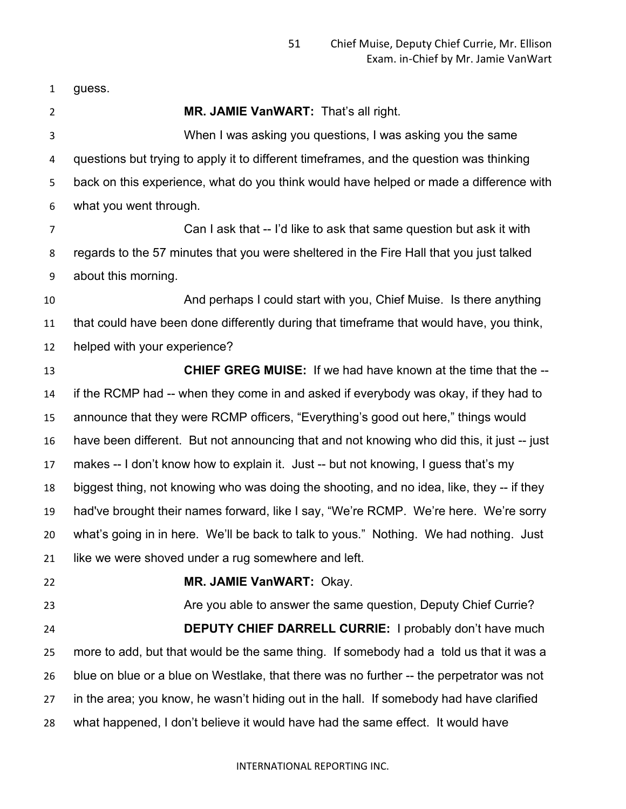guess.

 **MR. JAMIE VanWART:** That's all right. When I was asking you questions, I was asking you the same questions but trying to apply it to different timeframes, and the question was thinking back on this experience, what do you think would have helped or made a difference with what you went through. Can I ask that -- I'd like to ask that same question but ask it with regards to the 57 minutes that you were sheltered in the Fire Hall that you just talked about this morning. And perhaps I could start with you, Chief Muise. Is there anything that could have been done differently during that timeframe that would have, you think, helped with your experience? **CHIEF GREG MUISE:** If we had have known at the time that the -- if the RCMP had -- when they come in and asked if everybody was okay, if they had to announce that they were RCMP officers, "Everything's good out here," things would have been different. But not announcing that and not knowing who did this, it just -- just makes -- I don't know how to explain it. Just -- but not knowing, I guess that's my biggest thing, not knowing who was doing the shooting, and no idea, like, they -- if they had've brought their names forward, like I say, "We're RCMP. We're here. We're sorry what's going in in here. We'll be back to talk to yous." Nothing. We had nothing. Just like we were shoved under a rug somewhere and left. **MR. JAMIE VanWART:** Okay. Are you able to answer the same question, Deputy Chief Currie? **DEPUTY CHIEF DARRELL CURRIE:** I probably don't have much more to add, but that would be the same thing. If somebody had a told us that it was a blue on blue or a blue on Westlake, that there was no further -- the perpetrator was not in the area; you know, he wasn't hiding out in the hall. If somebody had have clarified what happened, I don't believe it would have had the same effect. It would have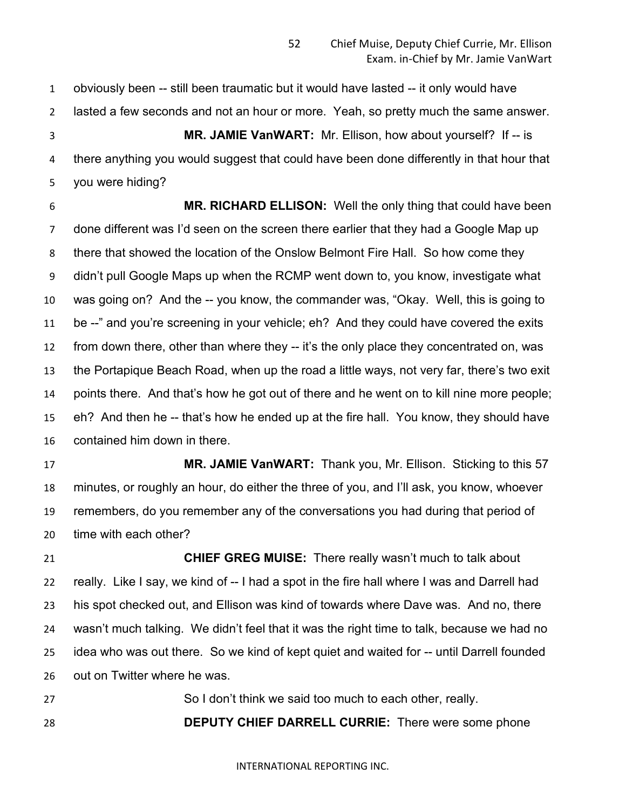obviously been -- still been traumatic but it would have lasted -- it only would have lasted a few seconds and not an hour or more. Yeah, so pretty much the same answer.

 **MR. JAMIE VanWART:** Mr. Ellison, how about yourself? If -- is there anything you would suggest that could have been done differently in that hour that you were hiding?

 **MR. RICHARD ELLISON:** Well the only thing that could have been done different was I'd seen on the screen there earlier that they had a Google Map up there that showed the location of the Onslow Belmont Fire Hall. So how come they didn't pull Google Maps up when the RCMP went down to, you know, investigate what was going on? And the -- you know, the commander was, "Okay. Well, this is going to be --" and you're screening in your vehicle; eh? And they could have covered the exits from down there, other than where they -- it's the only place they concentrated on, was the Portapique Beach Road, when up the road a little ways, not very far, there's two exit points there. And that's how he got out of there and he went on to kill nine more people; eh? And then he -- that's how he ended up at the fire hall. You know, they should have contained him down in there.

 **MR. JAMIE VanWART:** Thank you, Mr. Ellison. Sticking to this 57 minutes, or roughly an hour, do either the three of you, and I'll ask, you know, whoever remembers, do you remember any of the conversations you had during that period of time with each other?

 **CHIEF GREG MUISE:** There really wasn't much to talk about 22 really. Like I say, we kind of -- I had a spot in the fire hall where I was and Darrell had his spot checked out, and Ellison was kind of towards where Dave was. And no, there wasn't much talking. We didn't feel that it was the right time to talk, because we had no idea who was out there. So we kind of kept quiet and waited for -- until Darrell founded out on Twitter where he was.

 So I don't think we said too much to each other, really. **DEPUTY CHIEF DARRELL CURRIE:** There were some phone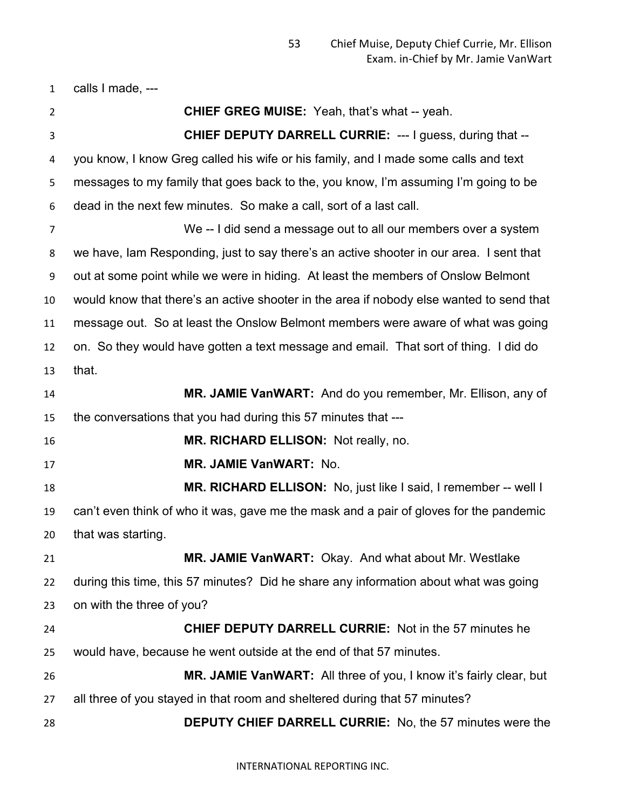calls I made, ---

 **CHIEF GREG MUISE:** Yeah, that's what -- yeah. **CHIEF DEPUTY DARRELL CURRIE:** --- I guess, during that -- you know, I know Greg called his wife or his family, and I made some calls and text messages to my family that goes back to the, you know, I'm assuming I'm going to be dead in the next few minutes. So make a call, sort of a last call. We -- I did send a message out to all our members over a system we have, Iam Responding, just to say there's an active shooter in our area. I sent that out at some point while we were in hiding. At least the members of Onslow Belmont would know that there's an active shooter in the area if nobody else wanted to send that message out. So at least the Onslow Belmont members were aware of what was going on. So they would have gotten a text message and email. That sort of thing. I did do that. **MR. JAMIE VanWART:** And do you remember, Mr. Ellison, any of the conversations that you had during this 57 minutes that --- **MR. RICHARD ELLISON:** Not really, no. **MR. JAMIE VanWART:** No. **MR. RICHARD ELLISON:** No, just like I said, I remember -- well I can't even think of who it was, gave me the mask and a pair of gloves for the pandemic that was starting. **MR. JAMIE VanWART:** Okay. And what about Mr. Westlake during this time, this 57 minutes? Did he share any information about what was going on with the three of you? **CHIEF DEPUTY DARRELL CURRIE:** Not in the 57 minutes he would have, because he went outside at the end of that 57 minutes. **MR. JAMIE VanWART:** All three of you, I know it's fairly clear, but all three of you stayed in that room and sheltered during that 57 minutes? **DEPUTY CHIEF DARRELL CURRIE:** No, the 57 minutes were the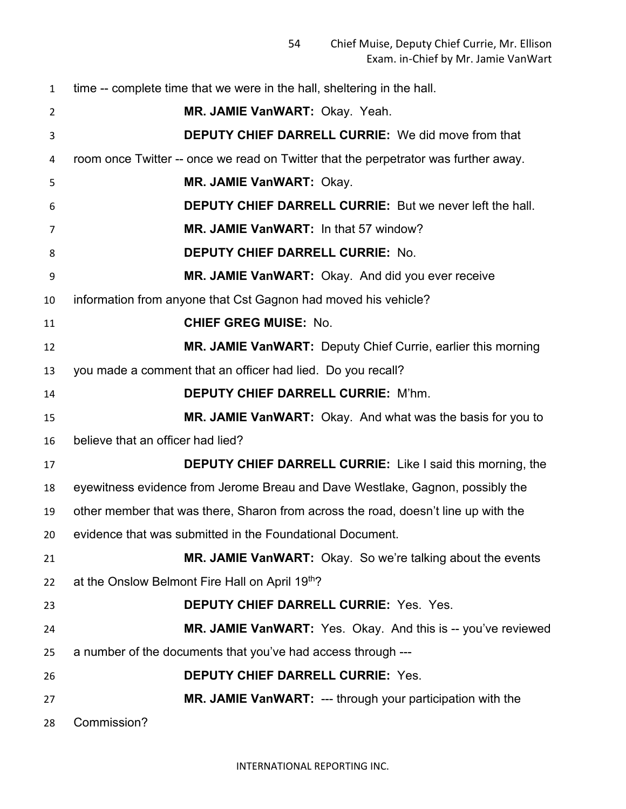time -- complete time that we were in the hall, sheltering in the hall. **MR. JAMIE VanWART:** Okay. Yeah. **DEPUTY CHIEF DARRELL CURRIE:** We did move from that room once Twitter -- once we read on Twitter that the perpetrator was further away. **MR. JAMIE VanWART:** Okay. **DEPUTY CHIEF DARRELL CURRIE:** But we never left the hall. **MR. JAMIE VanWART:** In that 57 window? **DEPUTY CHIEF DARRELL CURRIE:** No. **MR. JAMIE VanWART:** Okay. And did you ever receive information from anyone that Cst Gagnon had moved his vehicle? **CHIEF GREG MUISE:** No. **MR. JAMIE VanWART:** Deputy Chief Currie, earlier this morning you made a comment that an officer had lied. Do you recall? **DEPUTY CHIEF DARRELL CURRIE:** M'hm. **MR. JAMIE VanWART:** Okay. And what was the basis for you to believe that an officer had lied? **DEPUTY CHIEF DARRELL CURRIE:** Like I said this morning, the eyewitness evidence from Jerome Breau and Dave Westlake, Gagnon, possibly the other member that was there, Sharon from across the road, doesn't line up with the evidence that was submitted in the Foundational Document. **MR. JAMIE VanWART:** Okay. So we're talking about the events 22 at the Onslow Belmont Fire Hall on April  $19<sup>th</sup>$ ? **DEPUTY CHIEF DARRELL CURRIE:** Yes. Yes. **MR. JAMIE VanWART:** Yes. Okay. And this is -- you've reviewed a number of the documents that you've had access through --- **DEPUTY CHIEF DARRELL CURRIE:** Yes. **MR. JAMIE VanWART:** --- through your participation with the Commission?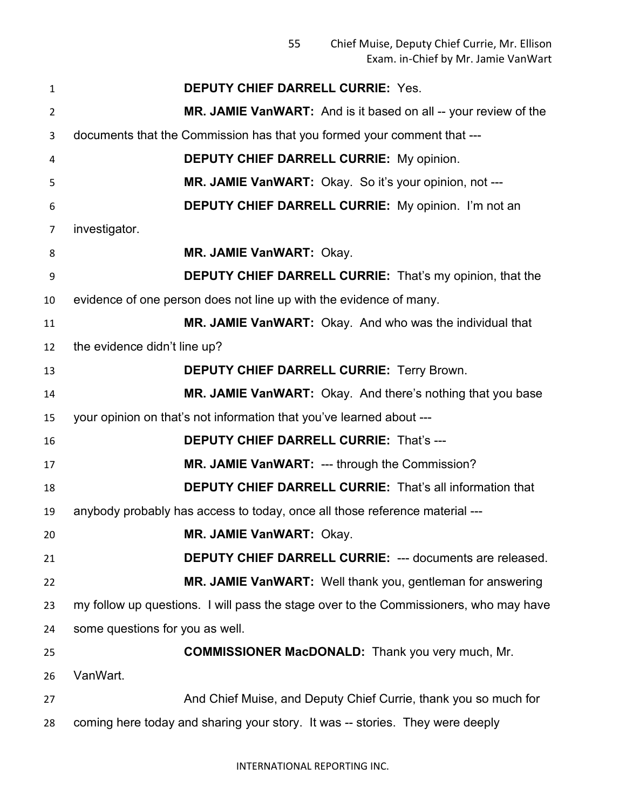| $\mathbf{1}$   | <b>DEPUTY CHIEF DARRELL CURRIE: Yes.</b>                                              |
|----------------|---------------------------------------------------------------------------------------|
| $\overline{2}$ | MR. JAMIE VanWART: And is it based on all -- your review of the                       |
| 3              | documents that the Commission has that you formed your comment that ---               |
| 4              | <b>DEPUTY CHIEF DARRELL CURRIE: My opinion.</b>                                       |
| 5              | MR. JAMIE VanWART: Okay. So it's your opinion, not ---                                |
| 6              | <b>DEPUTY CHIEF DARRELL CURRIE:</b> My opinion. I'm not an                            |
| 7              | investigator.                                                                         |
| 8              | MR. JAMIE VanWART: Okay.                                                              |
| 9              | <b>DEPUTY CHIEF DARRELL CURRIE:</b> That's my opinion, that the                       |
| 10             | evidence of one person does not line up with the evidence of many.                    |
| 11             | MR. JAMIE VanWART: Okay. And who was the individual that                              |
| 12             | the evidence didn't line up?                                                          |
| 13             | <b>DEPUTY CHIEF DARRELL CURRIE: Terry Brown.</b>                                      |
| 14             | MR. JAMIE VanWART: Okay. And there's nothing that you base                            |
| 15             | your opinion on that's not information that you've learned about ---                  |
| 16             | <b>DEPUTY CHIEF DARRELL CURRIE: That's ---</b>                                        |
| 17             | MR. JAMIE VanWART: --- through the Commission?                                        |
| 18             | <b>DEPUTY CHIEF DARRELL CURRIE:</b> That's all information that                       |
| 19             | anybody probably has access to today, once all those reference material ---           |
| 20             | MR. JAMIE VanWART: Okay.                                                              |
| 21             | DEPUTY CHIEF DARRELL CURRIE: --- documents are released.                              |
| 22             | MR. JAMIE VanWART: Well thank you, gentleman for answering                            |
| 23             | my follow up questions. I will pass the stage over to the Commissioners, who may have |
| 24             | some questions for you as well.                                                       |
| 25             | <b>COMMISSIONER MacDONALD:</b> Thank you very much, Mr.                               |
| 26             | VanWart.                                                                              |
| 27             | And Chief Muise, and Deputy Chief Currie, thank you so much for                       |
| 28             | coming here today and sharing your story. It was -- stories. They were deeply         |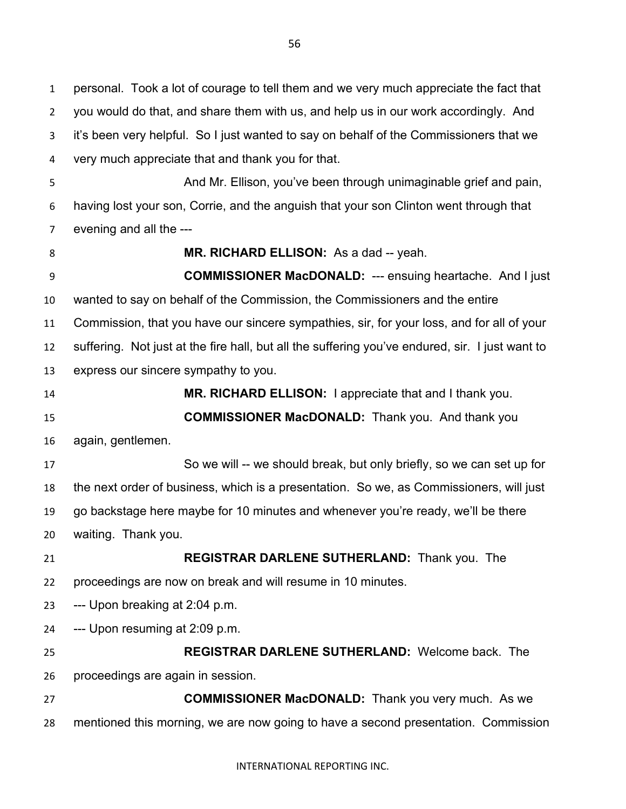personal. Took a lot of courage to tell them and we very much appreciate the fact that you would do that, and share them with us, and help us in our work accordingly. And it's been very helpful. So I just wanted to say on behalf of the Commissioners that we very much appreciate that and thank you for that. And Mr. Ellison, you've been through unimaginable grief and pain, having lost your son, Corrie, and the anguish that your son Clinton went through that evening and all the --- **MR. RICHARD ELLISON:** As a dad -- yeah. **COMMISSIONER MacDONALD:** --- ensuing heartache. And I just wanted to say on behalf of the Commission, the Commissioners and the entire Commission, that you have our sincere sympathies, sir, for your loss, and for all of your suffering. Not just at the fire hall, but all the suffering you've endured, sir. I just want to express our sincere sympathy to you. **MR. RICHARD ELLISON:** I appreciate that and I thank you. **COMMISSIONER MacDONALD:** Thank you. And thank you again, gentlemen. So we will -- we should break, but only briefly, so we can set up for the next order of business, which is a presentation. So we, as Commissioners, will just go backstage here maybe for 10 minutes and whenever you're ready, we'll be there waiting. Thank you. **REGISTRAR DARLENE SUTHERLAND:** Thank you. The proceedings are now on break and will resume in 10 minutes. --- Upon breaking at 2:04 p.m. --- Upon resuming at 2:09 p.m. **REGISTRAR DARLENE SUTHERLAND:** Welcome back. The proceedings are again in session. **COMMISSIONER MacDONALD:** Thank you very much. As we mentioned this morning, we are now going to have a second presentation. Commission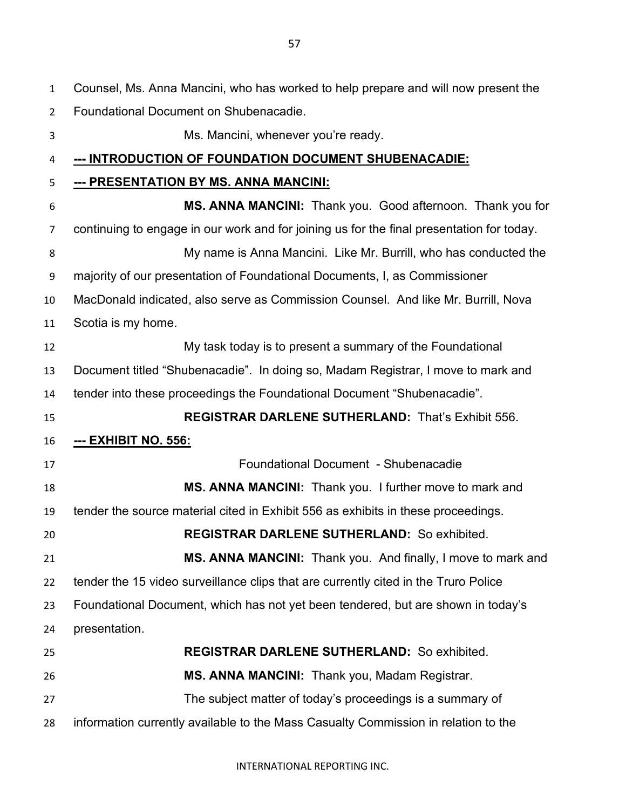| 1              | Counsel, Ms. Anna Mancini, who has worked to help prepare and will now present the        |
|----------------|-------------------------------------------------------------------------------------------|
| $\overline{2}$ | Foundational Document on Shubenacadie.                                                    |
| 3              | Ms. Mancini, whenever you're ready.                                                       |
| 4              | <u>--- INTRODUCTION OF FOUNDATION DOCUMENT SHUBENACADIE:</u>                              |
| 5              | <u>--- PRESENTATION BY MS. ANNA MANCINI:</u>                                              |
| 6              | MS. ANNA MANCINI: Thank you. Good afternoon. Thank you for                                |
| 7              | continuing to engage in our work and for joining us for the final presentation for today. |
| 8              | My name is Anna Mancini. Like Mr. Burrill, who has conducted the                          |
| 9              | majority of our presentation of Foundational Documents, I, as Commissioner                |
| 10             | MacDonald indicated, also serve as Commission Counsel. And like Mr. Burrill, Nova         |
| 11             | Scotia is my home.                                                                        |
| 12             | My task today is to present a summary of the Foundational                                 |
| 13             | Document titled "Shubenacadie". In doing so, Madam Registrar, I move to mark and          |
| 14             | tender into these proceedings the Foundational Document "Shubenacadie".                   |
| 15             | <b>REGISTRAR DARLENE SUTHERLAND: That's Exhibit 556.</b>                                  |
| 16             | <u>--- ЕХНІВІТ NO. 556:</u>                                                               |
| 17             | Foundational Document - Shubenacadie                                                      |
| 18             | MS. ANNA MANCINI: Thank you. I further move to mark and                                   |
| 19             | tender the source material cited in Exhibit 556 as exhibits in these proceedings.         |
| 20             | <b>REGISTRAR DARLENE SUTHERLAND: So exhibited.</b>                                        |
| 21             | MS. ANNA MANCINI: Thank you. And finally, I move to mark and                              |
| 22             | tender the 15 video surveillance clips that are currently cited in the Truro Police       |
| 23             | Foundational Document, which has not yet been tendered, but are shown in today's          |
| 24             | presentation.                                                                             |
| 25             | <b>REGISTRAR DARLENE SUTHERLAND: So exhibited.</b>                                        |
| 26             | MS. ANNA MANCINI: Thank you, Madam Registrar.                                             |
| 27             | The subject matter of today's proceedings is a summary of                                 |
| 28             | information currently available to the Mass Casualty Commission in relation to the        |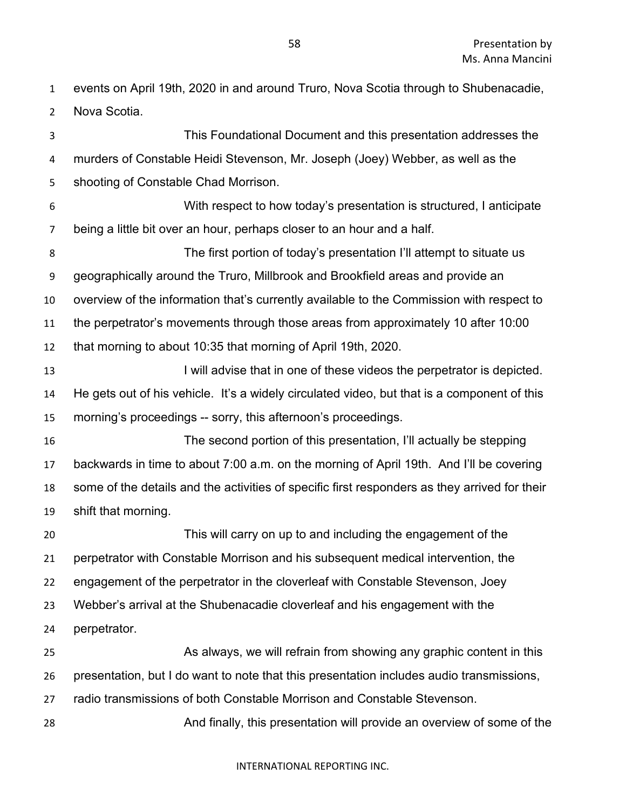events on April 19th, 2020 in and around Truro, Nova Scotia through to Shubenacadie, Nova Scotia.

 This Foundational Document and this presentation addresses the murders of Constable Heidi Stevenson, Mr. Joseph (Joey) Webber, as well as the shooting of Constable Chad Morrison. With respect to how today's presentation is structured, I anticipate being a little bit over an hour, perhaps closer to an hour and a half. The first portion of today's presentation I'll attempt to situate us geographically around the Truro, Millbrook and Brookfield areas and provide an overview of the information that's currently available to the Commission with respect to the perpetrator's movements through those areas from approximately 10 after 10:00 that morning to about 10:35 that morning of April 19th, 2020. 13 I will advise that in one of these videos the perpetrator is depicted. He gets out of his vehicle. It's a widely circulated video, but that is a component of this morning's proceedings -- sorry, this afternoon's proceedings. The second portion of this presentation, I'll actually be stepping backwards in time to about 7:00 a.m. on the morning of April 19th. And I'll be covering some of the details and the activities of specific first responders as they arrived for their shift that morning. This will carry on up to and including the engagement of the perpetrator with Constable Morrison and his subsequent medical intervention, the engagement of the perpetrator in the cloverleaf with Constable Stevenson, Joey Webber's arrival at the Shubenacadie cloverleaf and his engagement with the perpetrator. As always, we will refrain from showing any graphic content in this presentation, but I do want to note that this presentation includes audio transmissions, radio transmissions of both Constable Morrison and Constable Stevenson. And finally, this presentation will provide an overview of some of the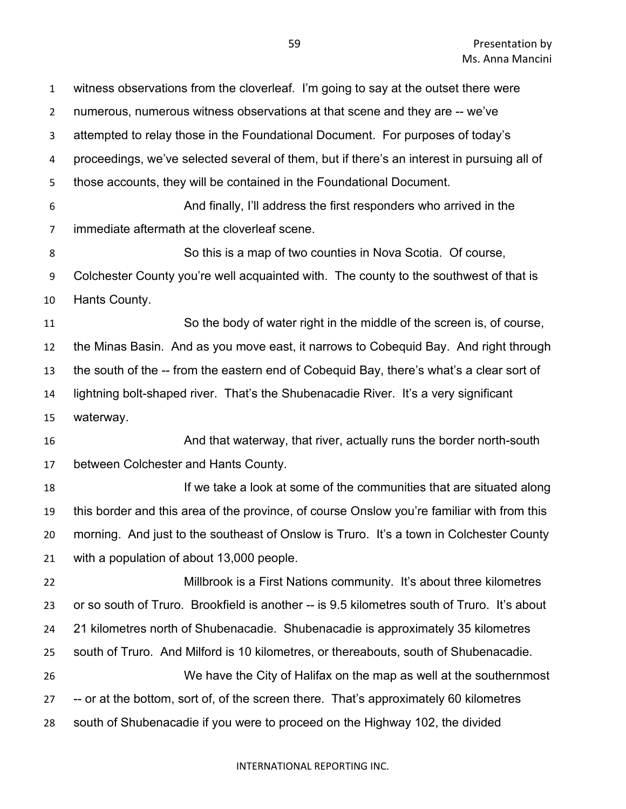| $\mathbf{1}$   | witness observations from the cloverleaf. I'm going to say at the outset there were         |
|----------------|---------------------------------------------------------------------------------------------|
| $\overline{2}$ | numerous, numerous witness observations at that scene and they are -- we've                 |
| 3              | attempted to relay those in the Foundational Document. For purposes of today's              |
| 4              | proceedings, we've selected several of them, but if there's an interest in pursuing all of  |
| 5              | those accounts, they will be contained in the Foundational Document.                        |
| 6              | And finally, I'll address the first responders who arrived in the                           |
| $\overline{7}$ | immediate aftermath at the cloverleaf scene.                                                |
| 8              | So this is a map of two counties in Nova Scotia. Of course,                                 |
| 9              | Colchester County you're well acquainted with. The county to the southwest of that is       |
| 10             | Hants County.                                                                               |
| 11             | So the body of water right in the middle of the screen is, of course,                       |
| 12             | the Minas Basin. And as you move east, it narrows to Cobequid Bay. And right through        |
| 13             | the south of the -- from the eastern end of Cobequid Bay, there's what's a clear sort of    |
| 14             | lightning bolt-shaped river. That's the Shubenacadie River. It's a very significant         |
| 15             | waterway.                                                                                   |
| 16             | And that waterway, that river, actually runs the border north-south                         |
| 17             | between Colchester and Hants County.                                                        |
| 18             | If we take a look at some of the communities that are situated along                        |
| 19             | this border and this area of the province, of course Onslow you're familiar with from this  |
| 20             | morning. And just to the southeast of Onslow is Truro. It's a town in Colchester County     |
| 21             | with a population of about 13,000 people.                                                   |
| 22             | Millbrook is a First Nations community. It's about three kilometres                         |
|                |                                                                                             |
| 23             | or so south of Truro. Brookfield is another -- is 9.5 kilometres south of Truro. It's about |
| 24             | 21 kilometres north of Shubenacadie. Shubenacadie is approximately 35 kilometres            |
| 25             | south of Truro. And Milford is 10 kilometres, or thereabouts, south of Shubenacadie.        |
| 26             | We have the City of Halifax on the map as well at the southernmost                          |
| 27             | -- or at the bottom, sort of, of the screen there. That's approximately 60 kilometres       |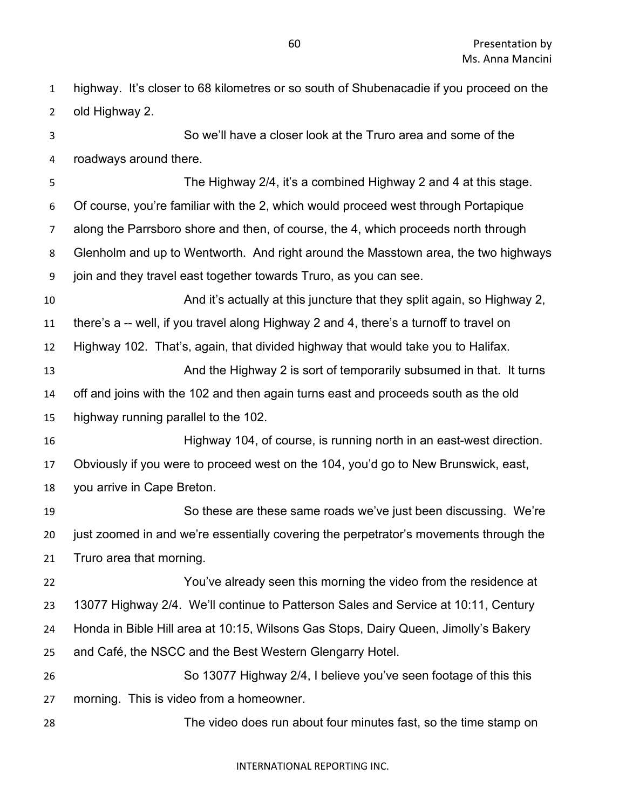- So we'll have a closer look at the Truro area and some of the roadways around there. The Highway 2/4, it's a combined Highway 2 and 4 at this stage. Of course, you're familiar with the 2, which would proceed west through Portapique along the Parrsboro shore and then, of course, the 4, which proceeds north through Glenholm and up to Wentworth. And right around the Masstown area, the two highways join and they travel east together towards Truro, as you can see. And it's actually at this juncture that they split again, so Highway 2, there's a -- well, if you travel along Highway 2 and 4, there's a turnoff to travel on Highway 102. That's, again, that divided highway that would take you to Halifax. 13 And the Highway 2 is sort of temporarily subsumed in that. It turns off and joins with the 102 and then again turns east and proceeds south as the old highway running parallel to the 102. Highway 104, of course, is running north in an east-west direction. Obviously if you were to proceed west on the 104, you'd go to New Brunswick, east, you arrive in Cape Breton. So these are these same roads we've just been discussing. We're just zoomed in and we're essentially covering the perpetrator's movements through the Truro area that morning. You've already seen this morning the video from the residence at 13077 Highway 2/4. We'll continue to Patterson Sales and Service at 10:11, Century Honda in Bible Hill area at 10:15, Wilsons Gas Stops, Dairy Queen, Jimolly's Bakery and Café, the NSCC and the Best Western Glengarry Hotel.
- So 13077 Highway 2/4, I believe you've seen footage of this this morning. This is video from a homeowner.
- The video does run about four minutes fast, so the time stamp on

highway. It's closer to 68 kilometres or so south of Shubenacadie if you proceed on the

old Highway 2.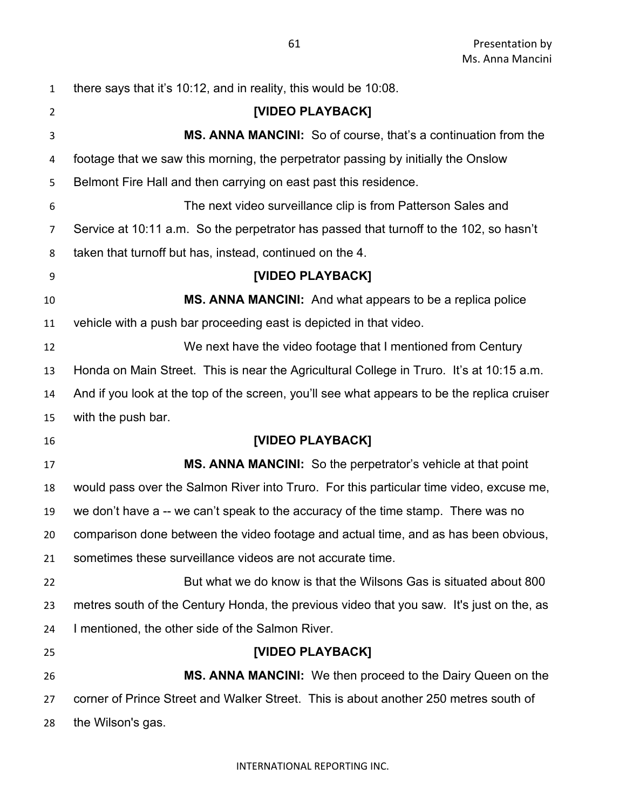| $\mathbf{1}$   | there says that it's 10:12, and in reality, this would be 10:08.                            |
|----------------|---------------------------------------------------------------------------------------------|
| $\overline{2}$ | [VIDEO PLAYBACK]                                                                            |
| 3              | MS. ANNA MANCINI: So of course, that's a continuation from the                              |
| 4              | footage that we saw this morning, the perpetrator passing by initially the Onslow           |
| 5              | Belmont Fire Hall and then carrying on east past this residence.                            |
| 6              | The next video surveillance clip is from Patterson Sales and                                |
| 7              | Service at 10:11 a.m. So the perpetrator has passed that turnoff to the 102, so hasn't      |
| 8              | taken that turnoff but has, instead, continued on the 4.                                    |
| 9              | [VIDEO PLAYBACK]                                                                            |
| 10             | MS. ANNA MANCINI: And what appears to be a replica police                                   |
| 11             | vehicle with a push bar proceeding east is depicted in that video.                          |
| 12             | We next have the video footage that I mentioned from Century                                |
| 13             | Honda on Main Street. This is near the Agricultural College in Truro. It's at 10:15 a.m.    |
| 14             | And if you look at the top of the screen, you'll see what appears to be the replica cruiser |
| 15             | with the push bar.                                                                          |
| 16             | [VIDEO PLAYBACK]                                                                            |
| 17             | <b>MS. ANNA MANCINI:</b> So the perpetrator's vehicle at that point                         |
| 18             | would pass over the Salmon River into Truro. For this particular time video, excuse me,     |
| 19             | we don't have a -- we can't speak to the accuracy of the time stamp. There was no           |
| 20             | comparison done between the video footage and actual time, and as has been obvious,         |
| 21             | sometimes these surveillance videos are not accurate time.                                  |
| 22             | But what we do know is that the Wilsons Gas is situated about 800                           |
| 23             | metres south of the Century Honda, the previous video that you saw. It's just on the, as    |
| 24             | I mentioned, the other side of the Salmon River.                                            |
| 25             | [VIDEO PLAYBACK]                                                                            |
| 26             | <b>MS. ANNA MANCINI:</b> We then proceed to the Dairy Queen on the                          |
| 27             | corner of Prince Street and Walker Street. This is about another 250 metres south of        |
| 28             | the Wilson's gas.                                                                           |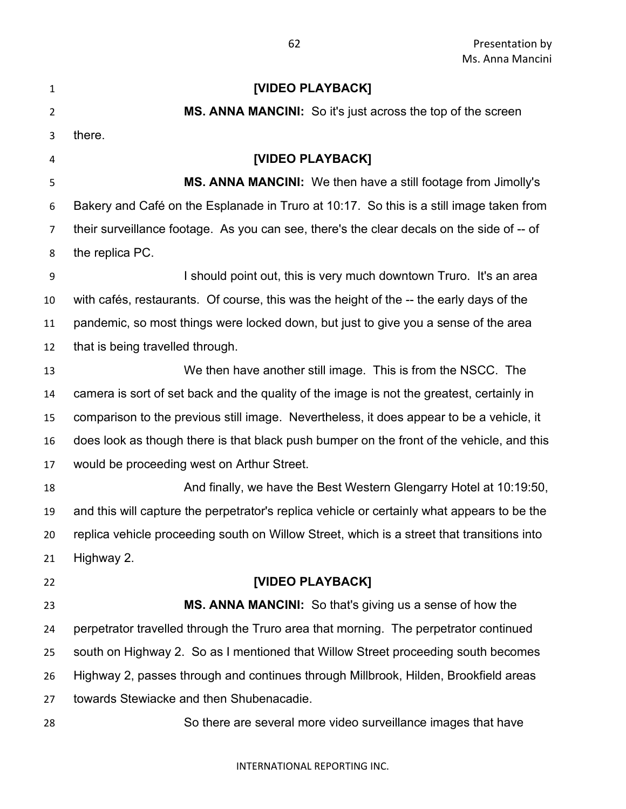| $\mathbf{1}$   | [VIDEO PLAYBACK]                                                                            |
|----------------|---------------------------------------------------------------------------------------------|
| $\overline{2}$ | MS. ANNA MANCINI: So it's just across the top of the screen                                 |
| 3              | there.                                                                                      |
| 4              | [VIDEO PLAYBACK]                                                                            |
| 5              | <b>MS. ANNA MANCINI:</b> We then have a still footage from Jimolly's                        |
| 6              | Bakery and Café on the Esplanade in Truro at 10:17. So this is a still image taken from     |
| 7              | their surveillance footage. As you can see, there's the clear decals on the side of -- of   |
| 8              | the replica PC.                                                                             |
| 9              | I should point out, this is very much downtown Truro. It's an area                          |
| 10             | with cafés, restaurants. Of course, this was the height of the -- the early days of the     |
| 11             | pandemic, so most things were locked down, but just to give you a sense of the area         |
| 12             | that is being travelled through.                                                            |
| 13             | We then have another still image. This is from the NSCC. The                                |
| 14             | camera is sort of set back and the quality of the image is not the greatest, certainly in   |
| 15             | comparison to the previous still image. Nevertheless, it does appear to be a vehicle, it    |
| 16             | does look as though there is that black push bumper on the front of the vehicle, and this   |
| 17             | would be proceeding west on Arthur Street.                                                  |
| 18             | And finally, we have the Best Western Glengarry Hotel at 10:19:50,                          |
| 19             | and this will capture the perpetrator's replica vehicle or certainly what appears to be the |
| 20             | replica vehicle proceeding south on Willow Street, which is a street that transitions into  |
| 21             | Highway 2.                                                                                  |
| 22             | [VIDEO PLAYBACK]                                                                            |
| 23             | MS. ANNA MANCINI: So that's giving us a sense of how the                                    |
| 24             | perpetrator travelled through the Truro area that morning. The perpetrator continued        |
| 25             | south on Highway 2. So as I mentioned that Willow Street proceeding south becomes           |
| 26             | Highway 2, passes through and continues through Millbrook, Hilden, Brookfield areas         |
| 27             | towards Stewiacke and then Shubenacadie.                                                    |
| 28             | So there are several more video surveillance images that have                               |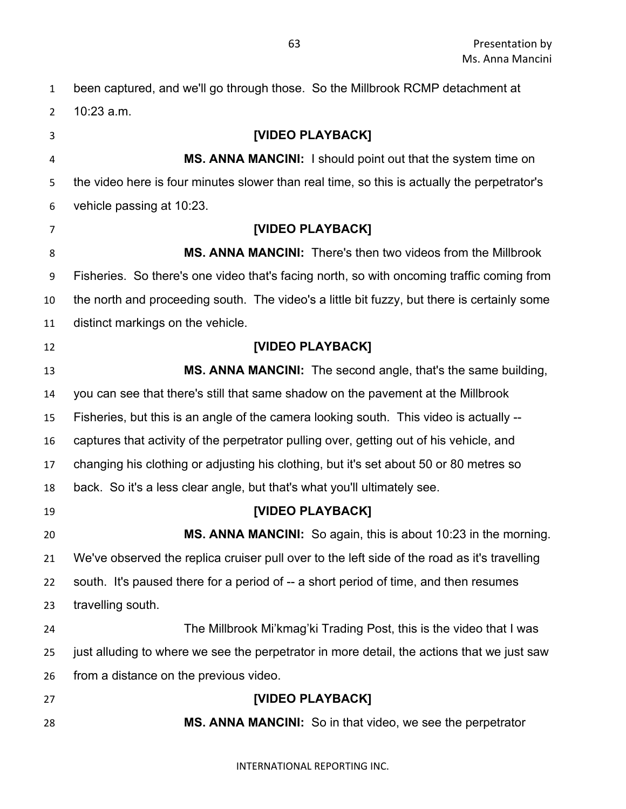been captured, and we'll go through those. So the Millbrook RCMP detachment at 10:23 a.m. **[VIDEO PLAYBACK] MS. ANNA MANCINI:** I should point out that the system time on the video here is four minutes slower than real time, so this is actually the perpetrator's vehicle passing at 10:23. **[VIDEO PLAYBACK] MS. ANNA MANCINI:** There's then two videos from the Millbrook Fisheries. So there's one video that's facing north, so with oncoming traffic coming from the north and proceeding south. The video's a little bit fuzzy, but there is certainly some distinct markings on the vehicle. **[VIDEO PLAYBACK] MS. ANNA MANCINI:** The second angle, that's the same building, you can see that there's still that same shadow on the pavement at the Millbrook Fisheries, but this is an angle of the camera looking south. This video is actually -- captures that activity of the perpetrator pulling over, getting out of his vehicle, and changing his clothing or adjusting his clothing, but it's set about 50 or 80 metres so back. So it's a less clear angle, but that's what you'll ultimately see. **[VIDEO PLAYBACK] MS. ANNA MANCINI:** So again, this is about 10:23 in the morning. We've observed the replica cruiser pull over to the left side of the road as it's travelling south. It's paused there for a period of -- a short period of time, and then resumes travelling south. The Millbrook Mi'kmag'ki Trading Post, this is the video that I was just alluding to where we see the perpetrator in more detail, the actions that we just saw from a distance on the previous video. **[VIDEO PLAYBACK] MS. ANNA MANCINI:** So in that video, we see the perpetrator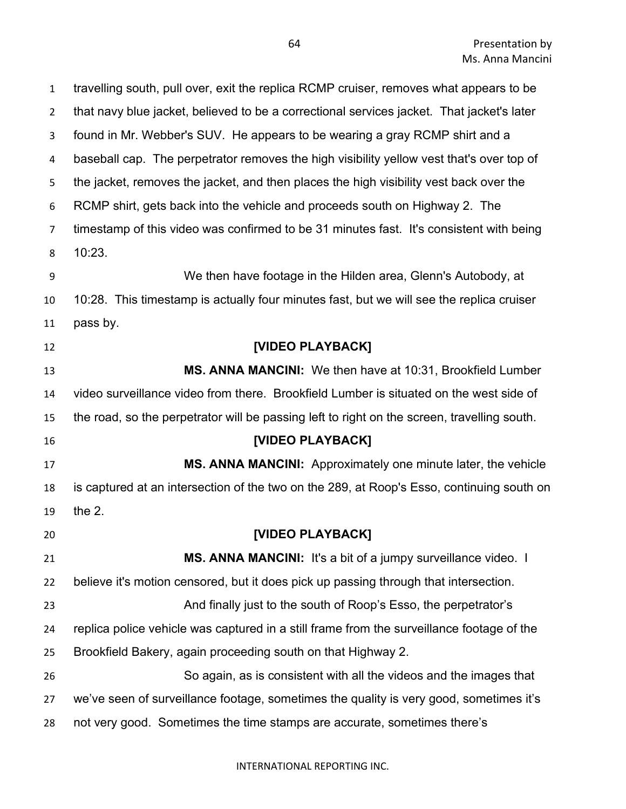| $\mathbf{1}$   | travelling south, pull over, exit the replica RCMP cruiser, removes what appears to be      |
|----------------|---------------------------------------------------------------------------------------------|
| $\overline{2}$ | that navy blue jacket, believed to be a correctional services jacket. That jacket's later   |
| 3              | found in Mr. Webber's SUV. He appears to be wearing a gray RCMP shirt and a                 |
| 4              | baseball cap. The perpetrator removes the high visibility yellow vest that's over top of    |
| 5              | the jacket, removes the jacket, and then places the high visibility vest back over the      |
| 6              | RCMP shirt, gets back into the vehicle and proceeds south on Highway 2. The                 |
| 7              | timestamp of this video was confirmed to be 31 minutes fast. It's consistent with being     |
| 8              | 10:23.                                                                                      |
| 9              | We then have footage in the Hilden area, Glenn's Autobody, at                               |
| 10             | 10:28. This timestamp is actually four minutes fast, but we will see the replica cruiser    |
| 11             | pass by.                                                                                    |
| 12             | [VIDEO PLAYBACK]                                                                            |
| 13             | <b>MS. ANNA MANCINI:</b> We then have at 10:31, Brookfield Lumber                           |
| 14             | video surveillance video from there. Brookfield Lumber is situated on the west side of      |
| 15             | the road, so the perpetrator will be passing left to right on the screen, travelling south. |
| 16             | [VIDEO PLAYBACK]                                                                            |
| 17             | <b>MS. ANNA MANCINI:</b> Approximately one minute later, the vehicle                        |
| 18             | is captured at an intersection of the two on the 289, at Roop's Esso, continuing south on   |
| 19             | the $2.$                                                                                    |
| 20             | <b>[VIDEO PLAYBACK]</b>                                                                     |
| 21             | MS. ANNA MANCINI: It's a bit of a jumpy surveillance video. I                               |
| 22             | believe it's motion censored, but it does pick up passing through that intersection.        |
| 23             | And finally just to the south of Roop's Esso, the perpetrator's                             |
| 24             | replica police vehicle was captured in a still frame from the surveillance footage of the   |
| 25             | Brookfield Bakery, again proceeding south on that Highway 2.                                |
| 26             | So again, as is consistent with all the videos and the images that                          |
| 27             | we've seen of surveillance footage, sometimes the quality is very good, sometimes it's      |
| 28             | not very good. Sometimes the time stamps are accurate, sometimes there's                    |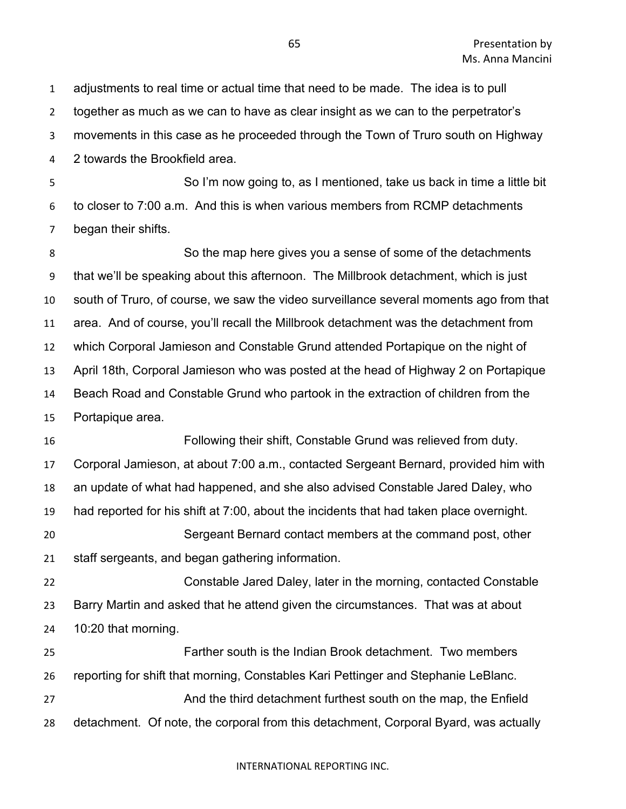adjustments to real time or actual time that need to be made. The idea is to pull together as much as we can to have as clear insight as we can to the perpetrator's movements in this case as he proceeded through the Town of Truro south on Highway 2 towards the Brookfield area. So I'm now going to, as I mentioned, take us back in time a little bit to closer to 7:00 a.m. And this is when various members from RCMP detachments began their shifts. So the map here gives you a sense of some of the detachments that we'll be speaking about this afternoon. The Millbrook detachment, which is just south of Truro, of course, we saw the video surveillance several moments ago from that area. And of course, you'll recall the Millbrook detachment was the detachment from which Corporal Jamieson and Constable Grund attended Portapique on the night of April 18th, Corporal Jamieson who was posted at the head of Highway 2 on Portapique Beach Road and Constable Grund who partook in the extraction of children from the Portapique area. Following their shift, Constable Grund was relieved from duty. Corporal Jamieson, at about 7:00 a.m., contacted Sergeant Bernard, provided him with an update of what had happened, and she also advised Constable Jared Daley, who had reported for his shift at 7:00, about the incidents that had taken place overnight. Sergeant Bernard contact members at the command post, other staff sergeants, and began gathering information. Constable Jared Daley, later in the morning, contacted Constable Barry Martin and asked that he attend given the circumstances. That was at about 10:20 that morning. Farther south is the Indian Brook detachment. Two members reporting for shift that morning, Constables Kari Pettinger and Stephanie LeBlanc. And the third detachment furthest south on the map, the Enfield detachment. Of note, the corporal from this detachment, Corporal Byard, was actually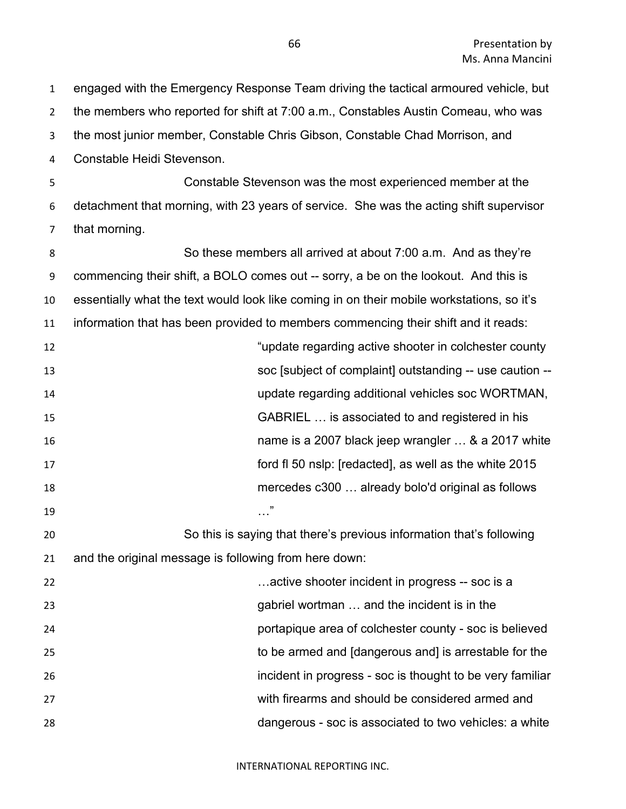the members who reported for shift at 7:00 a.m., Constables Austin Comeau, who was the most junior member, Constable Chris Gibson, Constable Chad Morrison, and Constable Heidi Stevenson. Constable Stevenson was the most experienced member at the detachment that morning, with 23 years of service. She was the acting shift supervisor that morning. So these members all arrived at about 7:00 a.m. And as they're commencing their shift, a BOLO comes out -- sorry, a be on the lookout. And this is essentially what the text would look like coming in on their mobile workstations, so it's information that has been provided to members commencing their shift and it reads: "update regarding active shooter in colchester county soc [subject of complaint] outstanding -- use caution -- update regarding additional vehicles soc WORTMAN, GABRIEL … is associated to and registered in his name is a 2007 black jeep wrangler … & a 2017 white ford fl 50 nslp: [redacted], as well as the white 2015 mercedes c300 … already bolo'd original as follows 19 …  $\ldots$  " So this is saying that there's previous information that's following and the original message is following from here down: …active shooter incident in progress -- soc is a gabriel wortman … and the incident is in the portapique area of colchester county - soc is believed to be armed and [dangerous and] is arrestable for the incident in progress - soc is thought to be very familiar with firearms and should be considered armed and

dangerous - soc is associated to two vehicles: a white

INTERNATIONAL REPORTING INC.

engaged with the Emergency Response Team driving the tactical armoured vehicle, but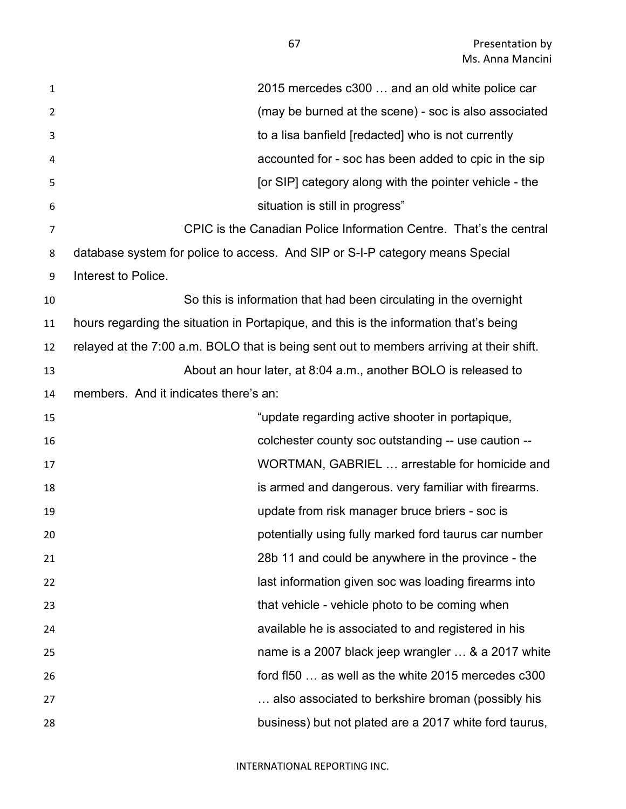| $\mathbf{1}$   | 2015 mercedes c300  and an old white police car                                          |
|----------------|------------------------------------------------------------------------------------------|
| 2              | (may be burned at the scene) - soc is also associated                                    |
| 3              | to a lisa banfield [redacted] who is not currently                                       |
| 4              | accounted for - soc has been added to cpic in the sip                                    |
| 5              | [or SIP] category along with the pointer vehicle - the                                   |
| 6              | situation is still in progress"                                                          |
| $\overline{7}$ | CPIC is the Canadian Police Information Centre. That's the central                       |
| 8              | database system for police to access. And SIP or S-I-P category means Special            |
| 9              | Interest to Police.                                                                      |
| 10             | So this is information that had been circulating in the overnight                        |
| 11             | hours regarding the situation in Portapique, and this is the information that's being    |
| 12             | relayed at the 7:00 a.m. BOLO that is being sent out to members arriving at their shift. |
| 13             | About an hour later, at 8:04 a.m., another BOLO is released to                           |
| 14             | members. And it indicates there's an:                                                    |
| 15             | "update regarding active shooter in portapique,                                          |
| 16             | colchester county soc outstanding -- use caution --                                      |
| 17             | WORTMAN, GABRIEL  arrestable for homicide and                                            |
| 18             | is armed and dangerous. very familiar with firearms.                                     |
| 19             | update from risk manager bruce briers - soc is                                           |
| 20             | potentially using fully marked ford taurus car number                                    |
| 21             | 28b 11 and could be anywhere in the province - the                                       |
| 22             | last information given soc was loading firearms into                                     |
| 23             | that vehicle - vehicle photo to be coming when                                           |
| 24             | available he is associated to and registered in his                                      |
| 25             | name is a 2007 black jeep wrangler  & a 2017 white                                       |
| 26             | ford fl50  as well as the white 2015 mercedes c300                                       |
| 27             | also associated to berkshire broman (possibly his                                        |
| 28             | business) but not plated are a 2017 white ford taurus,                                   |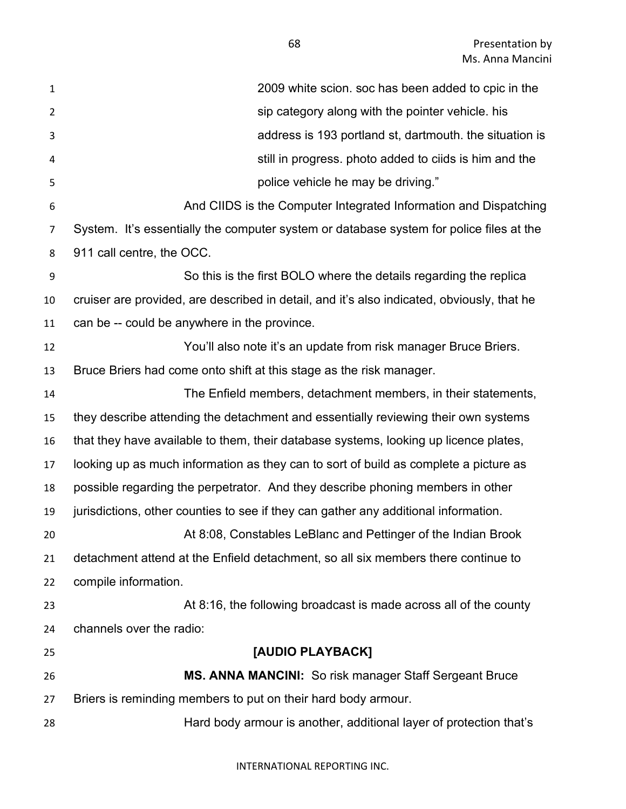| $\mathbf{1}$ | 2009 white scion. soc has been added to cpic in the                                        |
|--------------|--------------------------------------------------------------------------------------------|
| 2            | sip category along with the pointer vehicle. his                                           |
| 3            | address is 193 portland st, dartmouth. the situation is                                    |
| 4            | still in progress. photo added to ciids is him and the                                     |
| 5            | police vehicle he may be driving."                                                         |
| 6            | And CIIDS is the Computer Integrated Information and Dispatching                           |
| 7            | System. It's essentially the computer system or database system for police files at the    |
| 8            | 911 call centre, the OCC.                                                                  |
| 9            | So this is the first BOLO where the details regarding the replica                          |
| 10           | cruiser are provided, are described in detail, and it's also indicated, obviously, that he |
| 11           | can be -- could be anywhere in the province.                                               |
| 12           | You'll also note it's an update from risk manager Bruce Briers.                            |
| 13           | Bruce Briers had come onto shift at this stage as the risk manager.                        |
| 14           | The Enfield members, detachment members, in their statements,                              |
| 15           | they describe attending the detachment and essentially reviewing their own systems         |
| 16           | that they have available to them, their database systems, looking up licence plates,       |
| 17           | looking up as much information as they can to sort of build as complete a picture as       |
| 18           | possible regarding the perpetrator. And they describe phoning members in other             |
| 19           | jurisdictions, other counties to see if they can gather any additional information.        |
| 20           | At 8:08, Constables LeBlanc and Pettinger of the Indian Brook                              |
| 21           | detachment attend at the Enfield detachment, so all six members there continue to          |
| 22           | compile information.                                                                       |
| 23           | At 8:16, the following broadcast is made across all of the county                          |
| 24           | channels over the radio:                                                                   |
| 25           | [AUDIO PLAYBACK]                                                                           |
| 26           | MS. ANNA MANCINI: So risk manager Staff Sergeant Bruce                                     |
| 27           | Briers is reminding members to put on their hard body armour.                              |
| 28           | Hard body armour is another, additional layer of protection that's                         |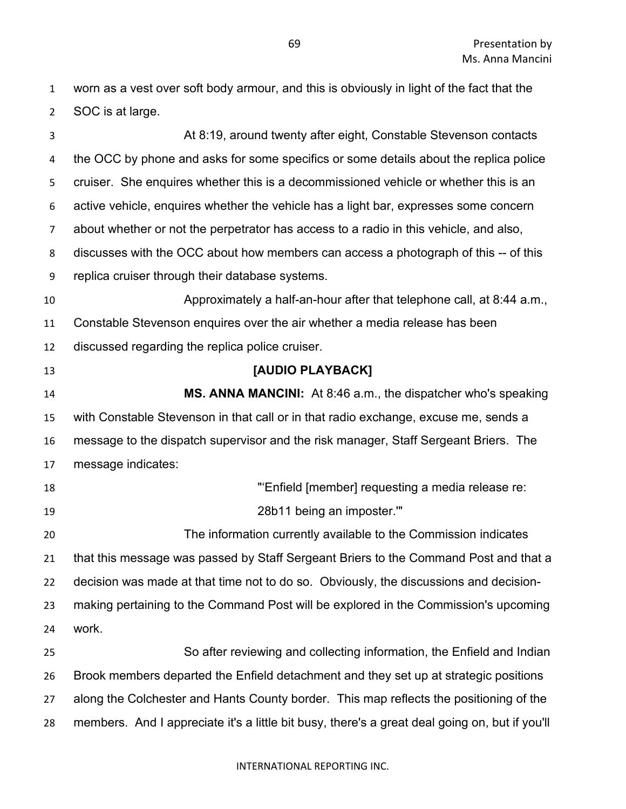worn as a vest over soft body armour, and this is obviously in light of the fact that the SOC is at large.

 At 8:19, around twenty after eight, Constable Stevenson contacts the OCC by phone and asks for some specifics or some details about the replica police cruiser. She enquires whether this is a decommissioned vehicle or whether this is an active vehicle, enquires whether the vehicle has a light bar, expresses some concern about whether or not the perpetrator has access to a radio in this vehicle, and also, discusses with the OCC about how members can access a photograph of this -- of this replica cruiser through their database systems. Approximately a half-an-hour after that telephone call, at 8:44 a.m., Constable Stevenson enquires over the air whether a media release has been discussed regarding the replica police cruiser. **[AUDIO PLAYBACK] MS. ANNA MANCINI:** At 8:46 a.m., the dispatcher who's speaking with Constable Stevenson in that call or in that radio exchange, excuse me, sends a message to the dispatch supervisor and the risk manager, Staff Sergeant Briers. The message indicates: "'Enfield [member] requesting a media release re: 28b11 being an imposter.'" The information currently available to the Commission indicates that this message was passed by Staff Sergeant Briers to the Command Post and that a decision was made at that time not to do so. Obviously, the discussions and decision- making pertaining to the Command Post will be explored in the Commission's upcoming work. So after reviewing and collecting information, the Enfield and Indian Brook members departed the Enfield detachment and they set up at strategic positions along the Colchester and Hants County border. This map reflects the positioning of the members. And I appreciate it's a little bit busy, there's a great deal going on, but if you'll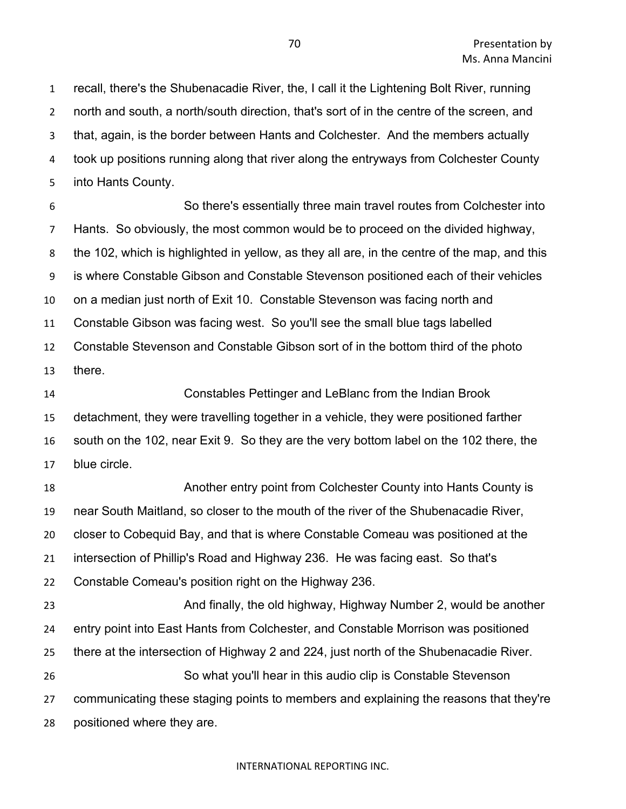recall, there's the Shubenacadie River, the, I call it the Lightening Bolt River, running north and south, a north/south direction, that's sort of in the centre of the screen, and that, again, is the border between Hants and Colchester. And the members actually took up positions running along that river along the entryways from Colchester County into Hants County.

 So there's essentially three main travel routes from Colchester into Hants. So obviously, the most common would be to proceed on the divided highway, the 102, which is highlighted in yellow, as they all are, in the centre of the map, and this is where Constable Gibson and Constable Stevenson positioned each of their vehicles on a median just north of Exit 10. Constable Stevenson was facing north and Constable Gibson was facing west. So you'll see the small blue tags labelled Constable Stevenson and Constable Gibson sort of in the bottom third of the photo there.

 Constables Pettinger and LeBlanc from the Indian Brook detachment, they were travelling together in a vehicle, they were positioned farther south on the 102, near Exit 9. So they are the very bottom label on the 102 there, the blue circle.

 Another entry point from Colchester County into Hants County is near South Maitland, so closer to the mouth of the river of the Shubenacadie River, closer to Cobequid Bay, and that is where Constable Comeau was positioned at the intersection of Phillip's Road and Highway 236. He was facing east. So that's Constable Comeau's position right on the Highway 236. **And finally, the old highway, Highway Number 2, would be another**  entry point into East Hants from Colchester, and Constable Morrison was positioned there at the intersection of Highway 2 and 224, just north of the Shubenacadie River. So what you'll hear in this audio clip is Constable Stevenson communicating these staging points to members and explaining the reasons that they're

positioned where they are.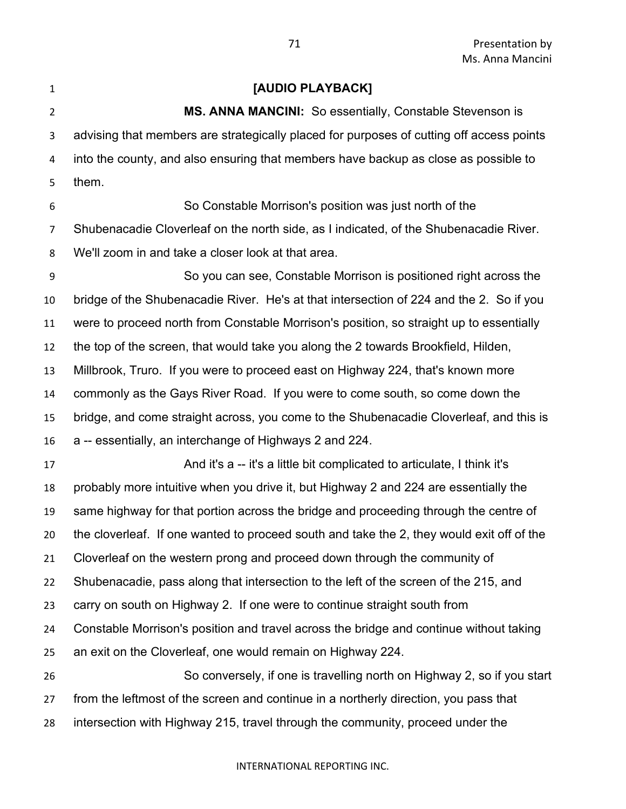**[AUDIO PLAYBACK] MS. ANNA MANCINI:** So essentially, Constable Stevenson is advising that members are strategically placed for purposes of cutting off access points into the county, and also ensuring that members have backup as close as possible to them. So Constable Morrison's position was just north of the Shubenacadie Cloverleaf on the north side, as I indicated, of the Shubenacadie River. We'll zoom in and take a closer look at that area. So you can see, Constable Morrison is positioned right across the bridge of the Shubenacadie River. He's at that intersection of 224 and the 2. So if you were to proceed north from Constable Morrison's position, so straight up to essentially the top of the screen, that would take you along the 2 towards Brookfield, Hilden, Millbrook, Truro. If you were to proceed east on Highway 224, that's known more commonly as the Gays River Road. If you were to come south, so come down the bridge, and come straight across, you come to the Shubenacadie Cloverleaf, and this is a -- essentially, an interchange of Highways 2 and 224. And it's a -- it's a little bit complicated to articulate, I think it's probably more intuitive when you drive it, but Highway 2 and 224 are essentially the same highway for that portion across the bridge and proceeding through the centre of the cloverleaf. If one wanted to proceed south and take the 2, they would exit off of the Cloverleaf on the western prong and proceed down through the community of Shubenacadie, pass along that intersection to the left of the screen of the 215, and carry on south on Highway 2. If one were to continue straight south from Constable Morrison's position and travel across the bridge and continue without taking an exit on the Cloverleaf, one would remain on Highway 224. So conversely, if one is travelling north on Highway 2, so if you start from the leftmost of the screen and continue in a northerly direction, you pass that intersection with Highway 215, travel through the community, proceed under the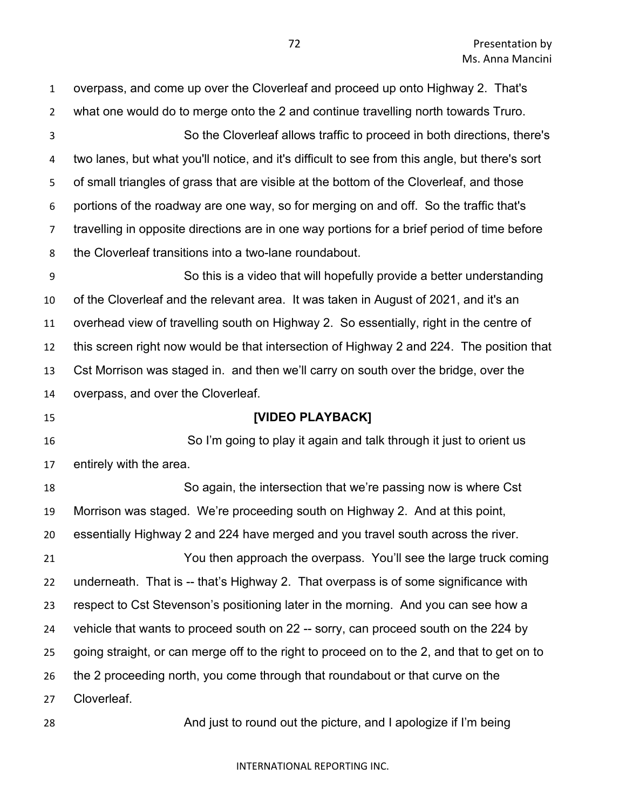| $\mathbf{1}$     | overpass, and come up over the Cloverleaf and proceed up onto Highway 2. That's                |
|------------------|------------------------------------------------------------------------------------------------|
| $\overline{2}$   | what one would do to merge onto the 2 and continue travelling north towards Truro.             |
| 3                | So the Cloverleaf allows traffic to proceed in both directions, there's                        |
| 4                | two lanes, but what you'll notice, and it's difficult to see from this angle, but there's sort |
| 5                | of small triangles of grass that are visible at the bottom of the Cloverleaf, and those        |
| 6                | portions of the roadway are one way, so for merging on and off. So the traffic that's          |
| $\overline{7}$   | travelling in opposite directions are in one way portions for a brief period of time before    |
| 8                | the Cloverleaf transitions into a two-lane roundabout.                                         |
| $\boldsymbol{9}$ | So this is a video that will hopefully provide a better understanding                          |
| 10               | of the Cloverleaf and the relevant area. It was taken in August of 2021, and it's an           |
| 11               | overhead view of travelling south on Highway 2. So essentially, right in the centre of         |
| 12               | this screen right now would be that intersection of Highway 2 and 224. The position that       |
| 13               | Cst Morrison was staged in. and then we'll carry on south over the bridge, over the            |
| 14               | overpass, and over the Cloverleaf.                                                             |
|                  |                                                                                                |
| 15               | [VIDEO PLAYBACK]                                                                               |
| 16               | So I'm going to play it again and talk through it just to orient us                            |
| 17               | entirely with the area.                                                                        |
| 18               | So again, the intersection that we're passing now is where Cst                                 |
| 19               | Morrison was staged. We're proceeding south on Highway 2. And at this point,                   |
| 20               | essentially Highway 2 and 224 have merged and you travel south across the river.               |
| 21               | You then approach the overpass. You'll see the large truck coming                              |
| 22               | underneath. That is -- that's Highway 2. That overpass is of some significance with            |
| 23               | respect to Cst Stevenson's positioning later in the morning. And you can see how a             |
| 24               | vehicle that wants to proceed south on 22 -- sorry, can proceed south on the 224 by            |
| 25               | going straight, or can merge off to the right to proceed on to the 2, and that to get on to    |
| 26               | the 2 proceeding north, you come through that roundabout or that curve on the                  |
| 27               | Cloverleaf.                                                                                    |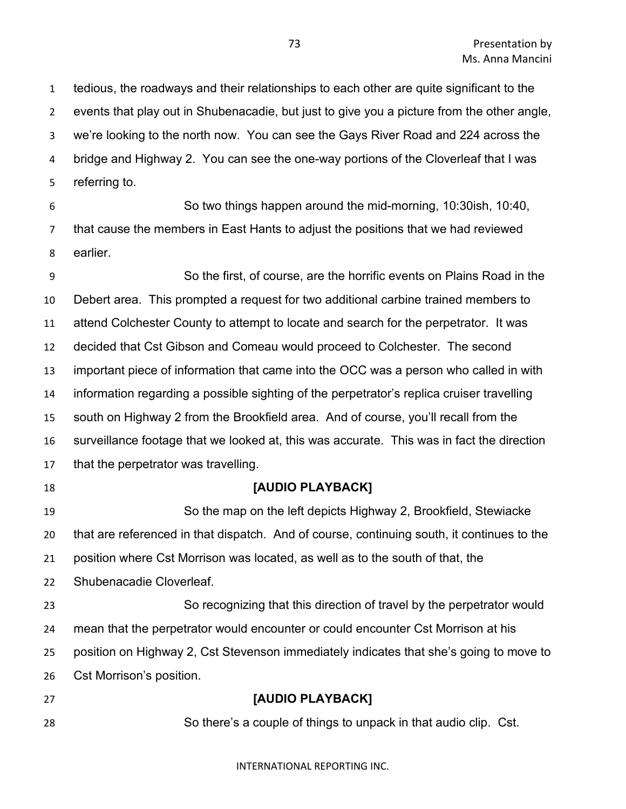tedious, the roadways and their relationships to each other are quite significant to the events that play out in Shubenacadie, but just to give you a picture from the other angle, we're looking to the north now. You can see the Gays River Road and 224 across the bridge and Highway 2. You can see the one-way portions of the Cloverleaf that I was referring to.

 So two things happen around the mid-morning, 10:30ish, 10:40, that cause the members in East Hants to adjust the positions that we had reviewed earlier.

 So the first, of course, are the horrific events on Plains Road in the Debert area. This prompted a request for two additional carbine trained members to attend Colchester County to attempt to locate and search for the perpetrator. It was decided that Cst Gibson and Comeau would proceed to Colchester. The second important piece of information that came into the OCC was a person who called in with information regarding a possible sighting of the perpetrator's replica cruiser travelling south on Highway 2 from the Brookfield area. And of course, you'll recall from the surveillance footage that we looked at, this was accurate. This was in fact the direction that the perpetrator was travelling. **[AUDIO PLAYBACK]** So the map on the left depicts Highway 2, Brookfield, Stewiacke that are referenced in that dispatch. And of course, continuing south, it continues to the position where Cst Morrison was located, as well as to the south of that, the Shubenacadie Cloverleaf.

 So recognizing that this direction of travel by the perpetrator would mean that the perpetrator would encounter or could encounter Cst Morrison at his position on Highway 2, Cst Stevenson immediately indicates that she's going to move to Cst Morrison's position.

 **[AUDIO PLAYBACK]** So there's a couple of things to unpack in that audio clip. Cst.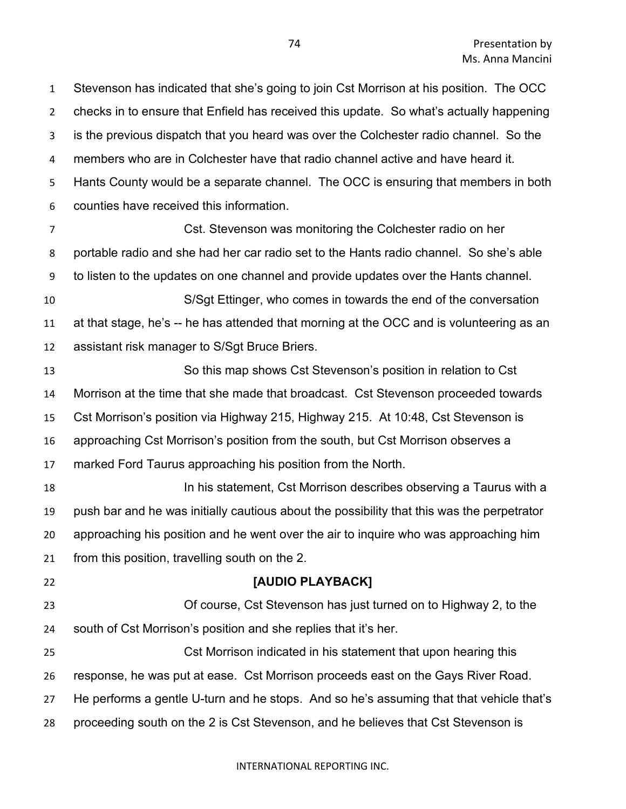Stevenson has indicated that she's going to join Cst Morrison at his position. The OCC checks in to ensure that Enfield has received this update. So what's actually happening is the previous dispatch that you heard was over the Colchester radio channel. So the members who are in Colchester have that radio channel active and have heard it. Hants County would be a separate channel. The OCC is ensuring that members in both counties have received this information.

 Cst. Stevenson was monitoring the Colchester radio on her portable radio and she had her car radio set to the Hants radio channel. So she's able to listen to the updates on one channel and provide updates over the Hants channel.

 S/Sgt Ettinger, who comes in towards the end of the conversation at that stage, he's -- he has attended that morning at the OCC and is volunteering as an assistant risk manager to S/Sgt Bruce Briers.

 So this map shows Cst Stevenson's position in relation to Cst Morrison at the time that she made that broadcast. Cst Stevenson proceeded towards Cst Morrison's position via Highway 215, Highway 215. At 10:48, Cst Stevenson is approaching Cst Morrison's position from the south, but Cst Morrison observes a marked Ford Taurus approaching his position from the North. In his statement, Cst Morrison describes observing a Taurus with a push bar and he was initially cautious about the possibility that this was the perpetrator approaching his position and he went over the air to inquire who was approaching him from this position, travelling south on the 2.

 **[AUDIO PLAYBACK]** Of course, Cst Stevenson has just turned on to Highway 2, to the south of Cst Morrison's position and she replies that it's her. Cst Morrison indicated in his statement that upon hearing this response, he was put at ease. Cst Morrison proceeds east on the Gays River Road.

He performs a gentle U-turn and he stops. And so he's assuming that that vehicle that's

proceeding south on the 2 is Cst Stevenson, and he believes that Cst Stevenson is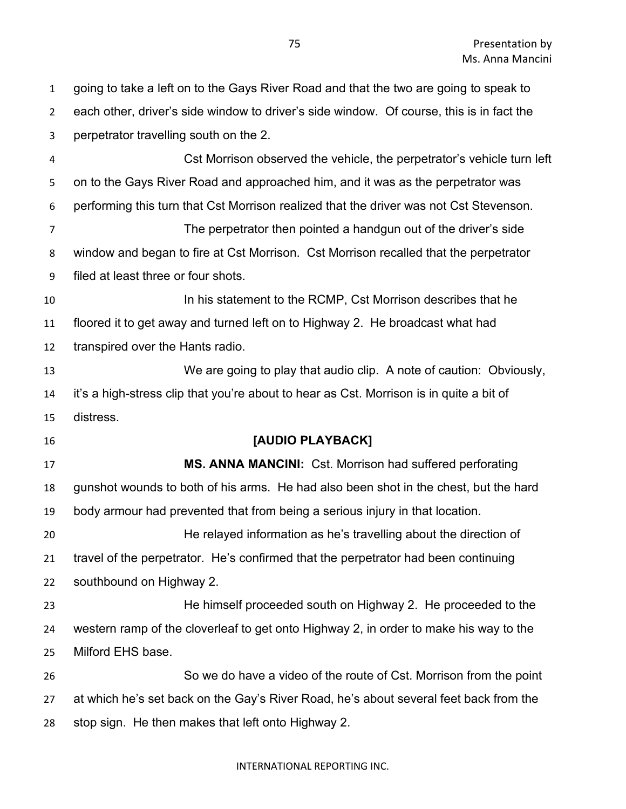going to take a left on to the Gays River Road and that the two are going to speak to each other, driver's side window to driver's side window. Of course, this is in fact the perpetrator travelling south on the 2. Cst Morrison observed the vehicle, the perpetrator's vehicle turn left on to the Gays River Road and approached him, and it was as the perpetrator was performing this turn that Cst Morrison realized that the driver was not Cst Stevenson. The perpetrator then pointed a handgun out of the driver's side window and began to fire at Cst Morrison. Cst Morrison recalled that the perpetrator filed at least three or four shots. **In his statement to the RCMP, Cst Morrison describes that he**  floored it to get away and turned left on to Highway 2. He broadcast what had transpired over the Hants radio. We are going to play that audio clip. A note of caution: Obviously, it's a high-stress clip that you're about to hear as Cst. Morrison is in quite a bit of distress. **[AUDIO PLAYBACK] MS. ANNA MANCINI:** Cst. Morrison had suffered perforating gunshot wounds to both of his arms. He had also been shot in the chest, but the hard body armour had prevented that from being a serious injury in that location. He relayed information as he's travelling about the direction of travel of the perpetrator. He's confirmed that the perpetrator had been continuing southbound on Highway 2. He himself proceeded south on Highway 2. He proceeded to the western ramp of the cloverleaf to get onto Highway 2, in order to make his way to the Milford EHS base. So we do have a video of the route of Cst. Morrison from the point at which he's set back on the Gay's River Road, he's about several feet back from the stop sign. He then makes that left onto Highway 2.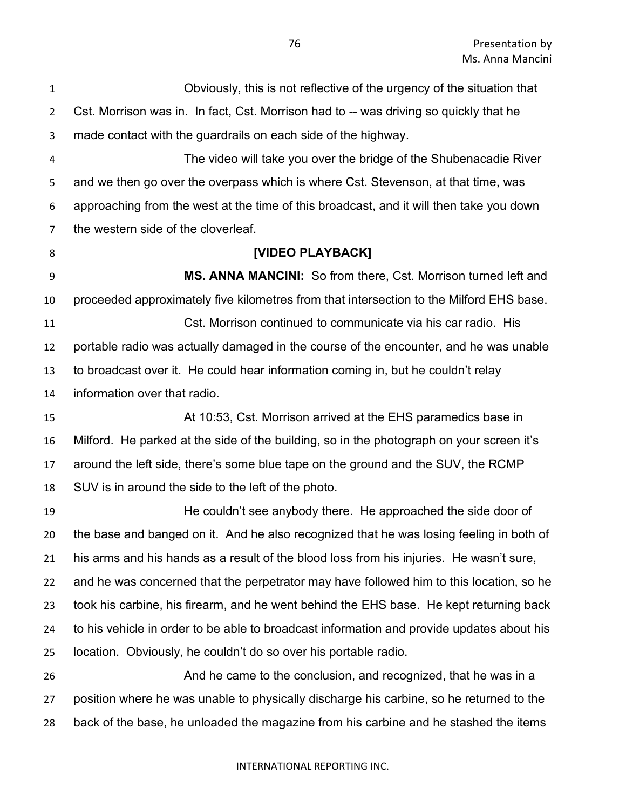Obviously, this is not reflective of the urgency of the situation that Cst. Morrison was in. In fact, Cst. Morrison had to -- was driving so quickly that he made contact with the guardrails on each side of the highway. The video will take you over the bridge of the Shubenacadie River and we then go over the overpass which is where Cst. Stevenson, at that time, was approaching from the west at the time of this broadcast, and it will then take you down the western side of the cloverleaf. **[VIDEO PLAYBACK] MS. ANNA MANCINI:** So from there, Cst. Morrison turned left and proceeded approximately five kilometres from that intersection to the Milford EHS base. Cst. Morrison continued to communicate via his car radio. His portable radio was actually damaged in the course of the encounter, and he was unable to broadcast over it. He could hear information coming in, but he couldn't relay information over that radio. At 10:53, Cst. Morrison arrived at the EHS paramedics base in Milford. He parked at the side of the building, so in the photograph on your screen it's around the left side, there's some blue tape on the ground and the SUV, the RCMP SUV is in around the side to the left of the photo. He couldn't see anybody there. He approached the side door of the base and banged on it. And he also recognized that he was losing feeling in both of his arms and his hands as a result of the blood loss from his injuries. He wasn't sure, and he was concerned that the perpetrator may have followed him to this location, so he took his carbine, his firearm, and he went behind the EHS base. He kept returning back to his vehicle in order to be able to broadcast information and provide updates about his location. Obviously, he couldn't do so over his portable radio. And he came to the conclusion, and recognized, that he was in a position where he was unable to physically discharge his carbine, so he returned to the back of the base, he unloaded the magazine from his carbine and he stashed the items

## INTERNATIONAL REPORTING INC.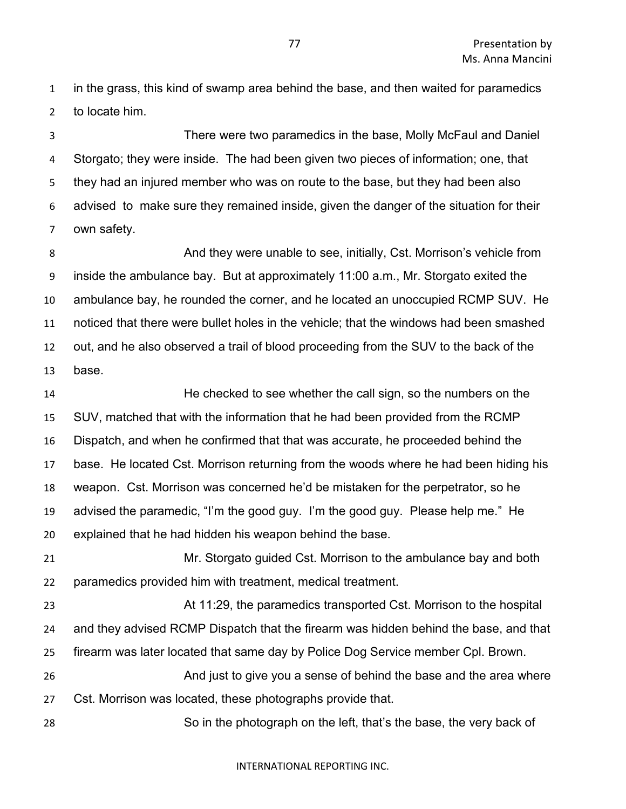in the grass, this kind of swamp area behind the base, and then waited for paramedics to locate him.

 There were two paramedics in the base, Molly McFaul and Daniel Storgato; they were inside. The had been given two pieces of information; one, that they had an injured member who was on route to the base, but they had been also advised to make sure they remained inside, given the danger of the situation for their own safety.

8 And they were unable to see, initially, Cst. Morrison's vehicle from inside the ambulance bay. But at approximately 11:00 a.m., Mr. Storgato exited the ambulance bay, he rounded the corner, and he located an unoccupied RCMP SUV. He noticed that there were bullet holes in the vehicle; that the windows had been smashed out, and he also observed a trail of blood proceeding from the SUV to the back of the base.

 He checked to see whether the call sign, so the numbers on the SUV, matched that with the information that he had been provided from the RCMP Dispatch, and when he confirmed that that was accurate, he proceeded behind the base. He located Cst. Morrison returning from the woods where he had been hiding his weapon. Cst. Morrison was concerned he'd be mistaken for the perpetrator, so he advised the paramedic, "I'm the good guy. I'm the good guy. Please help me." He explained that he had hidden his weapon behind the base.

 Mr. Storgato guided Cst. Morrison to the ambulance bay and both paramedics provided him with treatment, medical treatment.

 At 11:29, the paramedics transported Cst. Morrison to the hospital and they advised RCMP Dispatch that the firearm was hidden behind the base, and that firearm was later located that same day by Police Dog Service member Cpl. Brown.

 And just to give you a sense of behind the base and the area where Cst. Morrison was located, these photographs provide that.

So in the photograph on the left, that's the base, the very back of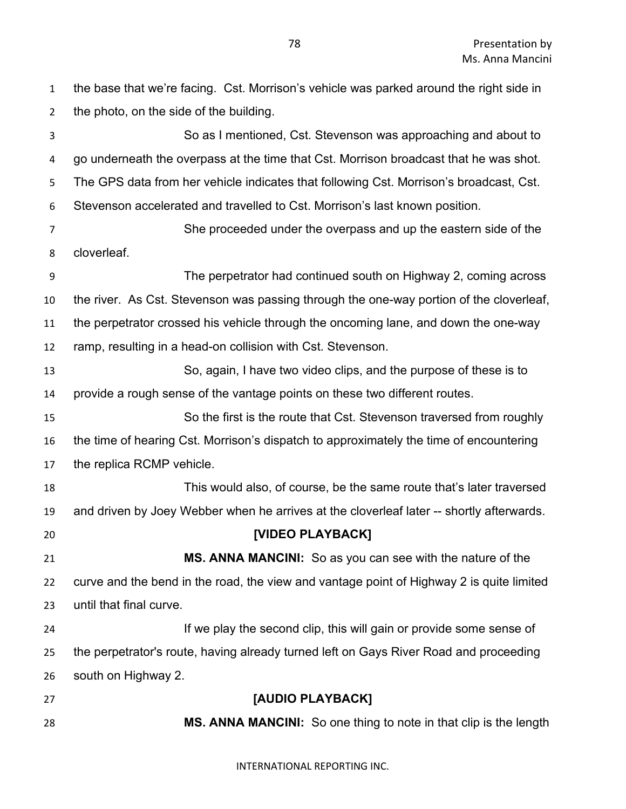the base that we're facing. Cst. Morrison's vehicle was parked around the right side in the photo, on the side of the building. So as I mentioned, Cst. Stevenson was approaching and about to go underneath the overpass at the time that Cst. Morrison broadcast that he was shot. The GPS data from her vehicle indicates that following Cst. Morrison's broadcast, Cst. Stevenson accelerated and travelled to Cst. Morrison's last known position. She proceeded under the overpass and up the eastern side of the cloverleaf. The perpetrator had continued south on Highway 2, coming across the river. As Cst. Stevenson was passing through the one-way portion of the cloverleaf, the perpetrator crossed his vehicle through the oncoming lane, and down the one-way ramp, resulting in a head-on collision with Cst. Stevenson. So, again, I have two video clips, and the purpose of these is to provide a rough sense of the vantage points on these two different routes. So the first is the route that Cst. Stevenson traversed from roughly the time of hearing Cst. Morrison's dispatch to approximately the time of encountering the replica RCMP vehicle. This would also, of course, be the same route that's later traversed and driven by Joey Webber when he arrives at the cloverleaf later -- shortly afterwards. **[VIDEO PLAYBACK] MS. ANNA MANCINI:** So as you can see with the nature of the curve and the bend in the road, the view and vantage point of Highway 2 is quite limited until that final curve. **If we play the second clip, this will gain or provide some sense of**  the perpetrator's route, having already turned left on Gays River Road and proceeding south on Highway 2. **[AUDIO PLAYBACK] MS. ANNA MANCINI:** So one thing to note in that clip is the length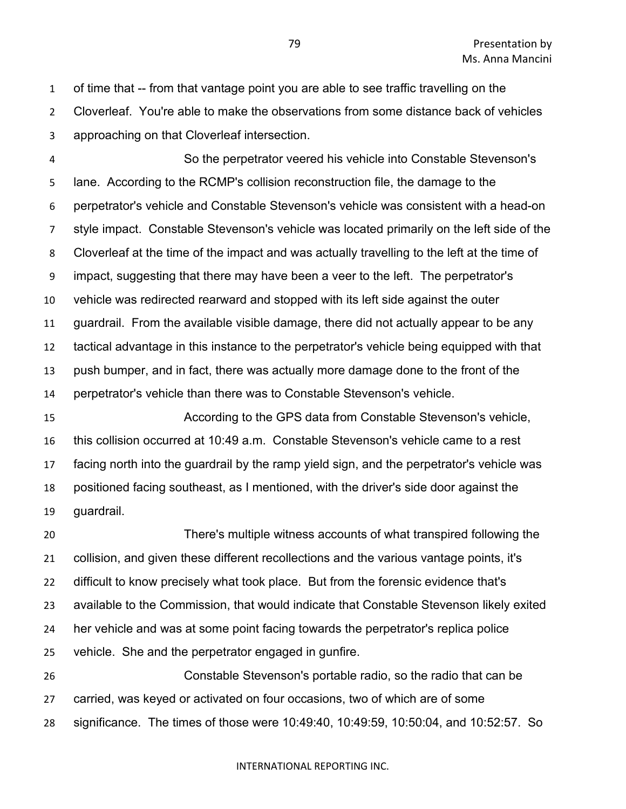of time that -- from that vantage point you are able to see traffic travelling on the Cloverleaf. You're able to make the observations from some distance back of vehicles approaching on that Cloverleaf intersection.

 So the perpetrator veered his vehicle into Constable Stevenson's lane. According to the RCMP's collision reconstruction file, the damage to the perpetrator's vehicle and Constable Stevenson's vehicle was consistent with a head-on style impact. Constable Stevenson's vehicle was located primarily on the left side of the Cloverleaf at the time of the impact and was actually travelling to the left at the time of impact, suggesting that there may have been a veer to the left. The perpetrator's vehicle was redirected rearward and stopped with its left side against the outer guardrail. From the available visible damage, there did not actually appear to be any tactical advantage in this instance to the perpetrator's vehicle being equipped with that push bumper, and in fact, there was actually more damage done to the front of the perpetrator's vehicle than there was to Constable Stevenson's vehicle.

 According to the GPS data from Constable Stevenson's vehicle, this collision occurred at 10:49 a.m. Constable Stevenson's vehicle came to a rest facing north into the guardrail by the ramp yield sign, and the perpetrator's vehicle was positioned facing southeast, as I mentioned, with the driver's side door against the guardrail.

 There's multiple witness accounts of what transpired following the collision, and given these different recollections and the various vantage points, it's difficult to know precisely what took place. But from the forensic evidence that's available to the Commission, that would indicate that Constable Stevenson likely exited her vehicle and was at some point facing towards the perpetrator's replica police vehicle. She and the perpetrator engaged in gunfire. Constable Stevenson's portable radio, so the radio that can be

 carried, was keyed or activated on four occasions, two of which are of some significance. The times of those were 10:49:40, 10:49:59, 10:50:04, and 10:52:57. So

## INTERNATIONAL REPORTING INC.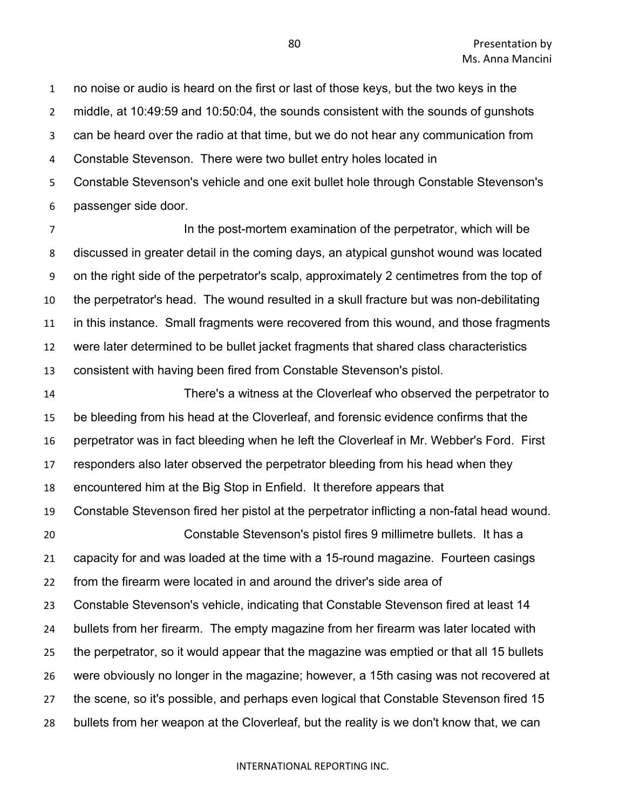no noise or audio is heard on the first or last of those keys, but the two keys in the middle, at 10:49:59 and 10:50:04, the sounds consistent with the sounds of gunshots can be heard over the radio at that time, but we do not hear any communication from Constable Stevenson. There were two bullet entry holes located in Constable Stevenson's vehicle and one exit bullet hole through Constable Stevenson's

passenger side door.

**In the post-mortem examination of the perpetrator, which will be**  discussed in greater detail in the coming days, an atypical gunshot wound was located on the right side of the perpetrator's scalp, approximately 2 centimetres from the top of the perpetrator's head. The wound resulted in a skull fracture but was non-debilitating in this instance. Small fragments were recovered from this wound, and those fragments were later determined to be bullet jacket fragments that shared class characteristics consistent with having been fired from Constable Stevenson's pistol.

 There's a witness at the Cloverleaf who observed the perpetrator to be bleeding from his head at the Cloverleaf, and forensic evidence confirms that the perpetrator was in fact bleeding when he left the Cloverleaf in Mr. Webber's Ford. First responders also later observed the perpetrator bleeding from his head when they encountered him at the Big Stop in Enfield. It therefore appears that Constable Stevenson fired her pistol at the perpetrator inflicting a non-fatal head wound. Constable Stevenson's pistol fires 9 millimetre bullets. It has a capacity for and was loaded at the time with a 15-round magazine. Fourteen casings from the firearm were located in and around the driver's side area of Constable Stevenson's vehicle, indicating that Constable Stevenson fired at least 14 bullets from her firearm. The empty magazine from her firearm was later located with the perpetrator, so it would appear that the magazine was emptied or that all 15 bullets were obviously no longer in the magazine; however, a 15th casing was not recovered at the scene, so it's possible, and perhaps even logical that Constable Stevenson fired 15 bullets from her weapon at the Cloverleaf, but the reality is we don't know that, we can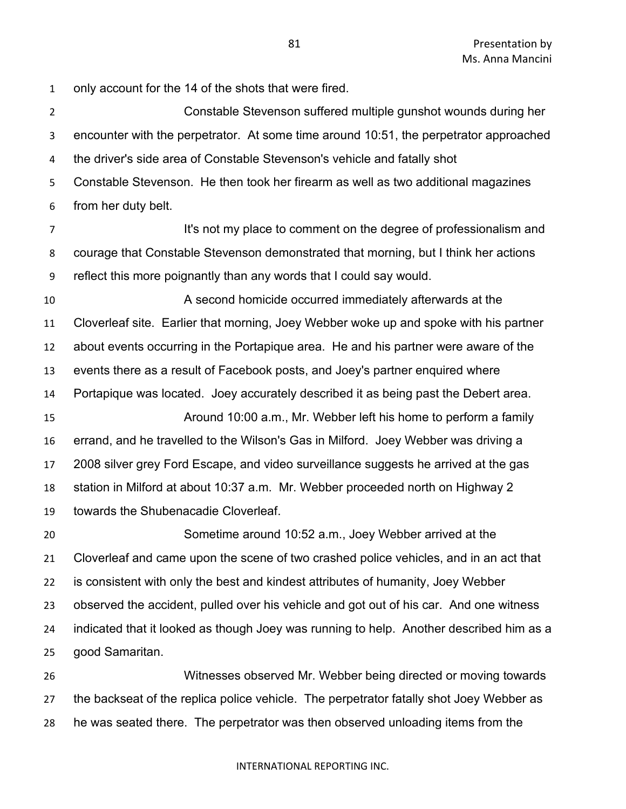only account for the 14 of the shots that were fired.

 Constable Stevenson suffered multiple gunshot wounds during her encounter with the perpetrator. At some time around 10:51, the perpetrator approached the driver's side area of Constable Stevenson's vehicle and fatally shot Constable Stevenson. He then took her firearm as well as two additional magazines from her duty belt.

**It's not my place to comment on the degree of professionalism and**  courage that Constable Stevenson demonstrated that morning, but I think her actions reflect this more poignantly than any words that I could say would.

 A second homicide occurred immediately afterwards at the Cloverleaf site. Earlier that morning, Joey Webber woke up and spoke with his partner about events occurring in the Portapique area. He and his partner were aware of the events there as a result of Facebook posts, and Joey's partner enquired where Portapique was located. Joey accurately described it as being past the Debert area. Around 10:00 a.m., Mr. Webber left his home to perform a family errand, and he travelled to the Wilson's Gas in Milford. Joey Webber was driving a 2008 silver grey Ford Escape, and video surveillance suggests he arrived at the gas station in Milford at about 10:37 a.m. Mr. Webber proceeded north on Highway 2 towards the Shubenacadie Cloverleaf.

 Sometime around 10:52 a.m., Joey Webber arrived at the Cloverleaf and came upon the scene of two crashed police vehicles, and in an act that is consistent with only the best and kindest attributes of humanity, Joey Webber observed the accident, pulled over his vehicle and got out of his car. And one witness indicated that it looked as though Joey was running to help. Another described him as a good Samaritan.

 Witnesses observed Mr. Webber being directed or moving towards the backseat of the replica police vehicle. The perpetrator fatally shot Joey Webber as he was seated there. The perpetrator was then observed unloading items from the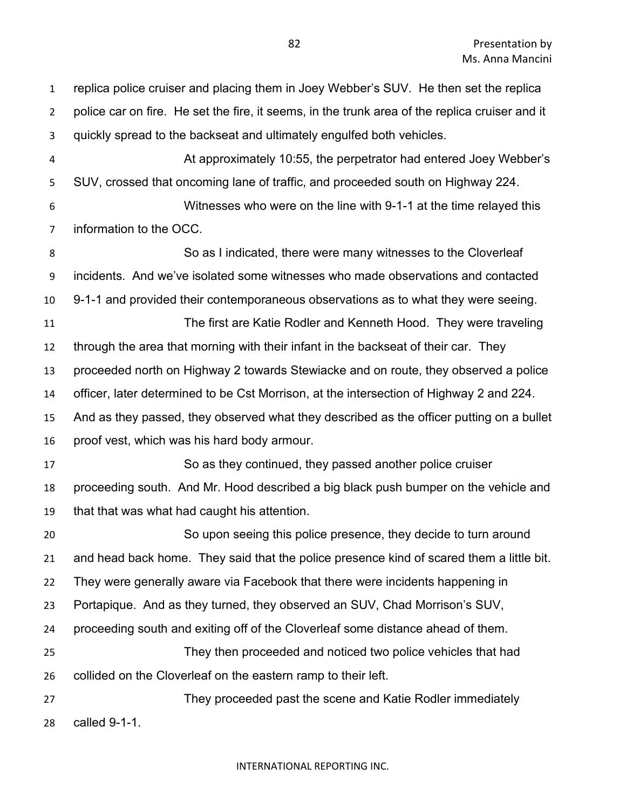replica police cruiser and placing them in Joey Webber's SUV. He then set the replica police car on fire. He set the fire, it seems, in the trunk area of the replica cruiser and it quickly spread to the backseat and ultimately engulfed both vehicles. At approximately 10:55, the perpetrator had entered Joey Webber's SUV, crossed that oncoming lane of traffic, and proceeded south on Highway 224. Witnesses who were on the line with 9-1-1 at the time relayed this information to the OCC. So as I indicated, there were many witnesses to the Cloverleaf incidents. And we've isolated some witnesses who made observations and contacted 9-1-1 and provided their contemporaneous observations as to what they were seeing. The first are Katie Rodler and Kenneth Hood. They were traveling through the area that morning with their infant in the backseat of their car. They proceeded north on Highway 2 towards Stewiacke and on route, they observed a police officer, later determined to be Cst Morrison, at the intersection of Highway 2 and 224. And as they passed, they observed what they described as the officer putting on a bullet proof vest, which was his hard body armour. So as they continued, they passed another police cruiser proceeding south. And Mr. Hood described a big black push bumper on the vehicle and that that was what had caught his attention. So upon seeing this police presence, they decide to turn around and head back home. They said that the police presence kind of scared them a little bit. They were generally aware via Facebook that there were incidents happening in Portapique. And as they turned, they observed an SUV, Chad Morrison's SUV, proceeding south and exiting off of the Cloverleaf some distance ahead of them. They then proceeded and noticed two police vehicles that had collided on the Cloverleaf on the eastern ramp to their left. They proceeded past the scene and Katie Rodler immediately called 9-1-1.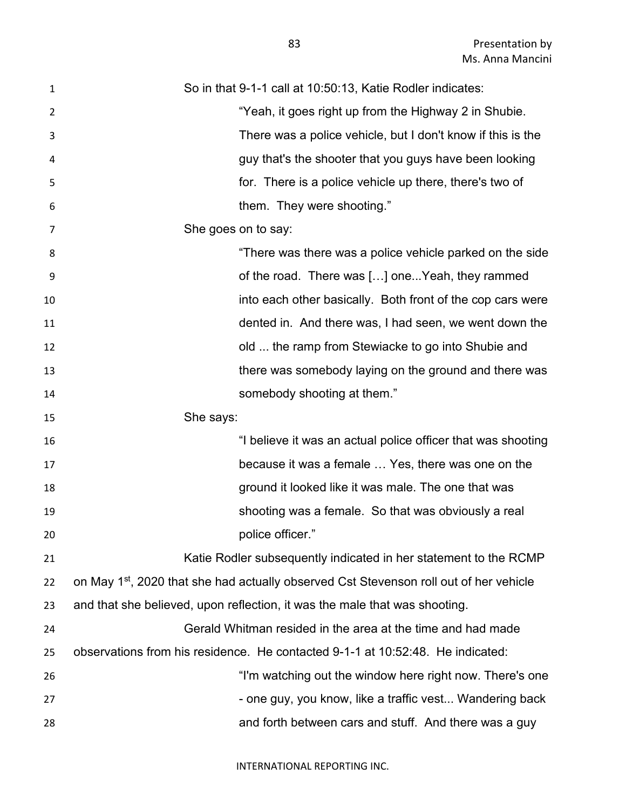| $\mathbf{1}$   | So in that 9-1-1 call at 10:50:13, Katie Rodler indicates:                                         |
|----------------|----------------------------------------------------------------------------------------------------|
| $\overline{2}$ | "Yeah, it goes right up from the Highway 2 in Shubie.                                              |
| 3              | There was a police vehicle, but I don't know if this is the                                        |
| 4              | guy that's the shooter that you guys have been looking                                             |
| 5              | for. There is a police vehicle up there, there's two of                                            |
| 6              | them. They were shooting."                                                                         |
| 7              | She goes on to say:                                                                                |
| 8              | "There was there was a police vehicle parked on the side                                           |
| 9              | of the road. There was [] oneYeah, they rammed                                                     |
| 10             | into each other basically. Both front of the cop cars were                                         |
| 11             | dented in. And there was, I had seen, we went down the                                             |
| 12             | old  the ramp from Stewiacke to go into Shubie and                                                 |
| 13             | there was somebody laying on the ground and there was                                              |
| 14             | somebody shooting at them."                                                                        |
| 15             | She says:                                                                                          |
| 16             | "I believe it was an actual police officer that was shooting                                       |
| 17             | because it was a female  Yes, there was one on the                                                 |
| 18             | ground it looked like it was male. The one that was                                                |
| 19             | shooting was a female. So that was obviously a real                                                |
| 20             | police officer."                                                                                   |
| 21             | Katie Rodler subsequently indicated in her statement to the RCMP                                   |
| 22             | on May 1 <sup>st</sup> , 2020 that she had actually observed Cst Stevenson roll out of her vehicle |
| 23             | and that she believed, upon reflection, it was the male that was shooting.                         |
| 24             | Gerald Whitman resided in the area at the time and had made                                        |
| 25             | observations from his residence. He contacted 9-1-1 at 10:52:48. He indicated:                     |
| 26             | "I'm watching out the window here right now. There's one                                           |
| 27             | - one guy, you know, like a traffic vest Wandering back                                            |
| 28             | and forth between cars and stuff. And there was a guy                                              |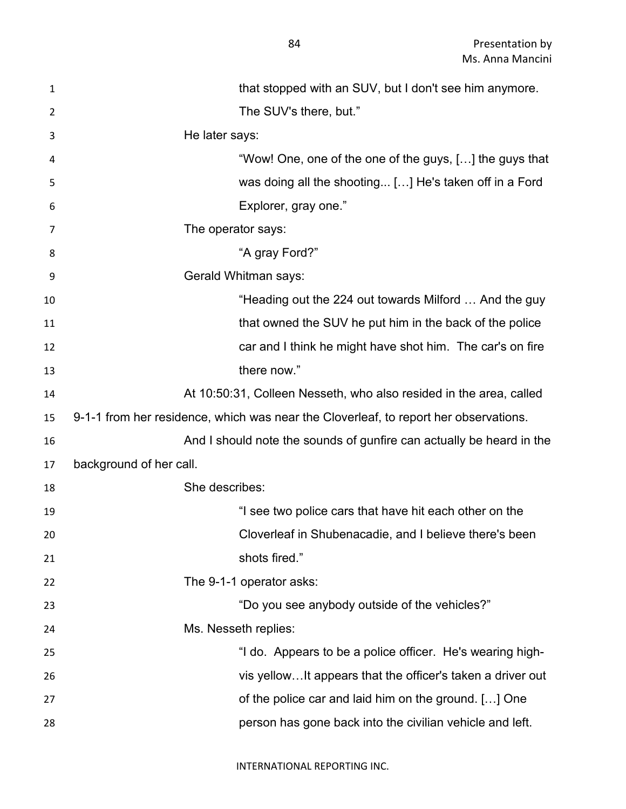| $\mathbf{1}$ | that stopped with an SUV, but I don't see him anymore.                               |
|--------------|--------------------------------------------------------------------------------------|
| 2            | The SUV's there, but."                                                               |
| 3            | He later says:                                                                       |
| 4            | "Wow! One, one of the one of the guys, [] the guys that                              |
| 5            | was doing all the shooting [] He's taken off in a Ford                               |
| 6            | Explorer, gray one."                                                                 |
| 7            | The operator says:                                                                   |
| 8            | "A gray Ford?"                                                                       |
| 9            | Gerald Whitman says:                                                                 |
| 10           | "Heading out the 224 out towards Milford  And the guy                                |
| 11           | that owned the SUV he put him in the back of the police                              |
| 12           | car and I think he might have shot him. The car's on fire                            |
| 13           | there now."                                                                          |
| 14           | At 10:50:31, Colleen Nesseth, who also resided in the area, called                   |
|              |                                                                                      |
| 15           | 9-1-1 from her residence, which was near the Cloverleaf, to report her observations. |
| 16           | And I should note the sounds of gunfire can actually be heard in the                 |
| 17           | background of her call.                                                              |
| 18           | She describes:                                                                       |
| 19           | "I see two police cars that have hit each other on the                               |
| 20           | Cloverleaf in Shubenacadie, and I believe there's been                               |
| 21           | shots fired."                                                                        |
| 22           | The 9-1-1 operator asks:                                                             |
| 23           | "Do you see anybody outside of the vehicles?"                                        |
| 24           | Ms. Nesseth replies:                                                                 |
| 25           | "I do. Appears to be a police officer. He's wearing high-                            |
| 26           | vis yellowIt appears that the officer's taken a driver out                           |
| 27           | of the police car and laid him on the ground. [] One                                 |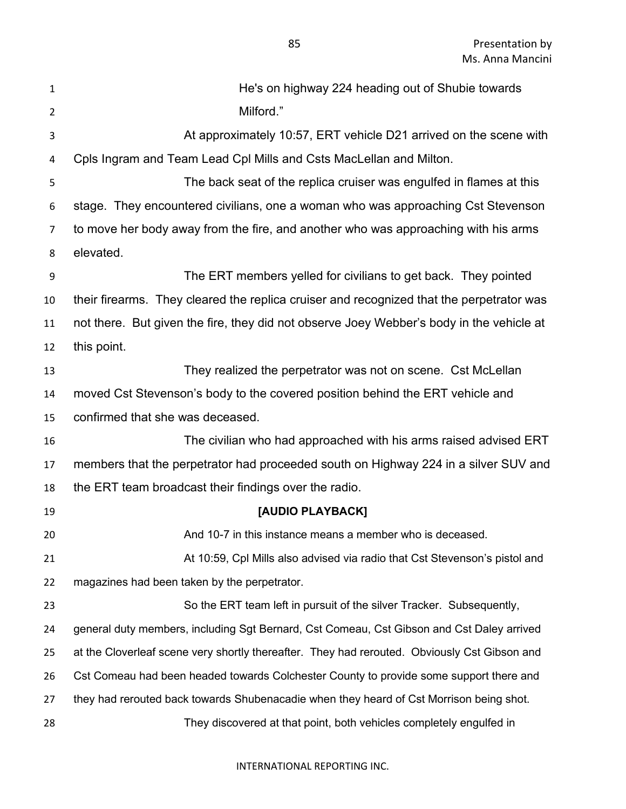| $\mathbf{1}$   | He's on highway 224 heading out of Shubie towards                                            |
|----------------|----------------------------------------------------------------------------------------------|
| $\overline{2}$ | Milford."                                                                                    |
| 3              | At approximately 10:57, ERT vehicle D21 arrived on the scene with                            |
| 4              | Cpls Ingram and Team Lead Cpl Mills and Csts MacLellan and Milton.                           |
| 5              | The back seat of the replica cruiser was engulfed in flames at this                          |
| 6              | stage. They encountered civilians, one a woman who was approaching Cst Stevenson             |
| 7              | to move her body away from the fire, and another who was approaching with his arms           |
| 8              | elevated.                                                                                    |
| 9              | The ERT members yelled for civilians to get back. They pointed                               |
| 10             | their firearms. They cleared the replica cruiser and recognized that the perpetrator was     |
| 11             | not there. But given the fire, they did not observe Joey Webber's body in the vehicle at     |
| 12             | this point.                                                                                  |
| 13             | They realized the perpetrator was not on scene. Cst McLellan                                 |
| 14             | moved Cst Stevenson's body to the covered position behind the ERT vehicle and                |
| 15             | confirmed that she was deceased.                                                             |
| 16             | The civilian who had approached with his arms raised advised ERT                             |
| 17             | members that the perpetrator had proceeded south on Highway 224 in a silver SUV and          |
| 18             | the ERT team broadcast their findings over the radio.                                        |
| 19             | [AUDIO PLAYBACK]                                                                             |
| 20             | And 10-7 in this instance means a member who is deceased.                                    |
| 21             | At 10:59, Cpl Mills also advised via radio that Cst Stevenson's pistol and                   |
| 22             | magazines had been taken by the perpetrator.                                                 |
| 23             | So the ERT team left in pursuit of the silver Tracker. Subsequently,                         |
| 24             | general duty members, including Sgt Bernard, Cst Comeau, Cst Gibson and Cst Daley arrived    |
| 25             | at the Cloverleaf scene very shortly thereafter. They had rerouted. Obviously Cst Gibson and |
| 26             | Cst Comeau had been headed towards Colchester County to provide some support there and       |
| 27             | they had rerouted back towards Shubenacadie when they heard of Cst Morrison being shot.      |
| 28             | They discovered at that point, both vehicles completely engulfed in                          |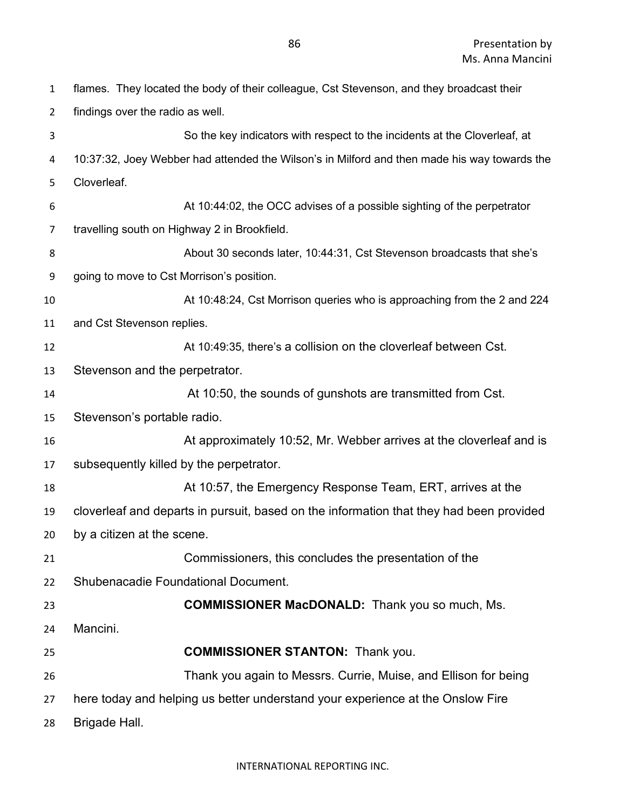| $\mathbf{1}$   | flames. They located the body of their colleague, Cst Stevenson, and they broadcast their    |
|----------------|----------------------------------------------------------------------------------------------|
| $\overline{2}$ | findings over the radio as well.                                                             |
| 3              | So the key indicators with respect to the incidents at the Cloverleaf, at                    |
| 4              | 10:37:32, Joey Webber had attended the Wilson's in Milford and then made his way towards the |
| 5              | Cloverleaf.                                                                                  |
| 6              | At 10:44:02, the OCC advises of a possible sighting of the perpetrator                       |
| 7              | travelling south on Highway 2 in Brookfield.                                                 |
| 8              | About 30 seconds later, 10:44:31, Cst Stevenson broadcasts that she's                        |
| 9              | going to move to Cst Morrison's position.                                                    |
| 10             | At 10:48:24, Cst Morrison queries who is approaching from the 2 and 224                      |
| 11             | and Cst Stevenson replies.                                                                   |
| 12             | At 10:49:35, there's a collision on the cloverleaf between Cst.                              |
| 13             | Stevenson and the perpetrator.                                                               |
| 14             | At 10:50, the sounds of gunshots are transmitted from Cst.                                   |
| 15             | Stevenson's portable radio.                                                                  |
| 16             | At approximately 10:52, Mr. Webber arrives at the cloverleaf and is                          |
| 17             | subsequently killed by the perpetrator.                                                      |
| 18             | At 10:57, the Emergency Response Team, ERT, arrives at the                                   |
| 19             | cloverleaf and departs in pursuit, based on the information that they had been provided      |
| 20             | by a citizen at the scene.                                                                   |
| 21             | Commissioners, this concludes the presentation of the                                        |
| 22             | <b>Shubenacadie Foundational Document.</b>                                                   |
| 23             | <b>COMMISSIONER MacDONALD:</b> Thank you so much, Ms.                                        |
| 24             | Mancini.                                                                                     |
| 25             | <b>COMMISSIONER STANTON: Thank you.</b>                                                      |
| 26             | Thank you again to Messrs. Currie, Muise, and Ellison for being                              |
| 27             | here today and helping us better understand your experience at the Onslow Fire               |
| 28             | Brigade Hall.                                                                                |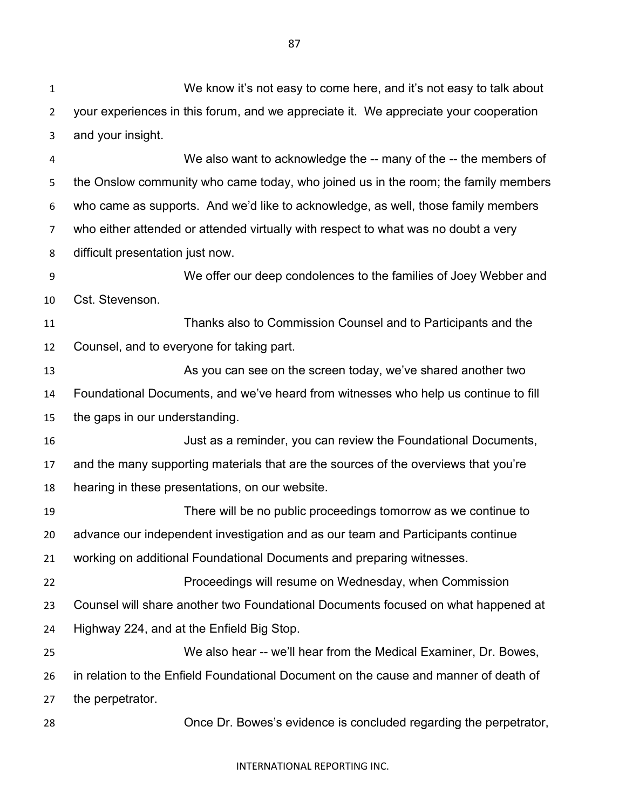We know it's not easy to come here, and it's not easy to talk about your experiences in this forum, and we appreciate it. We appreciate your cooperation and your insight. We also want to acknowledge the -- many of the -- the members of the Onslow community who came today, who joined us in the room; the family members who came as supports. And we'd like to acknowledge, as well, those family members who either attended or attended virtually with respect to what was no doubt a very difficult presentation just now. We offer our deep condolences to the families of Joey Webber and Cst. Stevenson. Thanks also to Commission Counsel and to Participants and the Counsel, and to everyone for taking part. As you can see on the screen today, we've shared another two Foundational Documents, and we've heard from witnesses who help us continue to fill the gaps in our understanding. Just as a reminder, you can review the Foundational Documents, and the many supporting materials that are the sources of the overviews that you're hearing in these presentations, on our website. There will be no public proceedings tomorrow as we continue to advance our independent investigation and as our team and Participants continue working on additional Foundational Documents and preparing witnesses. Proceedings will resume on Wednesday, when Commission Counsel will share another two Foundational Documents focused on what happened at Highway 224, and at the Enfield Big Stop. We also hear -- we'll hear from the Medical Examiner, Dr. Bowes, in relation to the Enfield Foundational Document on the cause and manner of death of the perpetrator. Once Dr. Bowes's evidence is concluded regarding the perpetrator,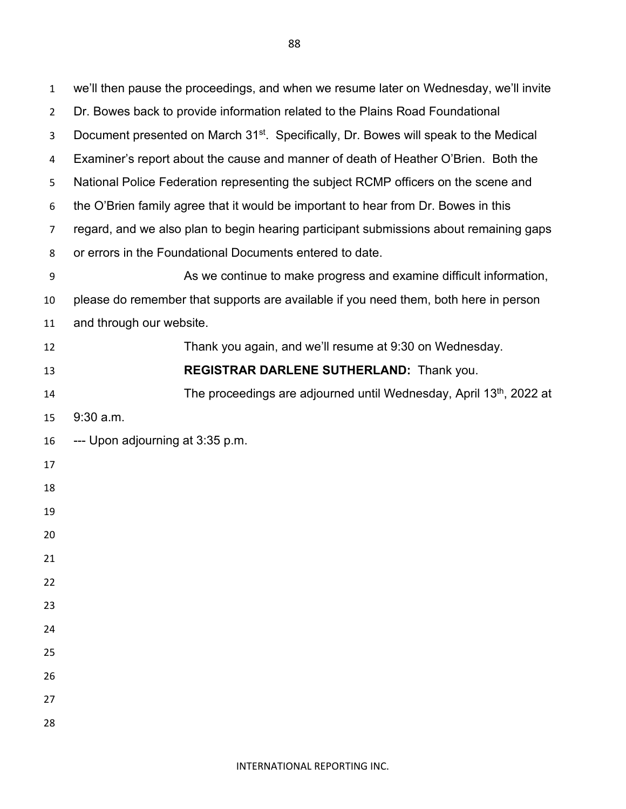we'll then pause the proceedings, and when we resume later on Wednesday, we'll invite Dr. Bowes back to provide information related to the Plains Road Foundational 3 Document presented on March 31<sup>st</sup>. Specifically, Dr. Bowes will speak to the Medical Examiner's report about the cause and manner of death of Heather O'Brien. Both the National Police Federation representing the subject RCMP officers on the scene and the O'Brien family agree that it would be important to hear from Dr. Bowes in this regard, and we also plan to begin hearing participant submissions about remaining gaps or errors in the Foundational Documents entered to date. As we continue to make progress and examine difficult information, please do remember that supports are available if you need them, both here in person and through our website. Thank you again, and we'll resume at 9:30 on Wednesday. **REGISTRAR DARLENE SUTHERLAND:** Thank you. 14 The proceedings are adjourned until Wednesday, April 13<sup>th</sup>, 2022 at 9:30 a.m. --- Upon adjourning at 3:35 p.m.